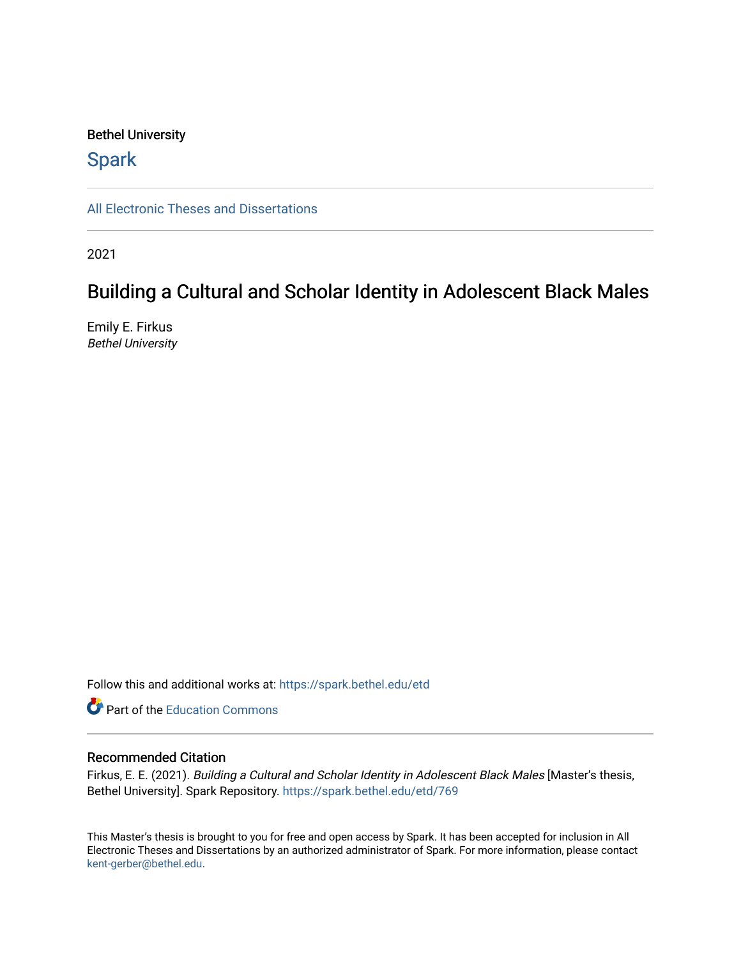## Bethel University

# **Spark**

[All Electronic Theses and Dissertations](https://spark.bethel.edu/etd) 

2021

# Building a Cultural and Scholar Identity in Adolescent Black Males

Emily E. Firkus Bethel University

Follow this and additional works at: [https://spark.bethel.edu/etd](https://spark.bethel.edu/etd?utm_source=spark.bethel.edu%2Fetd%2F769&utm_medium=PDF&utm_campaign=PDFCoverPages)

**C** Part of the [Education Commons](http://network.bepress.com/hgg/discipline/784?utm_source=spark.bethel.edu%2Fetd%2F769&utm_medium=PDF&utm_campaign=PDFCoverPages)

## Recommended Citation

Firkus, E. E. (2021). Building a Cultural and Scholar Identity in Adolescent Black Males [Master's thesis, Bethel University]. Spark Repository. [https://spark.bethel.edu/etd/769](https://spark.bethel.edu/etd/769?utm_source=spark.bethel.edu%2Fetd%2F769&utm_medium=PDF&utm_campaign=PDFCoverPages) 

This Master's thesis is brought to you for free and open access by Spark. It has been accepted for inclusion in All Electronic Theses and Dissertations by an authorized administrator of Spark. For more information, please contact [kent-gerber@bethel.edu](mailto:kent-gerber@bethel.edu).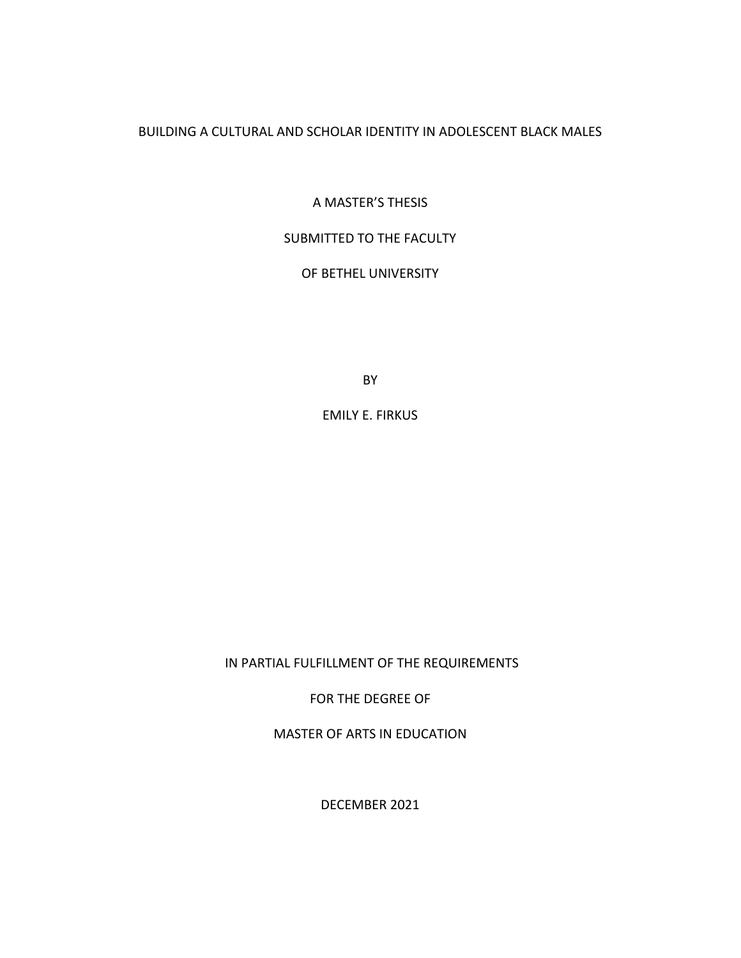BUILDING A CULTURAL AND SCHOLAR IDENTITY IN ADOLESCENT BLACK MALES

A MASTER'S THESIS

## SUBMITTED TO THE FACULTY

# OF BETHEL UNIVERSITY

BY

EMILY E. FIRKUS

IN PARTIAL FULFILLMENT OF THE REQUIREMENTS

FOR THE DEGREE OF

MASTER OF ARTS IN EDUCATION

DECEMBER 2021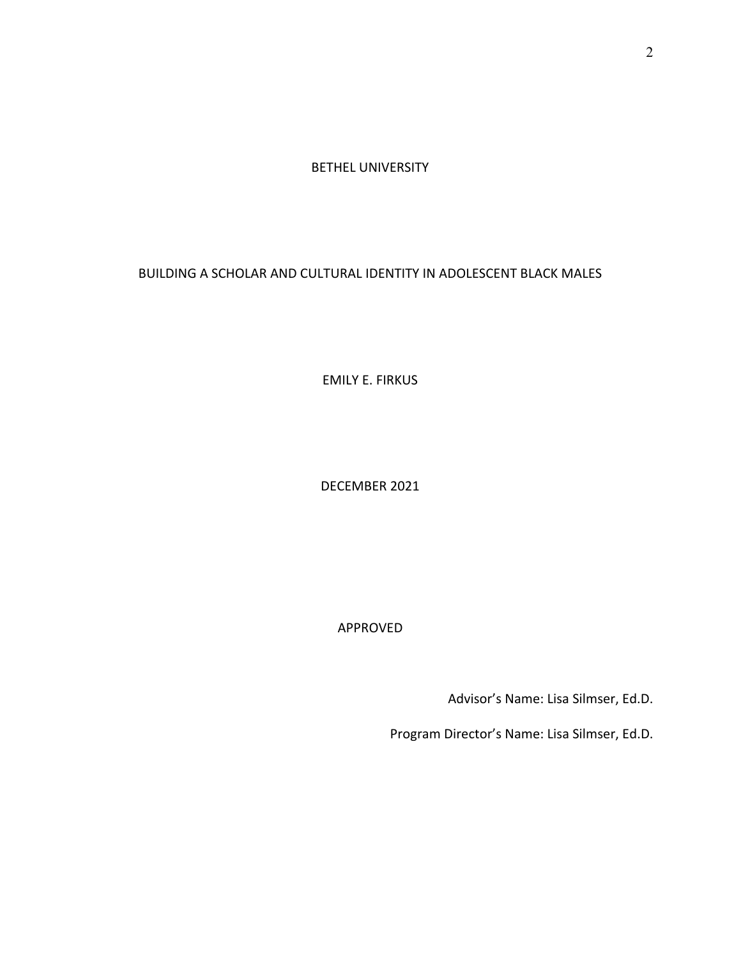BETHEL UNIVERSITY

BUILDING A SCHOLAR AND CULTURAL IDENTITY IN ADOLESCENT BLACK MALES

EMILY E. FIRKUS

DECEMBER 2021

APPROVED

Advisor's Name: Lisa Silmser, Ed.D.

Program Director's Name: Lisa Silmser, Ed.D.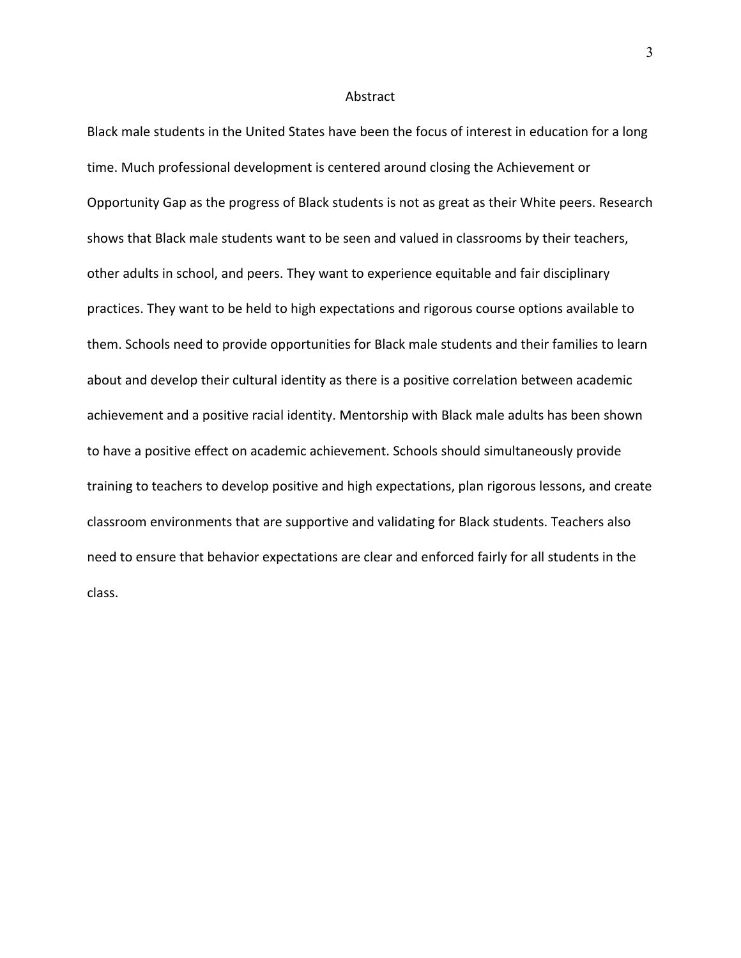#### Abstract

Black male students in the United States have been the focus of interest in education for a long time. Much professional development is centered around closing the Achievement or Opportunity Gap as the progress of Black students is not as great as their White peers. Research shows that Black male students want to be seen and valued in classrooms by their teachers, other adults in school, and peers. They want to experience equitable and fair disciplinary practices. They want to be held to high expectations and rigorous course options available to them. Schools need to provide opportunities for Black male students and their families to learn about and develop their cultural identity as there is a positive correlation between academic achievement and a positive racial identity. Mentorship with Black male adults has been shown to have a positive effect on academic achievement. Schools should simultaneously provide training to teachers to develop positive and high expectations, plan rigorous lessons, and create classroom environments that are supportive and validating for Black students. Teachers also need to ensure that behavior expectations are clear and enforced fairly for all students in the class.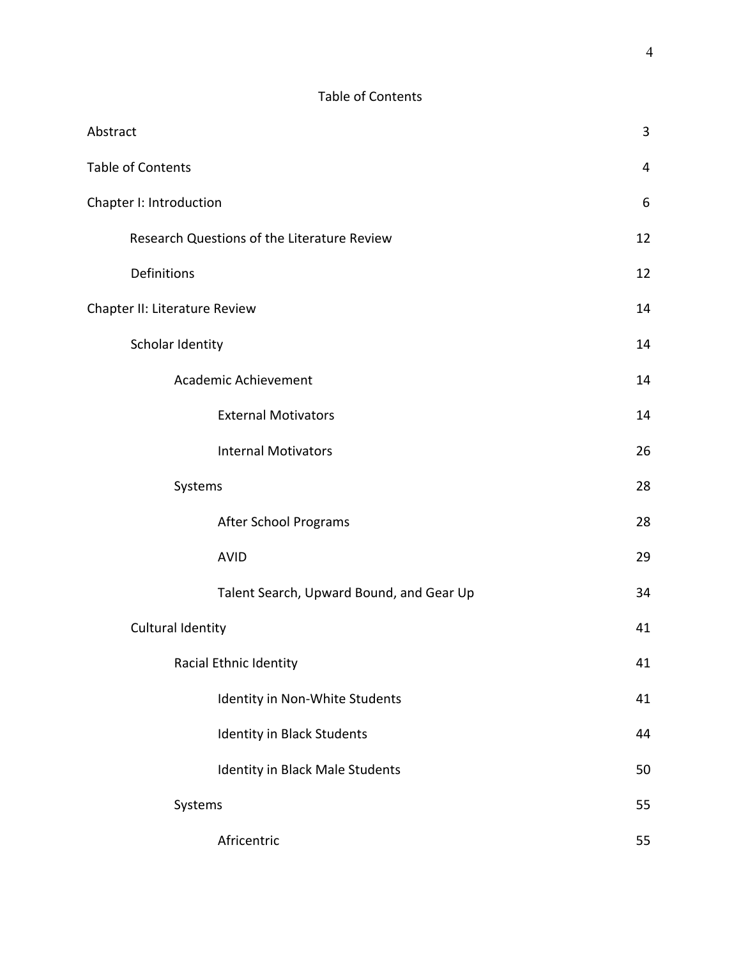| Abstract                                    | 3              |
|---------------------------------------------|----------------|
| Table of Contents                           | $\overline{4}$ |
| Chapter I: Introduction                     | 6              |
| Research Questions of the Literature Review | 12             |
| Definitions                                 | 12             |
| Chapter II: Literature Review               | 14             |
| Scholar Identity                            | 14             |
| Academic Achievement                        | 14             |
| <b>External Motivators</b>                  | 14             |
| <b>Internal Motivators</b>                  | 26             |
| Systems                                     | 28             |
| After School Programs                       | 28             |
| <b>AVID</b>                                 | 29             |
| Talent Search, Upward Bound, and Gear Up    | 34             |
| Cultural Identity                           | 41             |
| Racial Ethnic Identity                      | 41             |
| Identity in Non-White Students              | 41             |
| Identity in Black Students                  | 44             |
| Identity in Black Male Students             | 50             |
| Systems                                     | 55             |
| Africentric                                 | 55             |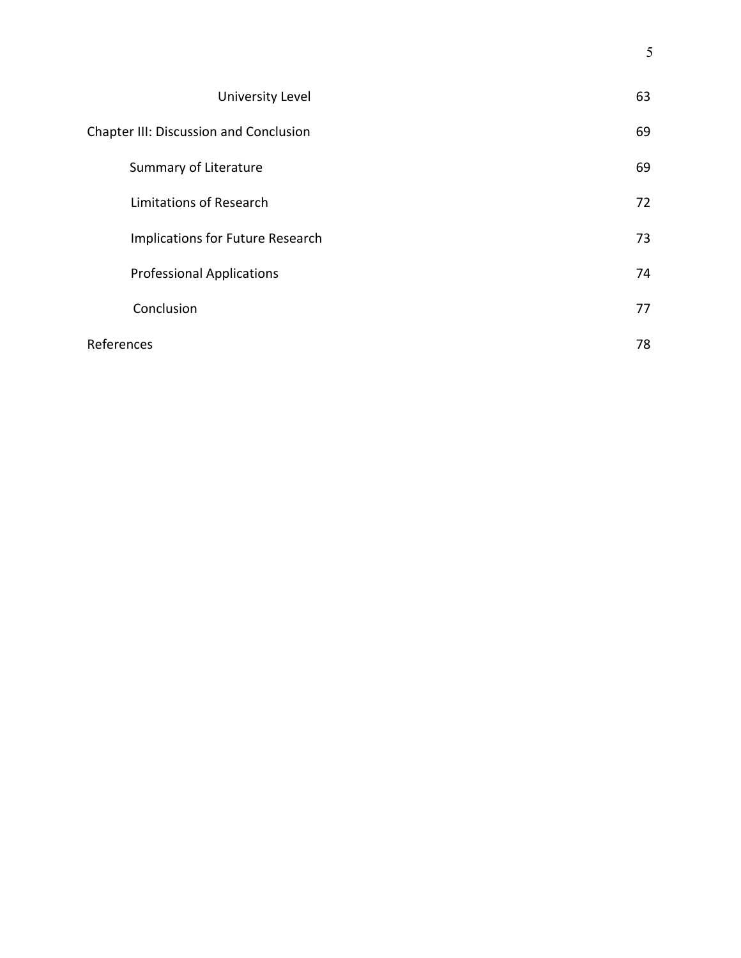| University Level                       | 63 |
|----------------------------------------|----|
| Chapter III: Discussion and Conclusion | 69 |
| Summary of Literature                  | 69 |
| Limitations of Research                | 72 |
| Implications for Future Research       | 73 |
| <b>Professional Applications</b>       | 74 |
| Conclusion                             | 77 |
| References                             | 78 |

5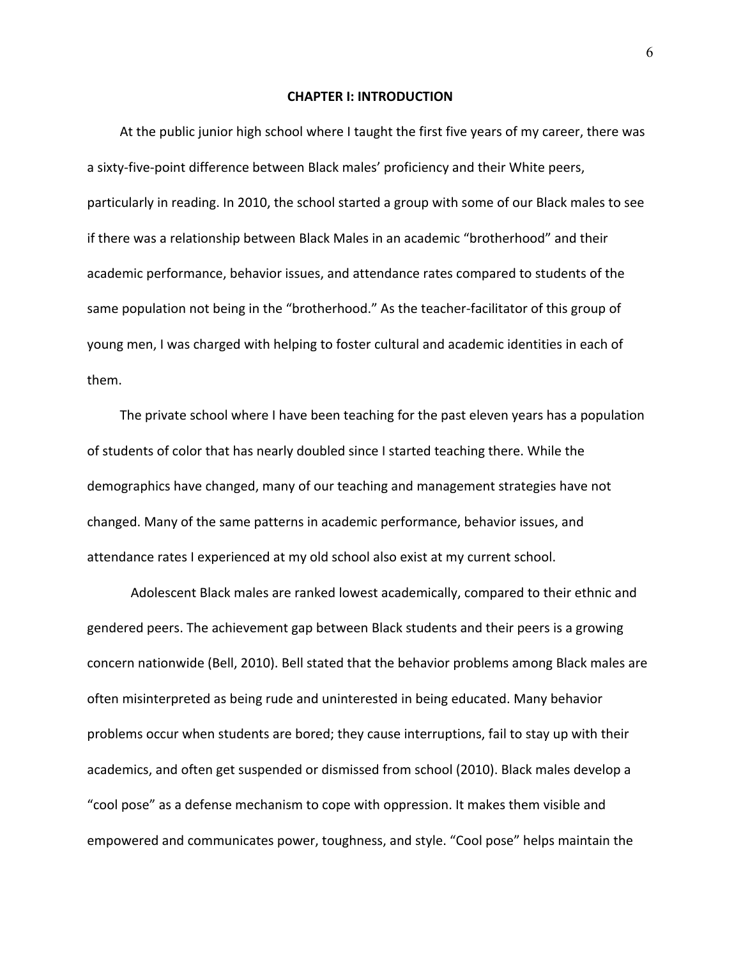#### **CHAPTER I: INTRODUCTION**

At the public junior high school where I taught the first five years of my career, there was a sixty-five-point difference between Black males' proficiency and their White peers, particularly in reading. In 2010, the school started a group with some of our Black males to see if there was a relationship between Black Males in an academic "brotherhood" and their academic performance, behavior issues, and attendance rates compared to students of the same population not being in the "brotherhood." As the teacher-facilitator of this group of young men, I was charged with helping to foster cultural and academic identities in each of them.

The private school where I have been teaching for the past eleven years has a population of students of color that has nearly doubled since I started teaching there. While the demographics have changed, many of our teaching and management strategies have not changed. Many of the same patterns in academic performance, behavior issues, and attendance rates I experienced at my old school also exist at my current school.

Adolescent Black males are ranked lowest academically, compared to their ethnic and gendered peers. The achievement gap between Black students and their peers is a growing concern nationwide (Bell, 2010). Bell stated that the behavior problems among Black males are often misinterpreted as being rude and uninterested in being educated. Many behavior problems occur when students are bored; they cause interruptions, fail to stay up with their academics, and often get suspended or dismissed from school (2010). Black males develop a "cool pose" as a defense mechanism to cope with oppression. It makes them visible and empowered and communicates power, toughness, and style. "Cool pose" helps maintain the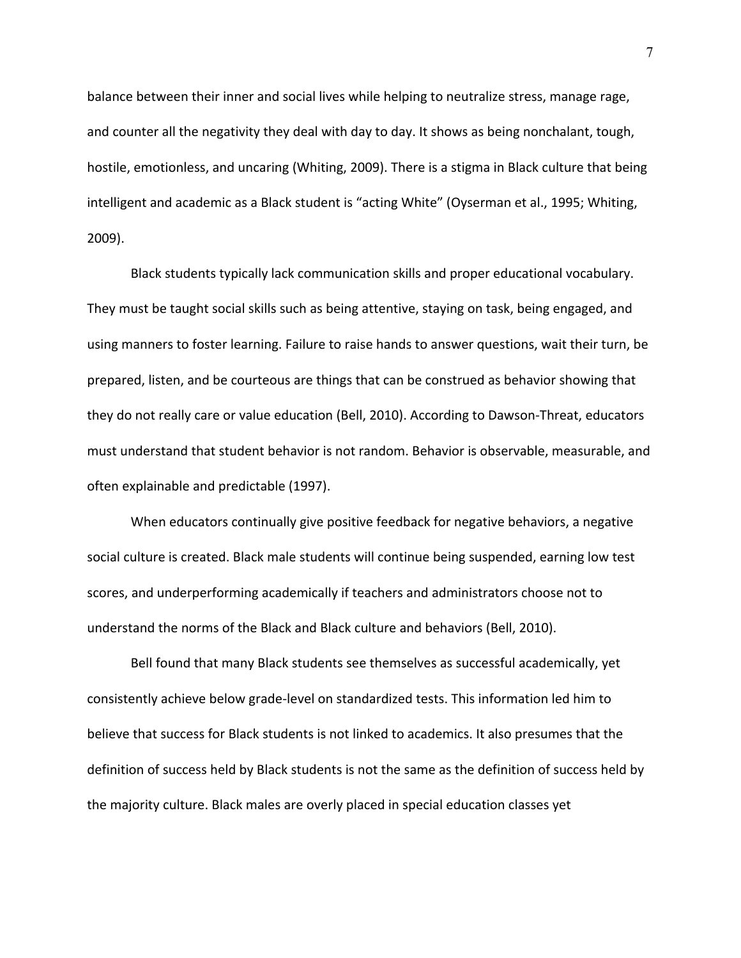balance between their inner and social lives while helping to neutralize stress, manage rage, and counter all the negativity they deal with day to day. It shows as being nonchalant, tough, hostile, emotionless, and uncaring (Whiting, 2009). There is a stigma in Black culture that being intelligent and academic as a Black student is "acting White" (Oyserman et al., 1995; Whiting, 2009).

Black students typically lack communication skills and proper educational vocabulary. They must be taught social skills such as being attentive, staying on task, being engaged, and using manners to foster learning. Failure to raise hands to answer questions, wait their turn, be prepared, listen, and be courteous are things that can be construed as behavior showing that they do not really care or value education (Bell, 2010). According to Dawson-Threat, educators must understand that student behavior is not random. Behavior is observable, measurable, and often explainable and predictable (1997).

When educators continually give positive feedback for negative behaviors, a negative social culture is created. Black male students will continue being suspended, earning low test scores, and underperforming academically if teachers and administrators choose not to understand the norms of the Black and Black culture and behaviors (Bell, 2010).

Bell found that many Black students see themselves as successful academically, yet consistently achieve below grade-level on standardized tests. This information led him to believe that success for Black students is not linked to academics. It also presumes that the definition of success held by Black students is not the same as the definition of success held by the majority culture. Black males are overly placed in special education classes yet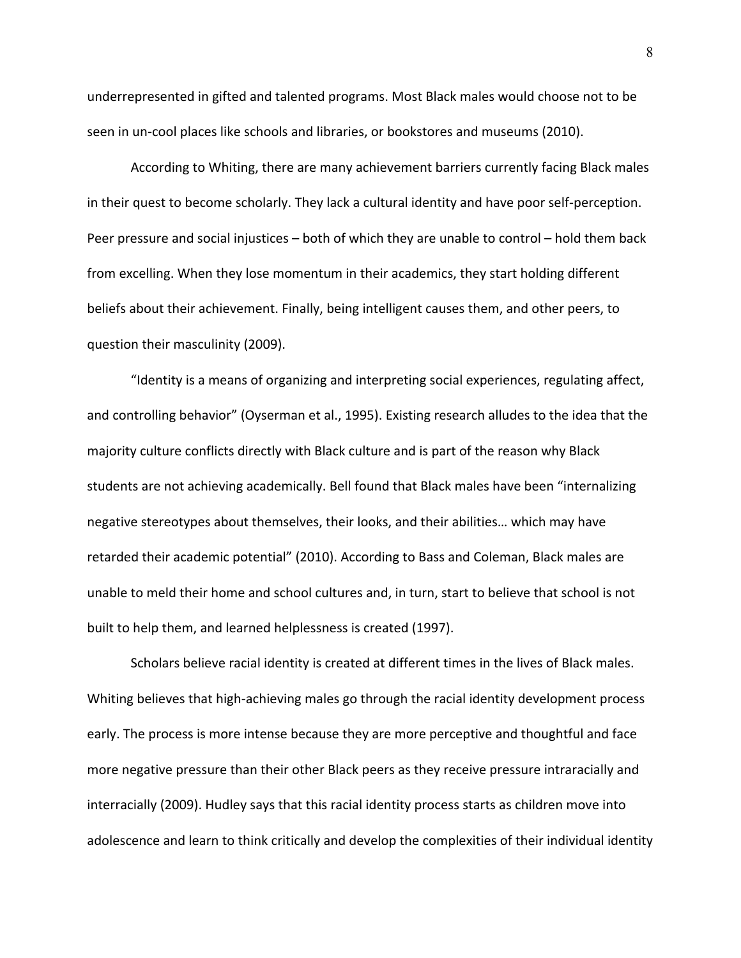underrepresented in gifted and talented programs. Most Black males would choose not to be seen in un-cool places like schools and libraries, or bookstores and museums (2010).

According to Whiting, there are many achievement barriers currently facing Black males in their quest to become scholarly. They lack a cultural identity and have poor self-perception. Peer pressure and social injustices – both of which they are unable to control – hold them back from excelling. When they lose momentum in their academics, they start holding different beliefs about their achievement. Finally, being intelligent causes them, and other peers, to question their masculinity (2009).

"Identity is a means of organizing and interpreting social experiences, regulating affect, and controlling behavior" (Oyserman et al., 1995). Existing research alludes to the idea that the majority culture conflicts directly with Black culture and is part of the reason why Black students are not achieving academically. Bell found that Black males have been "internalizing negative stereotypes about themselves, their looks, and their abilities… which may have retarded their academic potential" (2010). According to Bass and Coleman, Black males are unable to meld their home and school cultures and, in turn, start to believe that school is not built to help them, and learned helplessness is created (1997).

Scholars believe racial identity is created at different times in the lives of Black males. Whiting believes that high-achieving males go through the racial identity development process early. The process is more intense because they are more perceptive and thoughtful and face more negative pressure than their other Black peers as they receive pressure intraracially and interracially (2009). Hudley says that this racial identity process starts as children move into adolescence and learn to think critically and develop the complexities of their individual identity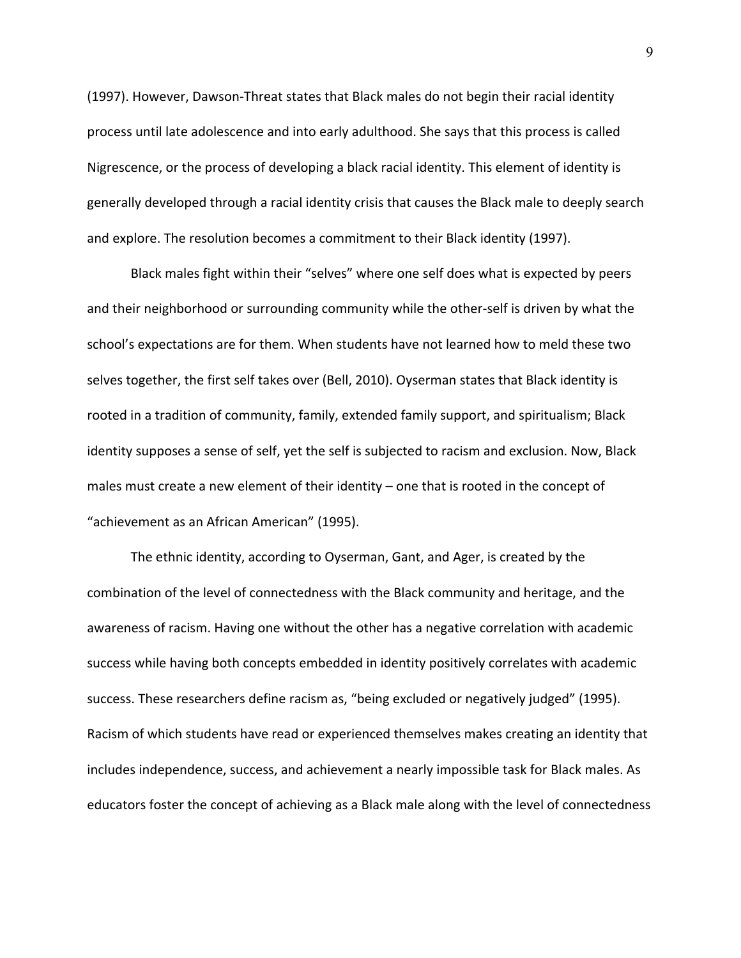(1997). However, Dawson-Threat states that Black males do not begin their racial identity process until late adolescence and into early adulthood. She says that this process is called Nigrescence, or the process of developing a black racial identity. This element of identity is generally developed through a racial identity crisis that causes the Black male to deeply search and explore. The resolution becomes a commitment to their Black identity (1997).

Black males fight within their "selves" where one self does what is expected by peers and their neighborhood or surrounding community while the other-self is driven by what the school's expectations are for them. When students have not learned how to meld these two selves together, the first self takes over (Bell, 2010). Oyserman states that Black identity is rooted in a tradition of community, family, extended family support, and spiritualism; Black identity supposes a sense of self, yet the self is subjected to racism and exclusion. Now, Black males must create a new element of their identity – one that is rooted in the concept of "achievement as an African American" (1995).

The ethnic identity, according to Oyserman, Gant, and Ager, is created by the combination of the level of connectedness with the Black community and heritage, and the awareness of racism. Having one without the other has a negative correlation with academic success while having both concepts embedded in identity positively correlates with academic success. These researchers define racism as, "being excluded or negatively judged" (1995). Racism of which students have read or experienced themselves makes creating an identity that includes independence, success, and achievement a nearly impossible task for Black males. As educators foster the concept of achieving as a Black male along with the level of connectedness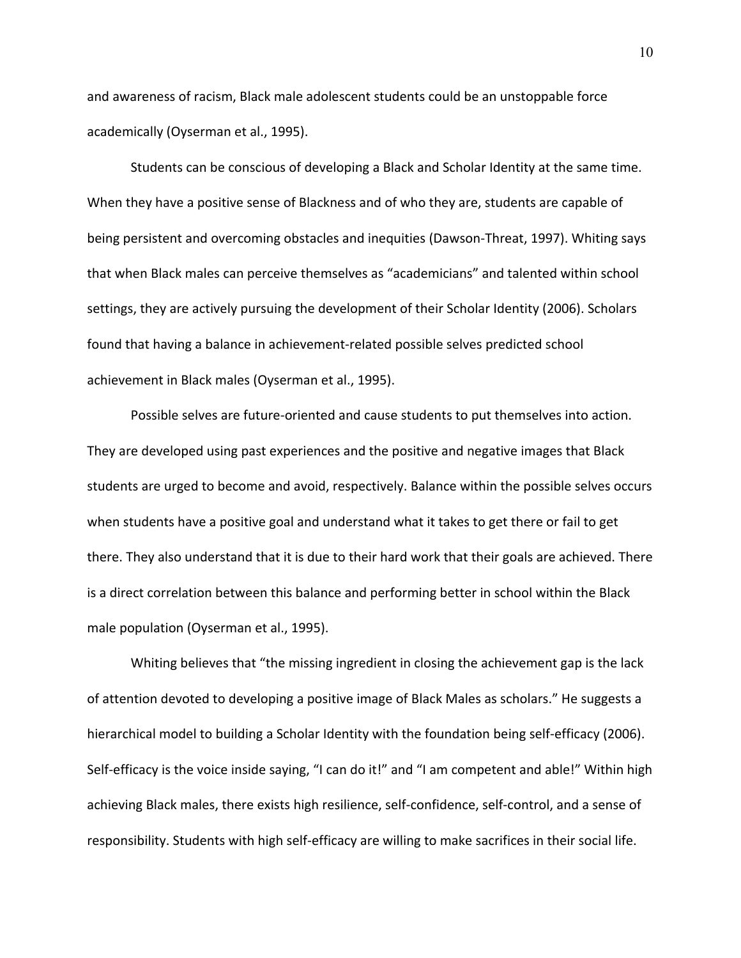and awareness of racism, Black male adolescent students could be an unstoppable force academically (Oyserman et al., 1995).

Students can be conscious of developing a Black and Scholar Identity at the same time. When they have a positive sense of Blackness and of who they are, students are capable of being persistent and overcoming obstacles and inequities (Dawson-Threat, 1997). Whiting says that when Black males can perceive themselves as "academicians" and talented within school settings, they are actively pursuing the development of their Scholar Identity (2006). Scholars found that having a balance in achievement-related possible selves predicted school achievement in Black males (Oyserman et al., 1995).

Possible selves are future-oriented and cause students to put themselves into action. They are developed using past experiences and the positive and negative images that Black students are urged to become and avoid, respectively. Balance within the possible selves occurs when students have a positive goal and understand what it takes to get there or fail to get there. They also understand that it is due to their hard work that their goals are achieved. There is a direct correlation between this balance and performing better in school within the Black male population (Oyserman et al., 1995).

Whiting believes that "the missing ingredient in closing the achievement gap is the lack of attention devoted to developing a positive image of Black Males as scholars." He suggests a hierarchical model to building a Scholar Identity with the foundation being self-efficacy (2006). Self-efficacy is the voice inside saying, "I can do it!" and "I am competent and able!" Within high achieving Black males, there exists high resilience, self-confidence, self-control, and a sense of responsibility. Students with high self-efficacy are willing to make sacrifices in their social life.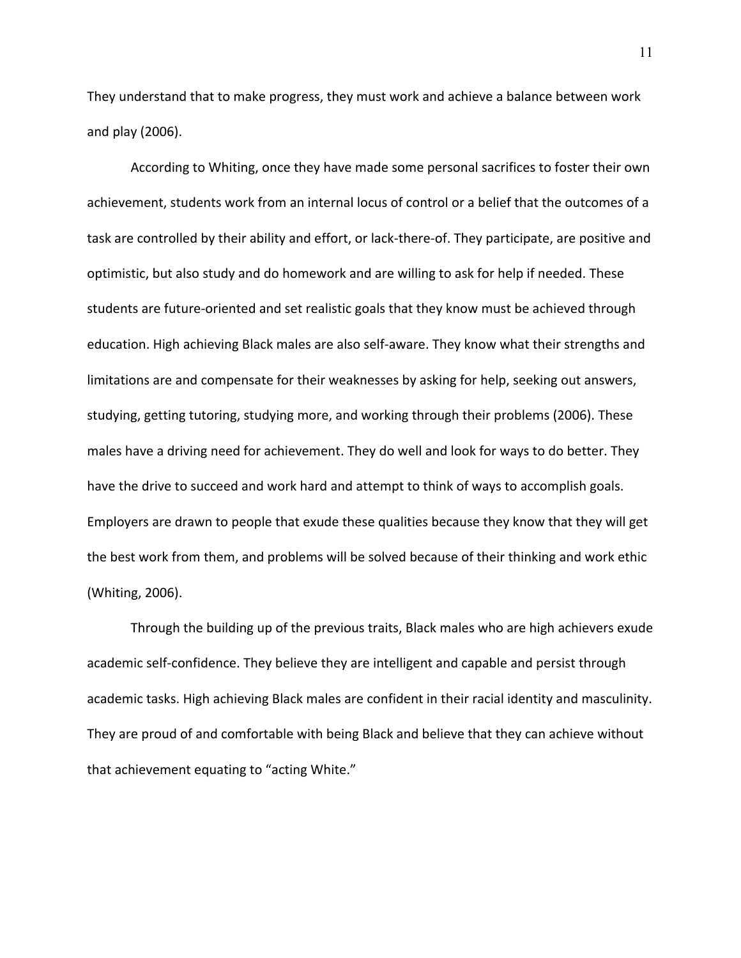They understand that to make progress, they must work and achieve a balance between work and play (2006).

According to Whiting, once they have made some personal sacrifices to foster their own achievement, students work from an internal locus of control or a belief that the outcomes of a task are controlled by their ability and effort, or lack-there-of. They participate, are positive and optimistic, but also study and do homework and are willing to ask for help if needed. These students are future-oriented and set realistic goals that they know must be achieved through education. High achieving Black males are also self-aware. They know what their strengths and limitations are and compensate for their weaknesses by asking for help, seeking out answers, studying, getting tutoring, studying more, and working through their problems (2006). These males have a driving need for achievement. They do well and look for ways to do better. They have the drive to succeed and work hard and attempt to think of ways to accomplish goals. Employers are drawn to people that exude these qualities because they know that they will get the best work from them, and problems will be solved because of their thinking and work ethic (Whiting, 2006).

Through the building up of the previous traits, Black males who are high achievers exude academic self-confidence. They believe they are intelligent and capable and persist through academic tasks. High achieving Black males are confident in their racial identity and masculinity. They are proud of and comfortable with being Black and believe that they can achieve without that achievement equating to "acting White."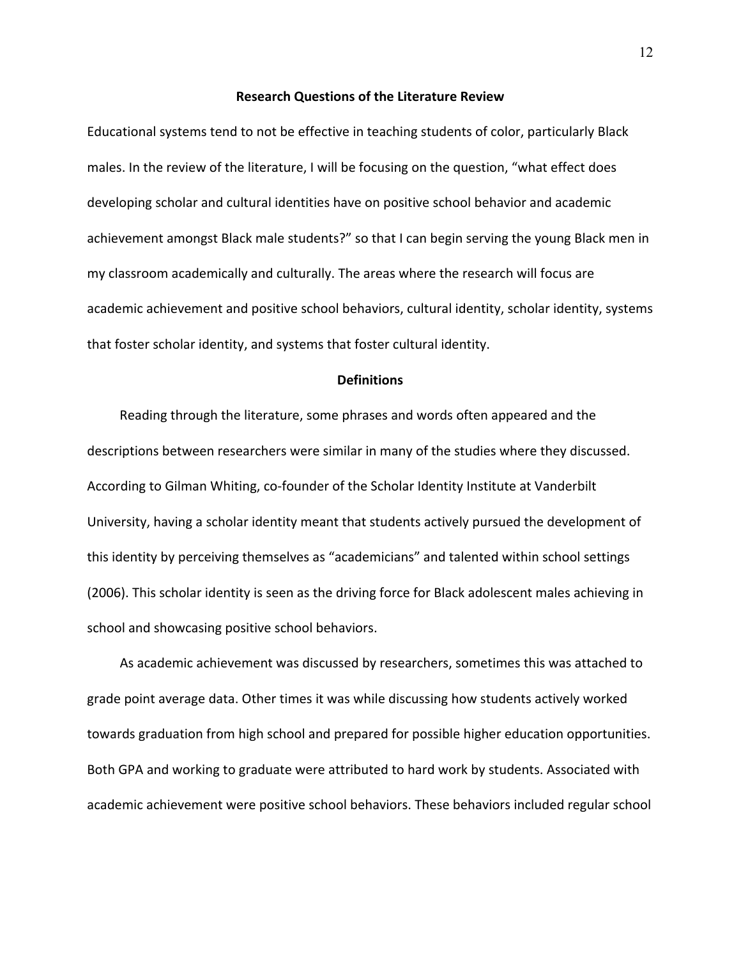#### **Research Questions of the Literature Review**

Educational systems tend to not be effective in teaching students of color, particularly Black males. In the review of the literature, I will be focusing on the question, "what effect does developing scholar and cultural identities have on positive school behavior and academic achievement amongst Black male students?" so that I can begin serving the young Black men in my classroom academically and culturally. The areas where the research will focus are academic achievement and positive school behaviors, cultural identity, scholar identity, systems that foster scholar identity, and systems that foster cultural identity.

#### **Definitions**

Reading through the literature, some phrases and words often appeared and the descriptions between researchers were similar in many of the studies where they discussed. According to Gilman Whiting, co-founder of the Scholar Identity Institute at Vanderbilt University, having a scholar identity meant that students actively pursued the development of this identity by perceiving themselves as "academicians" and talented within school settings (2006). This scholar identity is seen as the driving force for Black adolescent males achieving in school and showcasing positive school behaviors.

As academic achievement was discussed by researchers, sometimes this was attached to grade point average data. Other times it was while discussing how students actively worked towards graduation from high school and prepared for possible higher education opportunities. Both GPA and working to graduate were attributed to hard work by students. Associated with academic achievement were positive school behaviors. These behaviors included regular school

12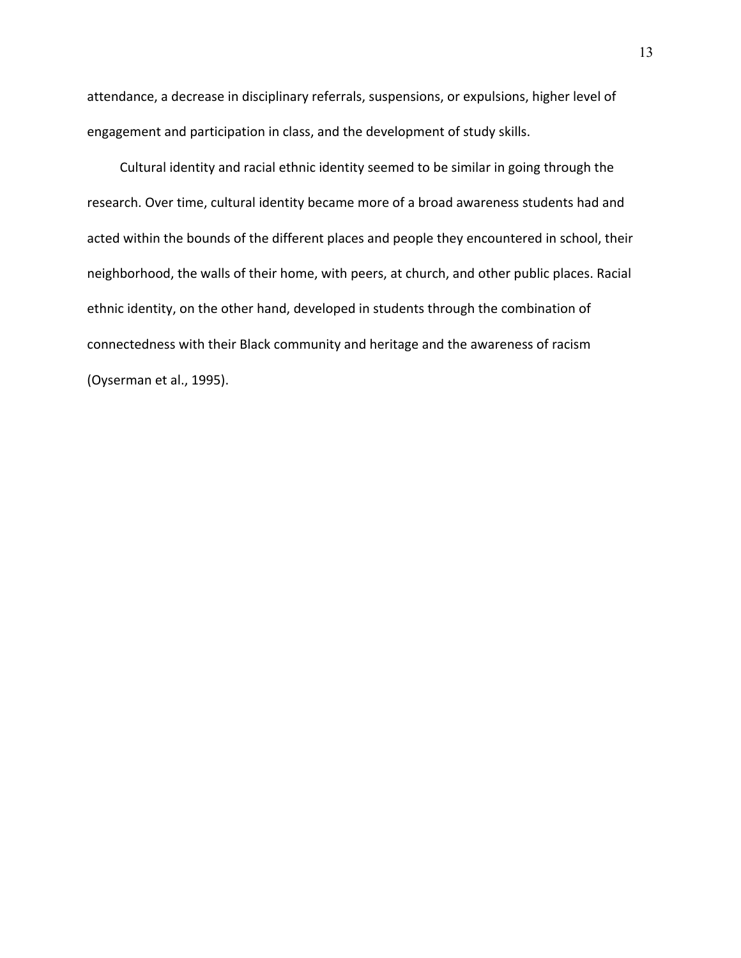attendance, a decrease in disciplinary referrals, suspensions, or expulsions, higher level of engagement and participation in class, and the development of study skills.

Cultural identity and racial ethnic identity seemed to be similar in going through the research. Over time, cultural identity became more of a broad awareness students had and acted within the bounds of the different places and people they encountered in school, their neighborhood, the walls of their home, with peers, at church, and other public places. Racial ethnic identity, on the other hand, developed in students through the combination of connectedness with their Black community and heritage and the awareness of racism (Oyserman et al., 1995).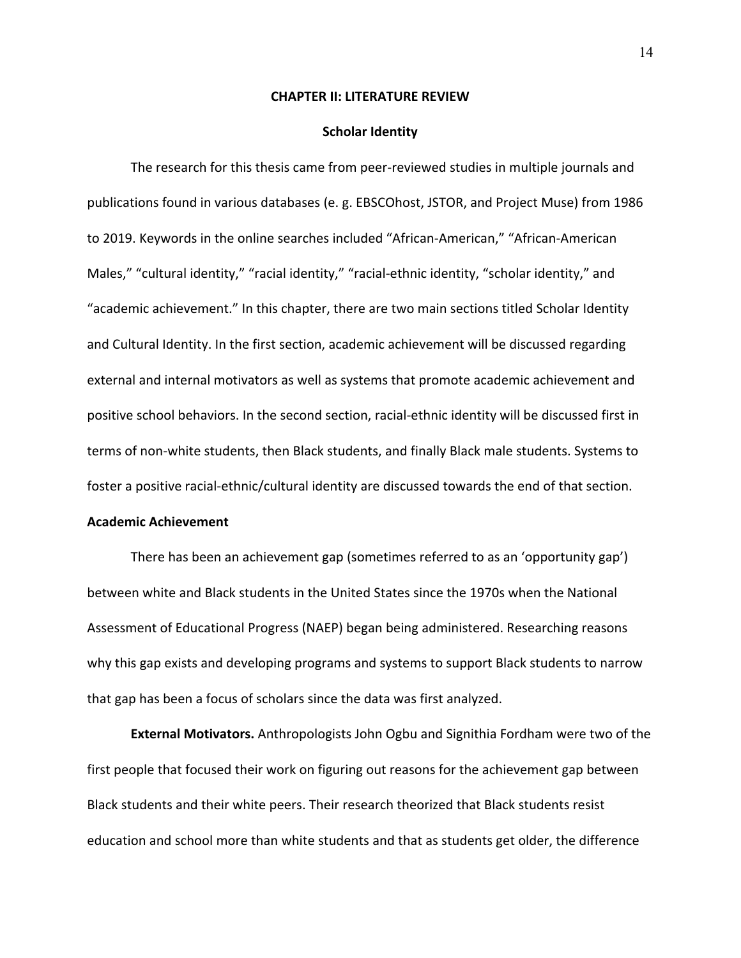#### **CHAPTER II: LITERATURE REVIEW**

#### **Scholar Identity**

The research for this thesis came from peer-reviewed studies in multiple journals and publications found in various databases (e. g. EBSCOhost, JSTOR, and Project Muse) from 1986 to 2019. Keywords in the online searches included "African-American," "African-American Males," "cultural identity," "racial identity," "racial-ethnic identity, "scholar identity," and "academic achievement." In this chapter, there are two main sections titled Scholar Identity and Cultural Identity. In the first section, academic achievement will be discussed regarding external and internal motivators as well as systems that promote academic achievement and positive school behaviors. In the second section, racial-ethnic identity will be discussed first in terms of non-white students, then Black students, and finally Black male students. Systems to foster a positive racial-ethnic/cultural identity are discussed towards the end of that section.

## **Academic Achievement**

There has been an achievement gap (sometimes referred to as an 'opportunity gap') between white and Black students in the United States since the 1970s when the National Assessment of Educational Progress (NAEP) began being administered. Researching reasons why this gap exists and developing programs and systems to support Black students to narrow that gap has been a focus of scholars since the data was first analyzed.

**External Motivators.** Anthropologists John Ogbu and Signithia Fordham were two of the first people that focused their work on figuring out reasons for the achievement gap between Black students and their white peers. Their research theorized that Black students resist education and school more than white students and that as students get older, the difference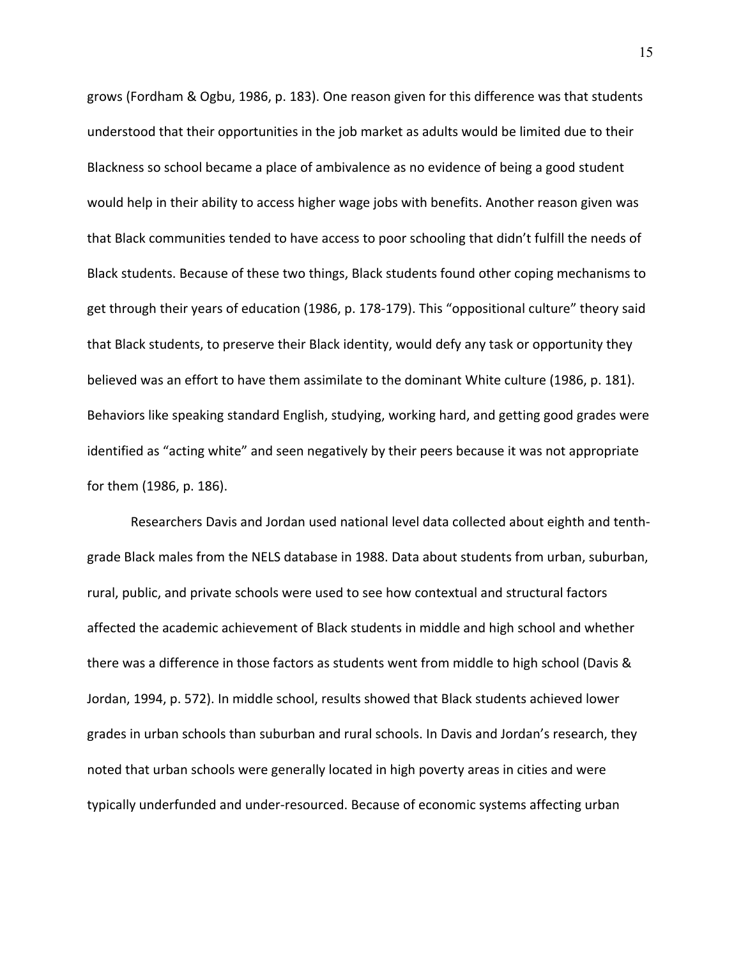grows (Fordham & Ogbu, 1986, p. 183). One reason given for this difference was that students understood that their opportunities in the job market as adults would be limited due to their Blackness so school became a place of ambivalence as no evidence of being a good student would help in their ability to access higher wage jobs with benefits. Another reason given was that Black communities tended to have access to poor schooling that didn't fulfill the needs of Black students. Because of these two things, Black students found other coping mechanisms to get through their years of education (1986, p. 178-179). This "oppositional culture" theory said that Black students, to preserve their Black identity, would defy any task or opportunity they believed was an effort to have them assimilate to the dominant White culture (1986, p. 181). Behaviors like speaking standard English, studying, working hard, and getting good grades were identified as "acting white" and seen negatively by their peers because it was not appropriate for them (1986, p. 186).

Researchers Davis and Jordan used national level data collected about eighth and tenthgrade Black males from the NELS database in 1988. Data about students from urban, suburban, rural, public, and private schools were used to see how contextual and structural factors affected the academic achievement of Black students in middle and high school and whether there was a difference in those factors as students went from middle to high school (Davis & Jordan, 1994, p. 572). In middle school, results showed that Black students achieved lower grades in urban schools than suburban and rural schools. In Davis and Jordan's research, they noted that urban schools were generally located in high poverty areas in cities and were typically underfunded and under-resourced. Because of economic systems affecting urban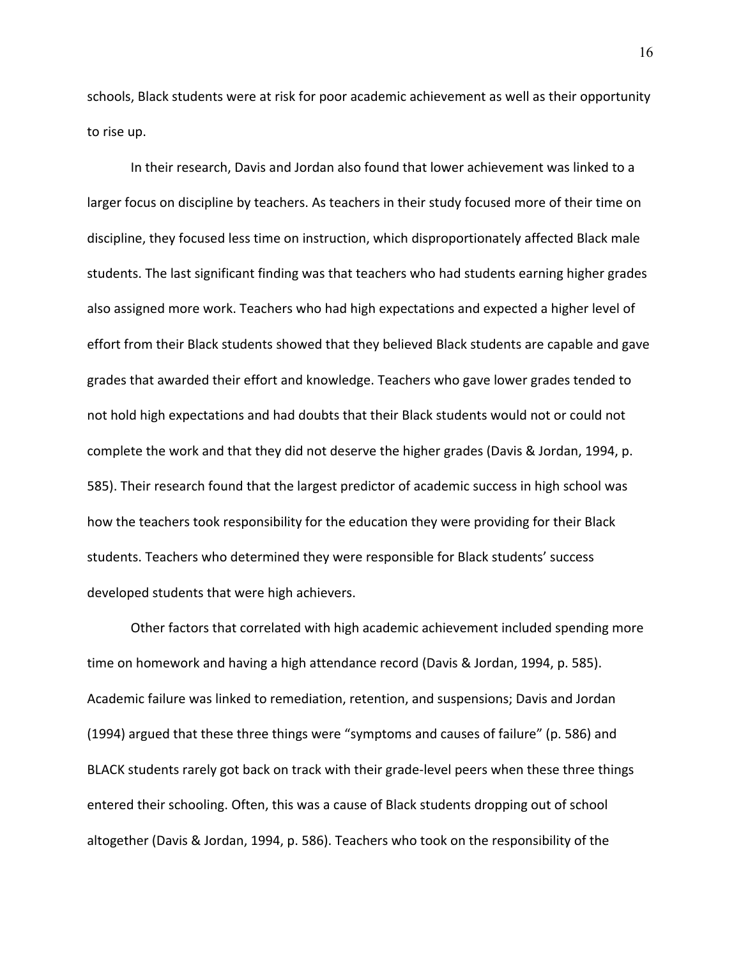schools, Black students were at risk for poor academic achievement as well as their opportunity to rise up.

In their research, Davis and Jordan also found that lower achievement was linked to a larger focus on discipline by teachers. As teachers in their study focused more of their time on discipline, they focused less time on instruction, which disproportionately affected Black male students. The last significant finding was that teachers who had students earning higher grades also assigned more work. Teachers who had high expectations and expected a higher level of effort from their Black students showed that they believed Black students are capable and gave grades that awarded their effort and knowledge. Teachers who gave lower grades tended to not hold high expectations and had doubts that their Black students would not or could not complete the work and that they did not deserve the higher grades (Davis & Jordan, 1994, p. 585). Their research found that the largest predictor of academic success in high school was how the teachers took responsibility for the education they were providing for their Black students. Teachers who determined they were responsible for Black students' success developed students that were high achievers.

Other factors that correlated with high academic achievement included spending more time on homework and having a high attendance record (Davis & Jordan, 1994, p. 585). Academic failure was linked to remediation, retention, and suspensions; Davis and Jordan (1994) argued that these three things were "symptoms and causes of failure" (p. 586) and BLACK students rarely got back on track with their grade-level peers when these three things entered their schooling. Often, this was a cause of Black students dropping out of school altogether (Davis & Jordan, 1994, p. 586). Teachers who took on the responsibility of the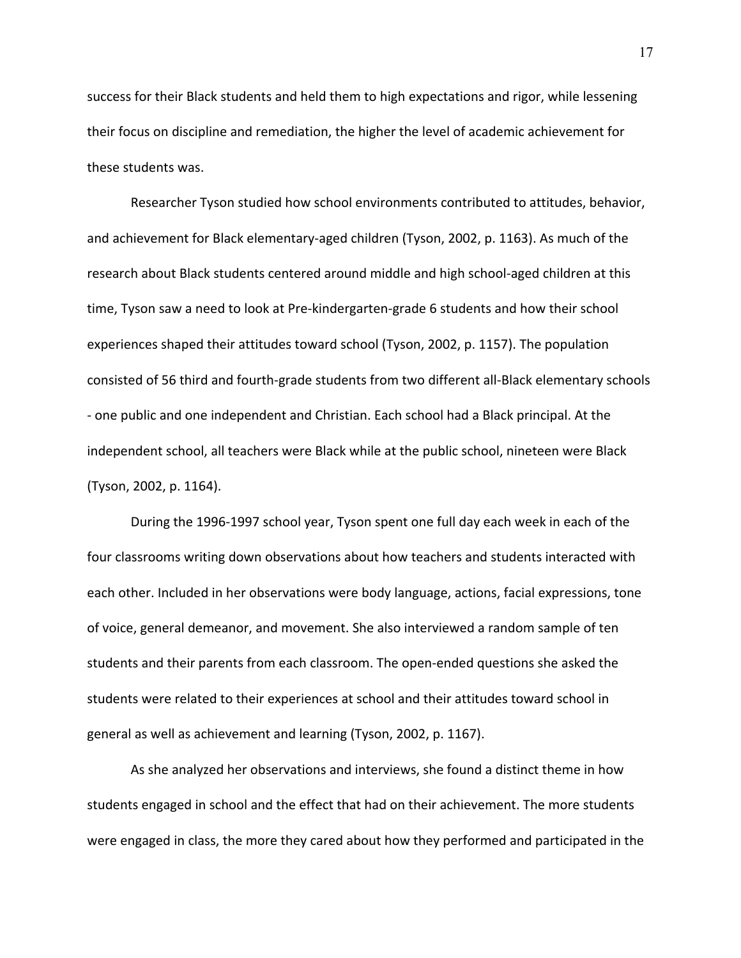success for their Black students and held them to high expectations and rigor, while lessening their focus on discipline and remediation, the higher the level of academic achievement for these students was.

Researcher Tyson studied how school environments contributed to attitudes, behavior, and achievement for Black elementary-aged children (Tyson, 2002, p. 1163). As much of the research about Black students centered around middle and high school-aged children at this time, Tyson saw a need to look at Pre-kindergarten-grade 6 students and how their school experiences shaped their attitudes toward school (Tyson, 2002, p. 1157). The population consisted of 56 third and fourth-grade students from two different all-Black elementary schools - one public and one independent and Christian. Each school had a Black principal. At the independent school, all teachers were Black while at the public school, nineteen were Black (Tyson, 2002, p. 1164).

During the 1996-1997 school year, Tyson spent one full day each week in each of the four classrooms writing down observations about how teachers and students interacted with each other. Included in her observations were body language, actions, facial expressions, tone of voice, general demeanor, and movement. She also interviewed a random sample of ten students and their parents from each classroom. The open-ended questions she asked the students were related to their experiences at school and their attitudes toward school in general as well as achievement and learning (Tyson, 2002, p. 1167).

As she analyzed her observations and interviews, she found a distinct theme in how students engaged in school and the effect that had on their achievement. The more students were engaged in class, the more they cared about how they performed and participated in the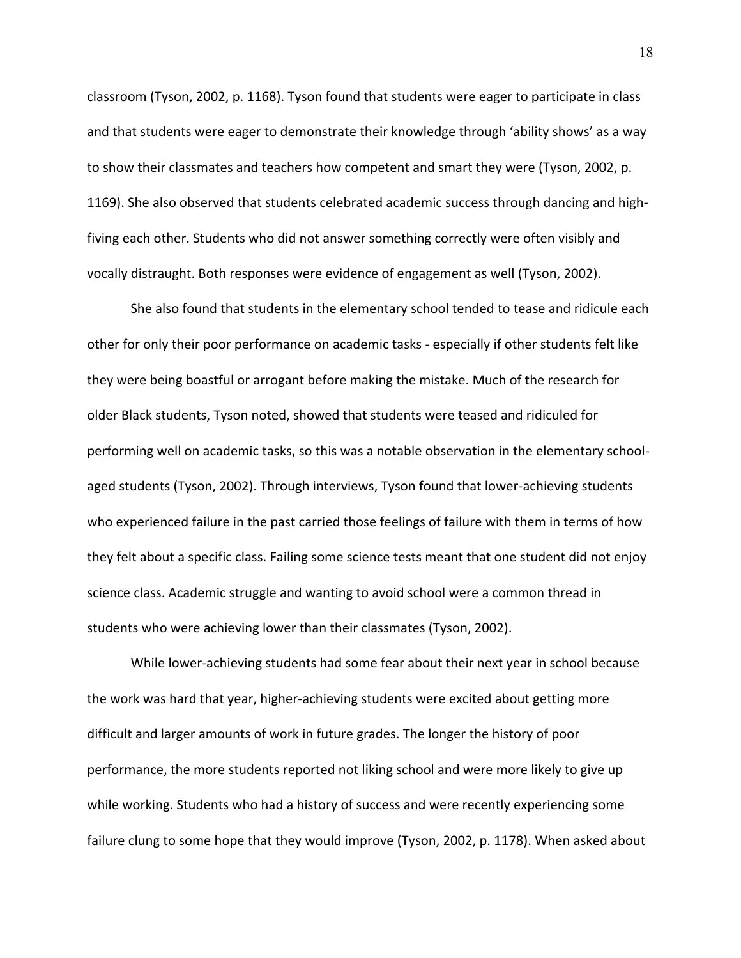classroom (Tyson, 2002, p. 1168). Tyson found that students were eager to participate in class and that students were eager to demonstrate their knowledge through 'ability shows' as a way to show their classmates and teachers how competent and smart they were (Tyson, 2002, p. 1169). She also observed that students celebrated academic success through dancing and highfiving each other. Students who did not answer something correctly were often visibly and vocally distraught. Both responses were evidence of engagement as well (Tyson, 2002).

She also found that students in the elementary school tended to tease and ridicule each other for only their poor performance on academic tasks - especially if other students felt like they were being boastful or arrogant before making the mistake. Much of the research for older Black students, Tyson noted, showed that students were teased and ridiculed for performing well on academic tasks, so this was a notable observation in the elementary schoolaged students (Tyson, 2002). Through interviews, Tyson found that lower-achieving students who experienced failure in the past carried those feelings of failure with them in terms of how they felt about a specific class. Failing some science tests meant that one student did not enjoy science class. Academic struggle and wanting to avoid school were a common thread in students who were achieving lower than their classmates (Tyson, 2002).

While lower-achieving students had some fear about their next year in school because the work was hard that year, higher-achieving students were excited about getting more difficult and larger amounts of work in future grades. The longer the history of poor performance, the more students reported not liking school and were more likely to give up while working. Students who had a history of success and were recently experiencing some failure clung to some hope that they would improve (Tyson, 2002, p. 1178). When asked about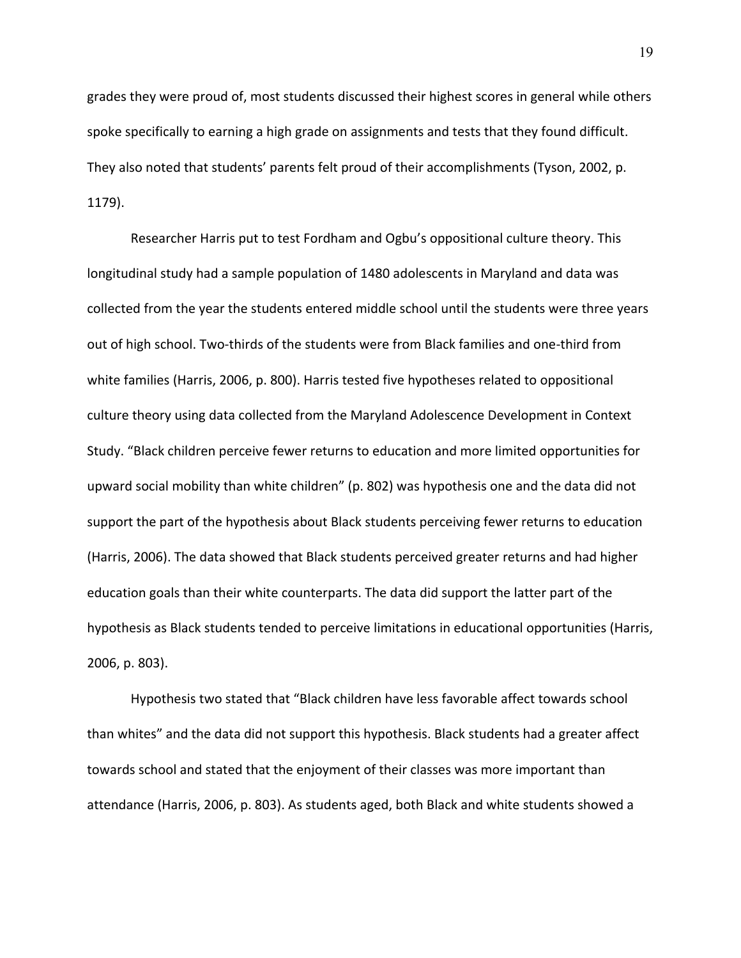grades they were proud of, most students discussed their highest scores in general while others spoke specifically to earning a high grade on assignments and tests that they found difficult. They also noted that students' parents felt proud of their accomplishments (Tyson, 2002, p. 1179).

Researcher Harris put to test Fordham and Ogbu's oppositional culture theory. This longitudinal study had a sample population of 1480 adolescents in Maryland and data was collected from the year the students entered middle school until the students were three years out of high school. Two-thirds of the students were from Black families and one-third from white families (Harris, 2006, p. 800). Harris tested five hypotheses related to oppositional culture theory using data collected from the Maryland Adolescence Development in Context Study. "Black children perceive fewer returns to education and more limited opportunities for upward social mobility than white children" (p. 802) was hypothesis one and the data did not support the part of the hypothesis about Black students perceiving fewer returns to education (Harris, 2006). The data showed that Black students perceived greater returns and had higher education goals than their white counterparts. The data did support the latter part of the hypothesis as Black students tended to perceive limitations in educational opportunities (Harris, 2006, p. 803).

Hypothesis two stated that "Black children have less favorable affect towards school than whites" and the data did not support this hypothesis. Black students had a greater affect towards school and stated that the enjoyment of their classes was more important than attendance (Harris, 2006, p. 803). As students aged, both Black and white students showed a

19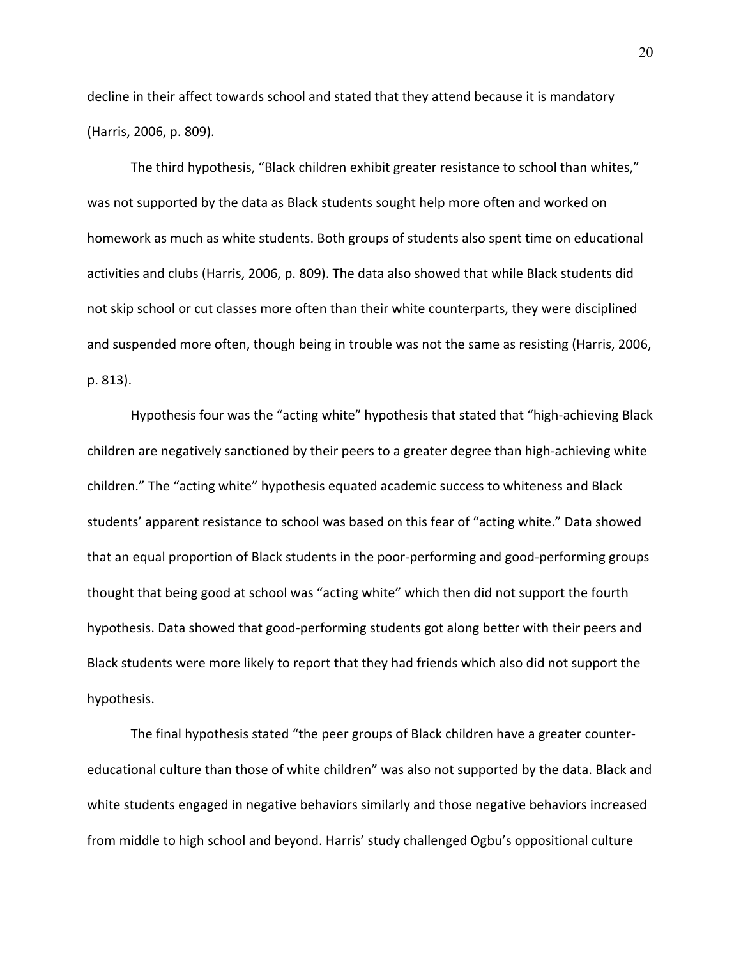decline in their affect towards school and stated that they attend because it is mandatory (Harris, 2006, p. 809).

The third hypothesis, "Black children exhibit greater resistance to school than whites," was not supported by the data as Black students sought help more often and worked on homework as much as white students. Both groups of students also spent time on educational activities and clubs (Harris, 2006, p. 809). The data also showed that while Black students did not skip school or cut classes more often than their white counterparts, they were disciplined and suspended more often, though being in trouble was not the same as resisting (Harris, 2006, p. 813).

Hypothesis four was the "acting white" hypothesis that stated that "high-achieving Black children are negatively sanctioned by their peers to a greater degree than high-achieving white children." The "acting white" hypothesis equated academic success to whiteness and Black students' apparent resistance to school was based on this fear of "acting white." Data showed that an equal proportion of Black students in the poor-performing and good-performing groups thought that being good at school was "acting white" which then did not support the fourth hypothesis. Data showed that good-performing students got along better with their peers and Black students were more likely to report that they had friends which also did not support the hypothesis.

The final hypothesis stated "the peer groups of Black children have a greater countereducational culture than those of white children" was also not supported by the data. Black and white students engaged in negative behaviors similarly and those negative behaviors increased from middle to high school and beyond. Harris' study challenged Ogbu's oppositional culture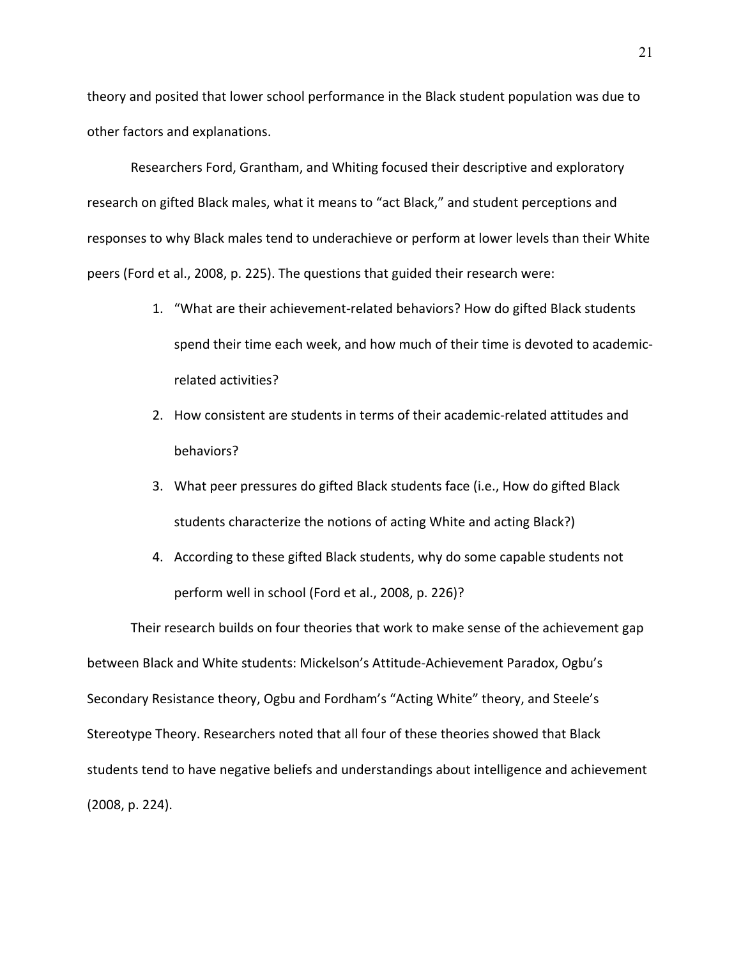theory and posited that lower school performance in the Black student population was due to other factors and explanations.

Researchers Ford, Grantham, and Whiting focused their descriptive and exploratory research on gifted Black males, what it means to "act Black," and student perceptions and responses to why Black males tend to underachieve or perform at lower levels than their White peers (Ford et al., 2008, p. 225). The questions that guided their research were:

- 1. "What are their achievement-related behaviors? How do gifted Black students spend their time each week, and how much of their time is devoted to academicrelated activities?
- 2. How consistent are students in terms of their academic-related attitudes and behaviors?
- 3. What peer pressures do gifted Black students face (i.e., How do gifted Black students characterize the notions of acting White and acting Black?)
- 4. According to these gifted Black students, why do some capable students not perform well in school (Ford et al., 2008, p. 226)?

Their research builds on four theories that work to make sense of the achievement gap between Black and White students: Mickelson's Attitude-Achievement Paradox, Ogbu's Secondary Resistance theory, Ogbu and Fordham's "Acting White" theory, and Steele's Stereotype Theory. Researchers noted that all four of these theories showed that Black students tend to have negative beliefs and understandings about intelligence and achievement (2008, p. 224).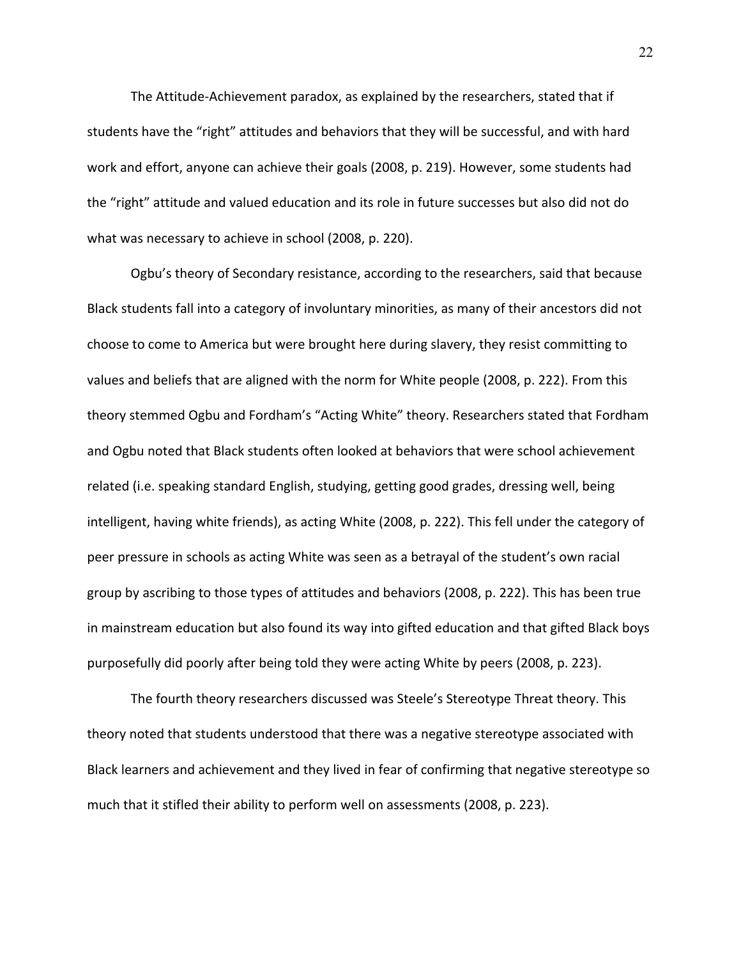The Attitude-Achievement paradox, as explained by the researchers, stated that if students have the "right" attitudes and behaviors that they will be successful, and with hard work and effort, anyone can achieve their goals (2008, p. 219). However, some students had the "right" attitude and valued education and its role in future successes but also did not do what was necessary to achieve in school (2008, p. 220).

Ogbu's theory of Secondary resistance, according to the researchers, said that because Black students fall into a category of involuntary minorities, as many of their ancestors did not choose to come to America but were brought here during slavery, they resist committing to values and beliefs that are aligned with the norm for White people (2008, p. 222). From this theory stemmed Ogbu and Fordham's "Acting White" theory. Researchers stated that Fordham and Ogbu noted that Black students often looked at behaviors that were school achievement related (i.e. speaking standard English, studying, getting good grades, dressing well, being intelligent, having white friends), as acting White (2008, p. 222). This fell under the category of peer pressure in schools as acting White was seen as a betrayal of the student's own racial group by ascribing to those types of attitudes and behaviors (2008, p. 222). This has been true in mainstream education but also found its way into gifted education and that gifted Black boys purposefully did poorly after being told they were acting White by peers (2008, p. 223).

The fourth theory researchers discussed was Steele's Stereotype Threat theory. This theory noted that students understood that there was a negative stereotype associated with Black learners and achievement and they lived in fear of confirming that negative stereotype so much that it stifled their ability to perform well on assessments (2008, p. 223).

22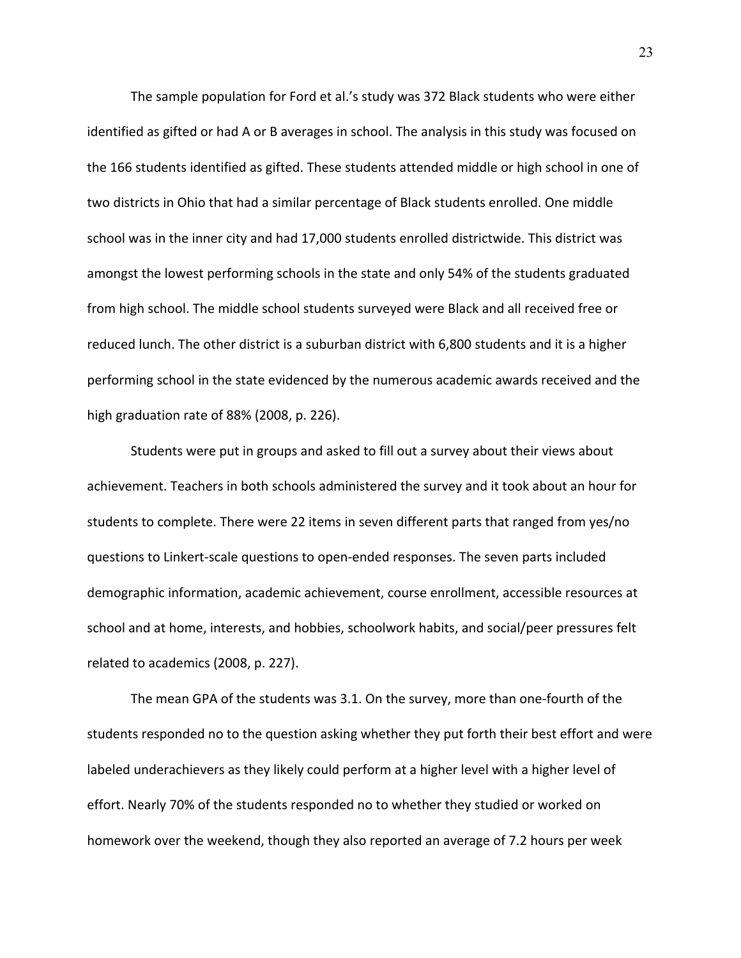The sample population for Ford et al.'s study was 372 Black students who were either identified as gifted or had A or B averages in school. The analysis in this study was focused on the 166 students identified as gifted. These students attended middle or high school in one of two districts in Ohio that had a similar percentage of Black students enrolled. One middle school was in the inner city and had 17,000 students enrolled districtwide. This district was amongst the lowest performing schools in the state and only 54% of the students graduated from high school. The middle school students surveyed were Black and all received free or reduced lunch. The other district is a suburban district with 6,800 students and it is a higher performing school in the state evidenced by the numerous academic awards received and the high graduation rate of 88% (2008, p. 226).

Students were put in groups and asked to fill out a survey about their views about achievement. Teachers in both schools administered the survey and it took about an hour for students to complete. There were 22 items in seven different parts that ranged from yes/no questions to Linkert-scale questions to open-ended responses. The seven parts included demographic information, academic achievement, course enrollment, accessible resources at school and at home, interests, and hobbies, schoolwork habits, and social/peer pressures felt related to academics (2008, p. 227).

The mean GPA of the students was 3.1. On the survey, more than one-fourth of the students responded no to the question asking whether they put forth their best effort and were labeled underachievers as they likely could perform at a higher level with a higher level of effort. Nearly 70% of the students responded no to whether they studied or worked on homework over the weekend, though they also reported an average of 7.2 hours per week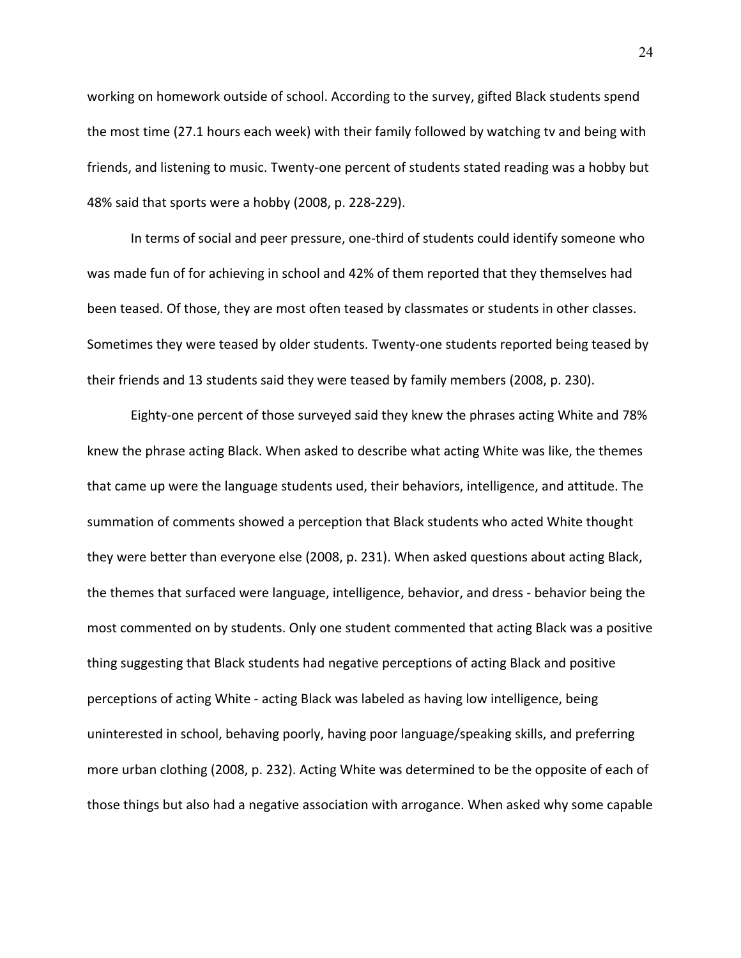working on homework outside of school. According to the survey, gifted Black students spend the most time (27.1 hours each week) with their family followed by watching tv and being with friends, and listening to music. Twenty-one percent of students stated reading was a hobby but 48% said that sports were a hobby (2008, p. 228-229).

In terms of social and peer pressure, one-third of students could identify someone who was made fun of for achieving in school and 42% of them reported that they themselves had been teased. Of those, they are most often teased by classmates or students in other classes. Sometimes they were teased by older students. Twenty-one students reported being teased by their friends and 13 students said they were teased by family members (2008, p. 230).

Eighty-one percent of those surveyed said they knew the phrases acting White and 78% knew the phrase acting Black. When asked to describe what acting White was like, the themes that came up were the language students used, their behaviors, intelligence, and attitude. The summation of comments showed a perception that Black students who acted White thought they were better than everyone else (2008, p. 231). When asked questions about acting Black, the themes that surfaced were language, intelligence, behavior, and dress - behavior being the most commented on by students. Only one student commented that acting Black was a positive thing suggesting that Black students had negative perceptions of acting Black and positive perceptions of acting White - acting Black was labeled as having low intelligence, being uninterested in school, behaving poorly, having poor language/speaking skills, and preferring more urban clothing (2008, p. 232). Acting White was determined to be the opposite of each of those things but also had a negative association with arrogance. When asked why some capable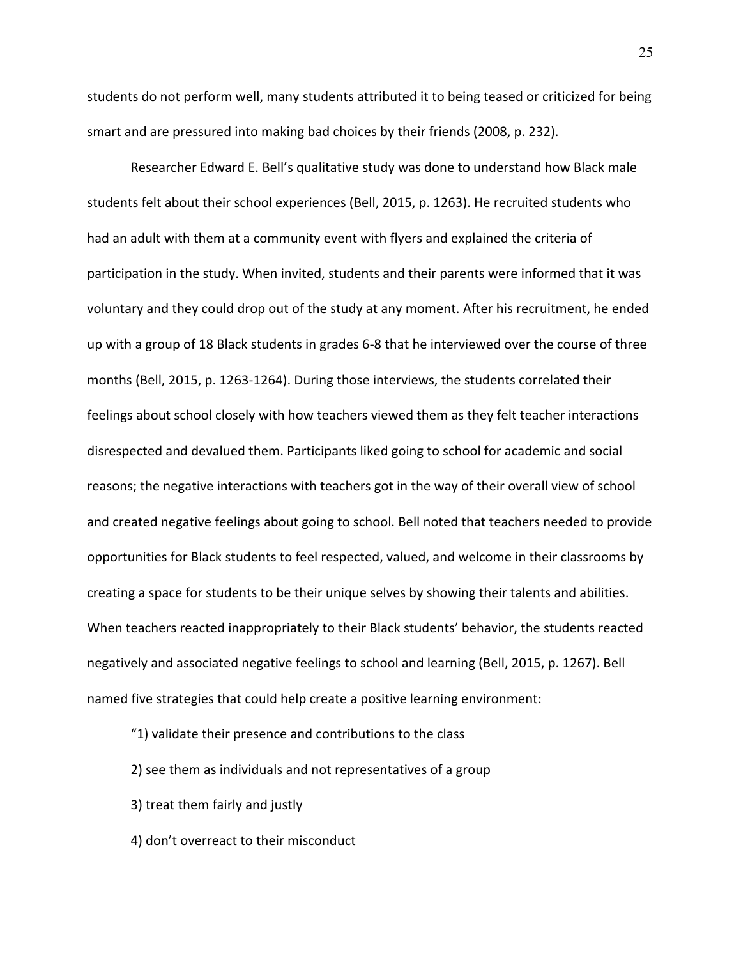students do not perform well, many students attributed it to being teased or criticized for being smart and are pressured into making bad choices by their friends (2008, p. 232).

Researcher Edward E. Bell's qualitative study was done to understand how Black male students felt about their school experiences (Bell, 2015, p. 1263). He recruited students who had an adult with them at a community event with flyers and explained the criteria of participation in the study. When invited, students and their parents were informed that it was voluntary and they could drop out of the study at any moment. After his recruitment, he ended up with a group of 18 Black students in grades 6-8 that he interviewed over the course of three months (Bell, 2015, p. 1263-1264). During those interviews, the students correlated their feelings about school closely with how teachers viewed them as they felt teacher interactions disrespected and devalued them. Participants liked going to school for academic and social reasons; the negative interactions with teachers got in the way of their overall view of school and created negative feelings about going to school. Bell noted that teachers needed to provide opportunities for Black students to feel respected, valued, and welcome in their classrooms by creating a space for students to be their unique selves by showing their talents and abilities. When teachers reacted inappropriately to their Black students' behavior, the students reacted negatively and associated negative feelings to school and learning (Bell, 2015, p. 1267). Bell named five strategies that could help create a positive learning environment:

- "1) validate their presence and contributions to the class
- 2) see them as individuals and not representatives of a group
- 3) treat them fairly and justly
- 4) don't overreact to their misconduct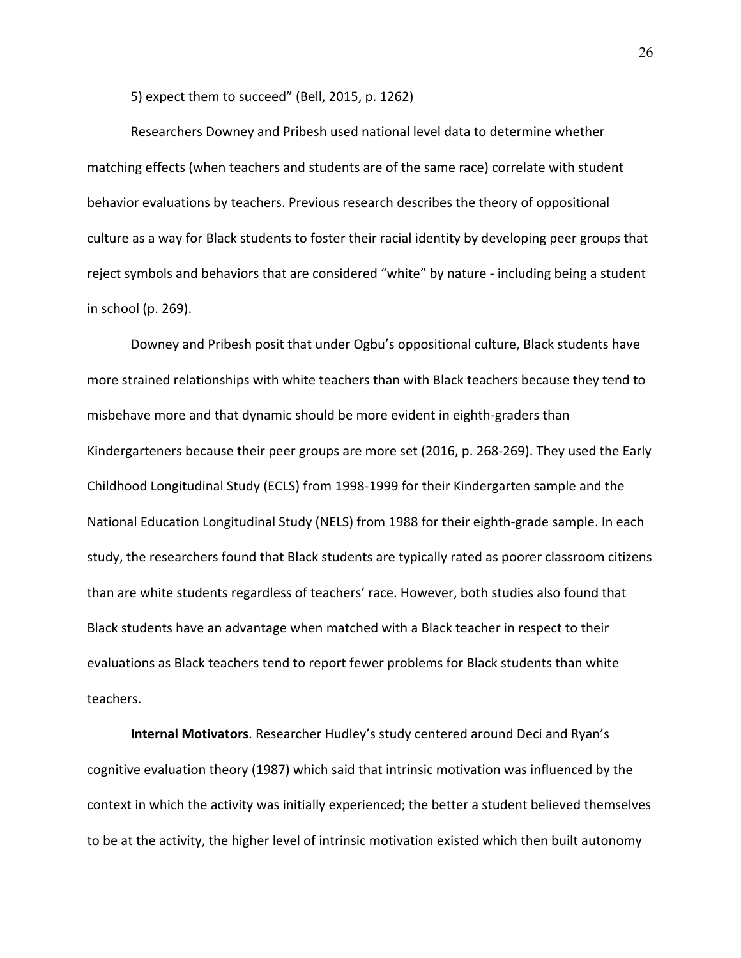5) expect them to succeed" (Bell, 2015, p. 1262)

Researchers Downey and Pribesh used national level data to determine whether matching effects (when teachers and students are of the same race) correlate with student behavior evaluations by teachers. Previous research describes the theory of oppositional culture as a way for Black students to foster their racial identity by developing peer groups that reject symbols and behaviors that are considered "white" by nature - including being a student in school (p. 269).

Downey and Pribesh posit that under Ogbu's oppositional culture, Black students have more strained relationships with white teachers than with Black teachers because they tend to misbehave more and that dynamic should be more evident in eighth-graders than Kindergarteners because their peer groups are more set (2016, p. 268-269). They used the Early Childhood Longitudinal Study (ECLS) from 1998-1999 for their Kindergarten sample and the National Education Longitudinal Study (NELS) from 1988 for their eighth-grade sample. In each study, the researchers found that Black students are typically rated as poorer classroom citizens than are white students regardless of teachers' race. However, both studies also found that Black students have an advantage when matched with a Black teacher in respect to their evaluations as Black teachers tend to report fewer problems for Black students than white teachers.

**Internal Motivators**. Researcher Hudley's study centered around Deci and Ryan's cognitive evaluation theory (1987) which said that intrinsic motivation was influenced by the context in which the activity was initially experienced; the better a student believed themselves to be at the activity, the higher level of intrinsic motivation existed which then built autonomy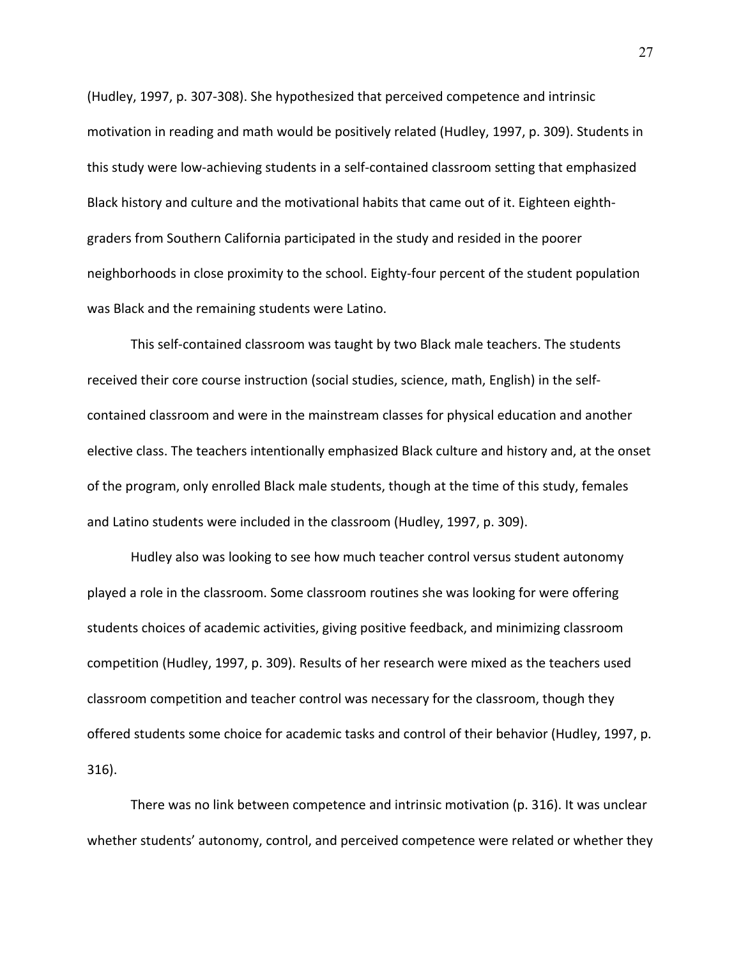(Hudley, 1997, p. 307-308). She hypothesized that perceived competence and intrinsic motivation in reading and math would be positively related (Hudley, 1997, p. 309). Students in this study were low-achieving students in a self-contained classroom setting that emphasized Black history and culture and the motivational habits that came out of it. Eighteen eighthgraders from Southern California participated in the study and resided in the poorer neighborhoods in close proximity to the school. Eighty-four percent of the student population was Black and the remaining students were Latino.

This self-contained classroom was taught by two Black male teachers. The students received their core course instruction (social studies, science, math, English) in the selfcontained classroom and were in the mainstream classes for physical education and another elective class. The teachers intentionally emphasized Black culture and history and, at the onset of the program, only enrolled Black male students, though at the time of this study, females and Latino students were included in the classroom (Hudley, 1997, p. 309).

Hudley also was looking to see how much teacher control versus student autonomy played a role in the classroom. Some classroom routines she was looking for were offering students choices of academic activities, giving positive feedback, and minimizing classroom competition (Hudley, 1997, p. 309). Results of her research were mixed as the teachers used classroom competition and teacher control was necessary for the classroom, though they offered students some choice for academic tasks and control of their behavior (Hudley, 1997, p. 316).

There was no link between competence and intrinsic motivation (p. 316). It was unclear whether students' autonomy, control, and perceived competence were related or whether they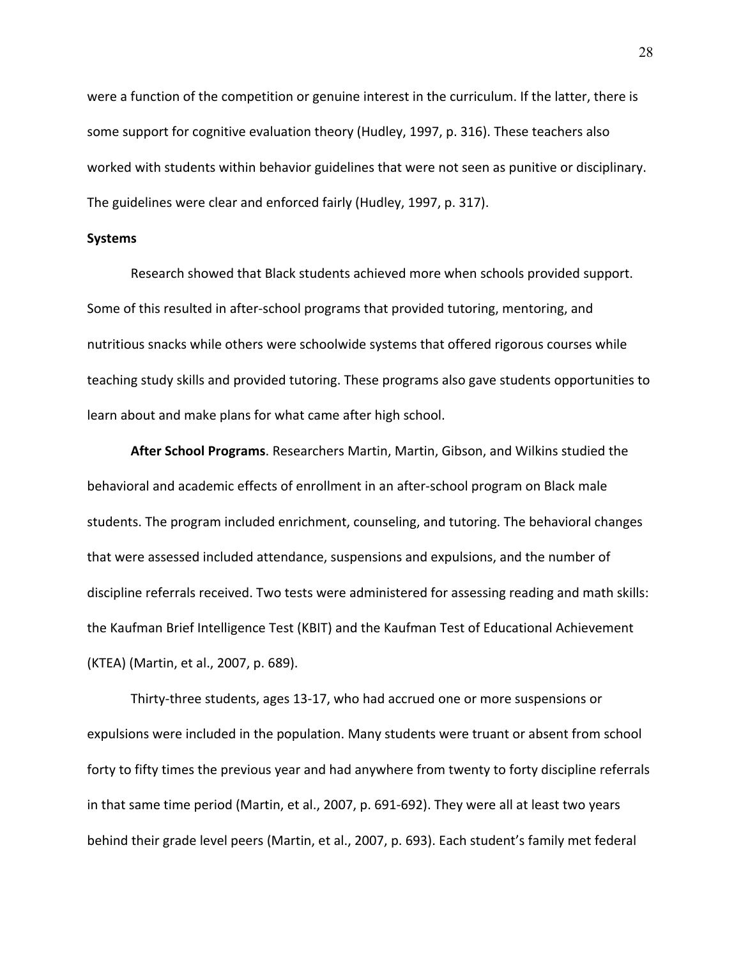were a function of the competition or genuine interest in the curriculum. If the latter, there is some support for cognitive evaluation theory (Hudley, 1997, p. 316). These teachers also worked with students within behavior guidelines that were not seen as punitive or disciplinary. The guidelines were clear and enforced fairly (Hudley, 1997, p. 317).

#### **Systems**

Research showed that Black students achieved more when schools provided support. Some of this resulted in after-school programs that provided tutoring, mentoring, and nutritious snacks while others were schoolwide systems that offered rigorous courses while teaching study skills and provided tutoring. These programs also gave students opportunities to learn about and make plans for what came after high school.

**After School Programs**. Researchers Martin, Martin, Gibson, and Wilkins studied the behavioral and academic effects of enrollment in an after-school program on Black male students. The program included enrichment, counseling, and tutoring. The behavioral changes that were assessed included attendance, suspensions and expulsions, and the number of discipline referrals received. Two tests were administered for assessing reading and math skills: the Kaufman Brief Intelligence Test (KBIT) and the Kaufman Test of Educational Achievement (KTEA) (Martin, et al., 2007, p. 689).

Thirty-three students, ages 13-17, who had accrued one or more suspensions or expulsions were included in the population. Many students were truant or absent from school forty to fifty times the previous year and had anywhere from twenty to forty discipline referrals in that same time period (Martin, et al., 2007, p. 691-692). They were all at least two years behind their grade level peers (Martin, et al., 2007, p. 693). Each student's family met federal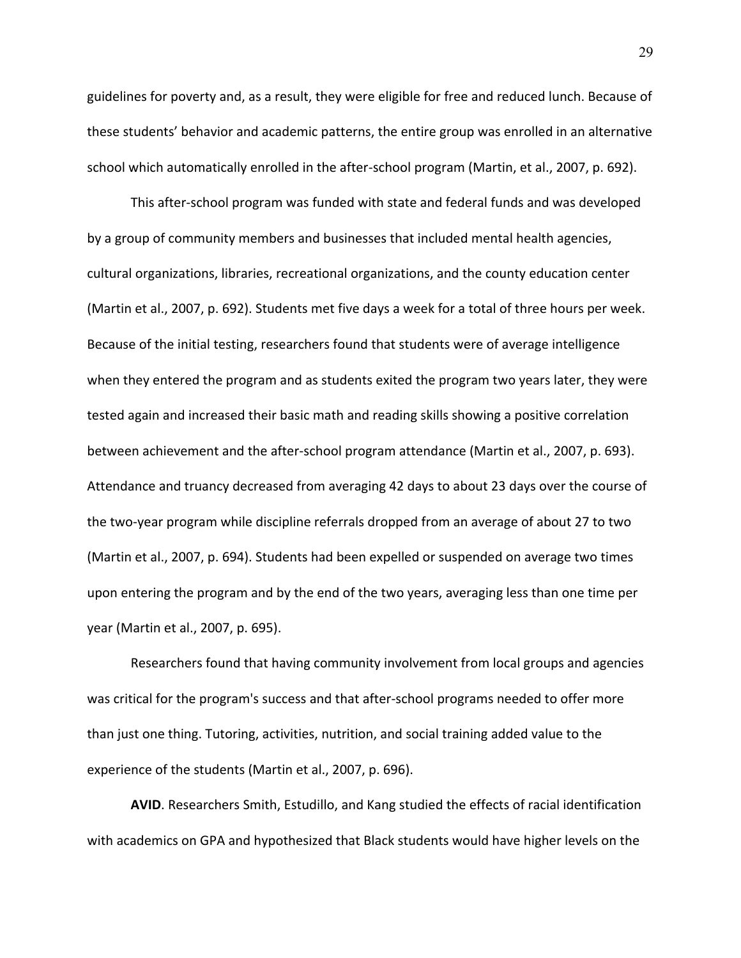guidelines for poverty and, as a result, they were eligible for free and reduced lunch. Because of these students' behavior and academic patterns, the entire group was enrolled in an alternative school which automatically enrolled in the after-school program (Martin, et al., 2007, p. 692).

This after-school program was funded with state and federal funds and was developed by a group of community members and businesses that included mental health agencies, cultural organizations, libraries, recreational organizations, and the county education center (Martin et al., 2007, p. 692). Students met five days a week for a total of three hours per week. Because of the initial testing, researchers found that students were of average intelligence when they entered the program and as students exited the program two years later, they were tested again and increased their basic math and reading skills showing a positive correlation between achievement and the after-school program attendance (Martin et al., 2007, p. 693). Attendance and truancy decreased from averaging 42 days to about 23 days over the course of the two-year program while discipline referrals dropped from an average of about 27 to two (Martin et al., 2007, p. 694). Students had been expelled or suspended on average two times upon entering the program and by the end of the two years, averaging less than one time per year (Martin et al., 2007, p. 695).

Researchers found that having community involvement from local groups and agencies was critical for the program's success and that after-school programs needed to offer more than just one thing. Tutoring, activities, nutrition, and social training added value to the experience of the students (Martin et al., 2007, p. 696).

**AVID**. Researchers Smith, Estudillo, and Kang studied the effects of racial identification with academics on GPA and hypothesized that Black students would have higher levels on the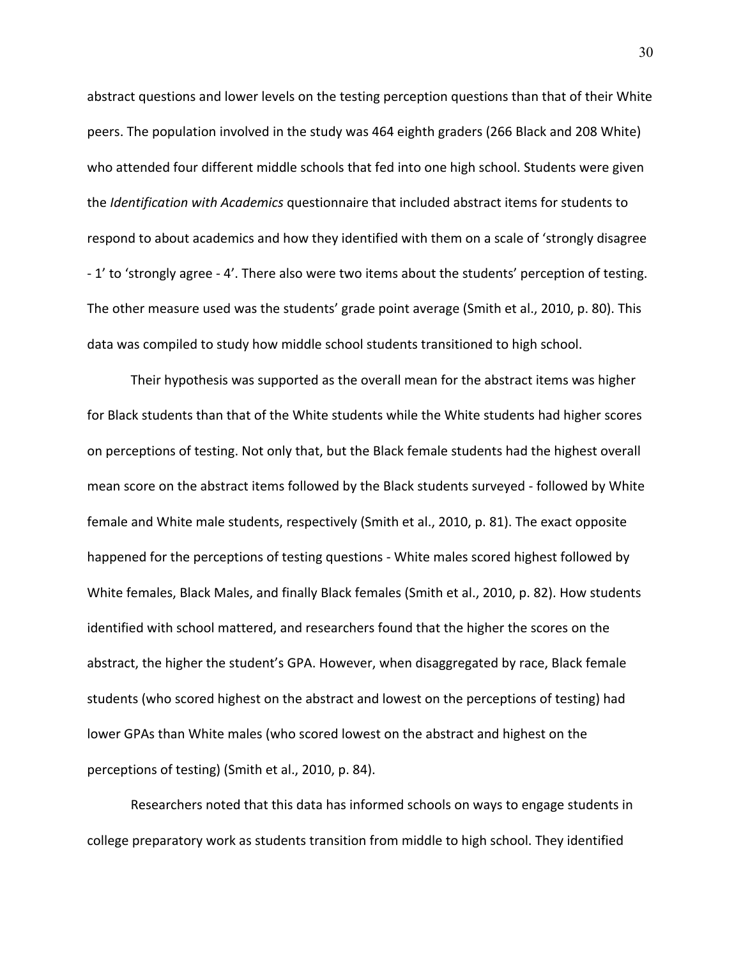abstract questions and lower levels on the testing perception questions than that of their White peers. The population involved in the study was 464 eighth graders (266 Black and 208 White) who attended four different middle schools that fed into one high school. Students were given the *Identification with Academics* questionnaire that included abstract items for students to respond to about academics and how they identified with them on a scale of 'strongly disagree - 1' to 'strongly agree - 4'. There also were two items about the students' perception of testing. The other measure used was the students' grade point average (Smith et al., 2010, p. 80). This data was compiled to study how middle school students transitioned to high school.

Their hypothesis was supported as the overall mean for the abstract items was higher for Black students than that of the White students while the White students had higher scores on perceptions of testing. Not only that, but the Black female students had the highest overall mean score on the abstract items followed by the Black students surveyed - followed by White female and White male students, respectively (Smith et al., 2010, p. 81). The exact opposite happened for the perceptions of testing questions - White males scored highest followed by White females, Black Males, and finally Black females (Smith et al., 2010, p. 82). How students identified with school mattered, and researchers found that the higher the scores on the abstract, the higher the student's GPA. However, when disaggregated by race, Black female students (who scored highest on the abstract and lowest on the perceptions of testing) had lower GPAs than White males (who scored lowest on the abstract and highest on the perceptions of testing) (Smith et al., 2010, p. 84).

Researchers noted that this data has informed schools on ways to engage students in college preparatory work as students transition from middle to high school. They identified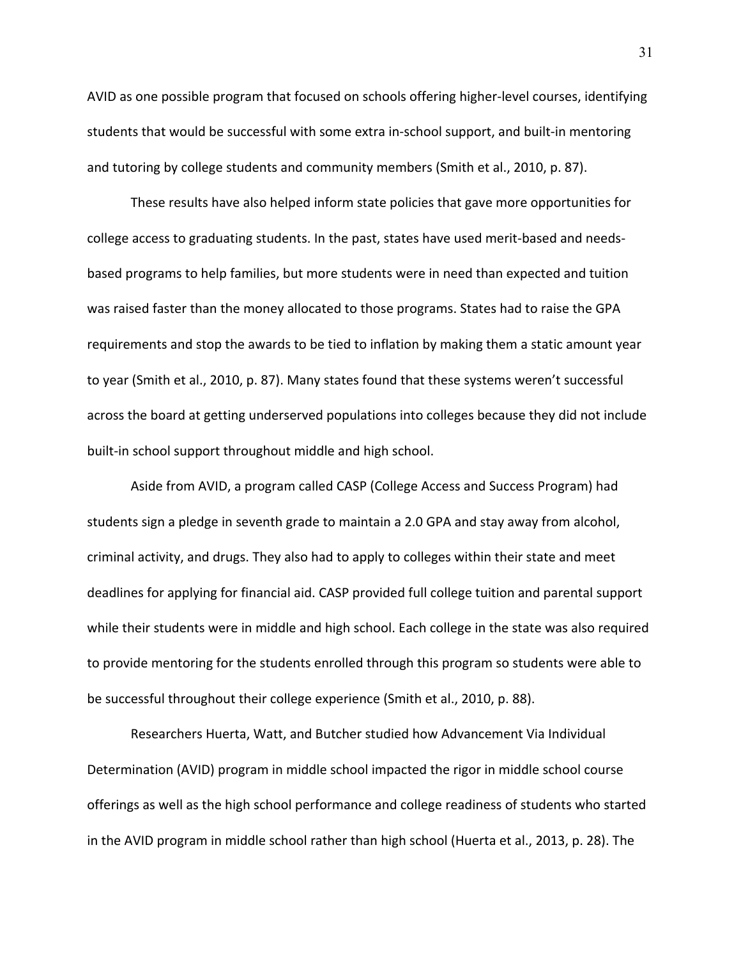AVID as one possible program that focused on schools offering higher-level courses, identifying students that would be successful with some extra in-school support, and built-in mentoring and tutoring by college students and community members (Smith et al., 2010, p. 87).

These results have also helped inform state policies that gave more opportunities for college access to graduating students. In the past, states have used merit-based and needsbased programs to help families, but more students were in need than expected and tuition was raised faster than the money allocated to those programs. States had to raise the GPA requirements and stop the awards to be tied to inflation by making them a static amount year to year (Smith et al., 2010, p. 87). Many states found that these systems weren't successful across the board at getting underserved populations into colleges because they did not include built-in school support throughout middle and high school.

Aside from AVID, a program called CASP (College Access and Success Program) had students sign a pledge in seventh grade to maintain a 2.0 GPA and stay away from alcohol, criminal activity, and drugs. They also had to apply to colleges within their state and meet deadlines for applying for financial aid. CASP provided full college tuition and parental support while their students were in middle and high school. Each college in the state was also required to provide mentoring for the students enrolled through this program so students were able to be successful throughout their college experience (Smith et al., 2010, p. 88).

Researchers Huerta, Watt, and Butcher studied how Advancement Via Individual Determination (AVID) program in middle school impacted the rigor in middle school course offerings as well as the high school performance and college readiness of students who started in the AVID program in middle school rather than high school (Huerta et al., 2013, p. 28). The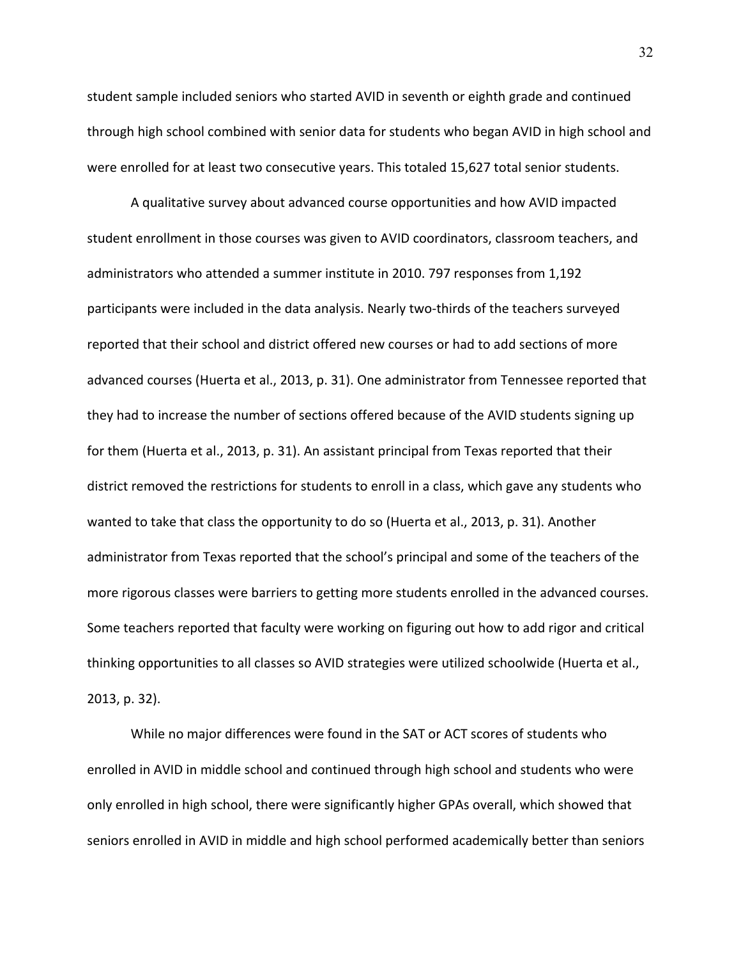student sample included seniors who started AVID in seventh or eighth grade and continued through high school combined with senior data for students who began AVID in high school and were enrolled for at least two consecutive years. This totaled 15,627 total senior students.

A qualitative survey about advanced course opportunities and how AVID impacted student enrollment in those courses was given to AVID coordinators, classroom teachers, and administrators who attended a summer institute in 2010. 797 responses from 1,192 participants were included in the data analysis. Nearly two-thirds of the teachers surveyed reported that their school and district offered new courses or had to add sections of more advanced courses (Huerta et al., 2013, p. 31). One administrator from Tennessee reported that they had to increase the number of sections offered because of the AVID students signing up for them (Huerta et al., 2013, p. 31). An assistant principal from Texas reported that their district removed the restrictions for students to enroll in a class, which gave any students who wanted to take that class the opportunity to do so (Huerta et al., 2013, p. 31). Another administrator from Texas reported that the school's principal and some of the teachers of the more rigorous classes were barriers to getting more students enrolled in the advanced courses. Some teachers reported that faculty were working on figuring out how to add rigor and critical thinking opportunities to all classes so AVID strategies were utilized schoolwide (Huerta et al., 2013, p. 32).

While no major differences were found in the SAT or ACT scores of students who enrolled in AVID in middle school and continued through high school and students who were only enrolled in high school, there were significantly higher GPAs overall, which showed that seniors enrolled in AVID in middle and high school performed academically better than seniors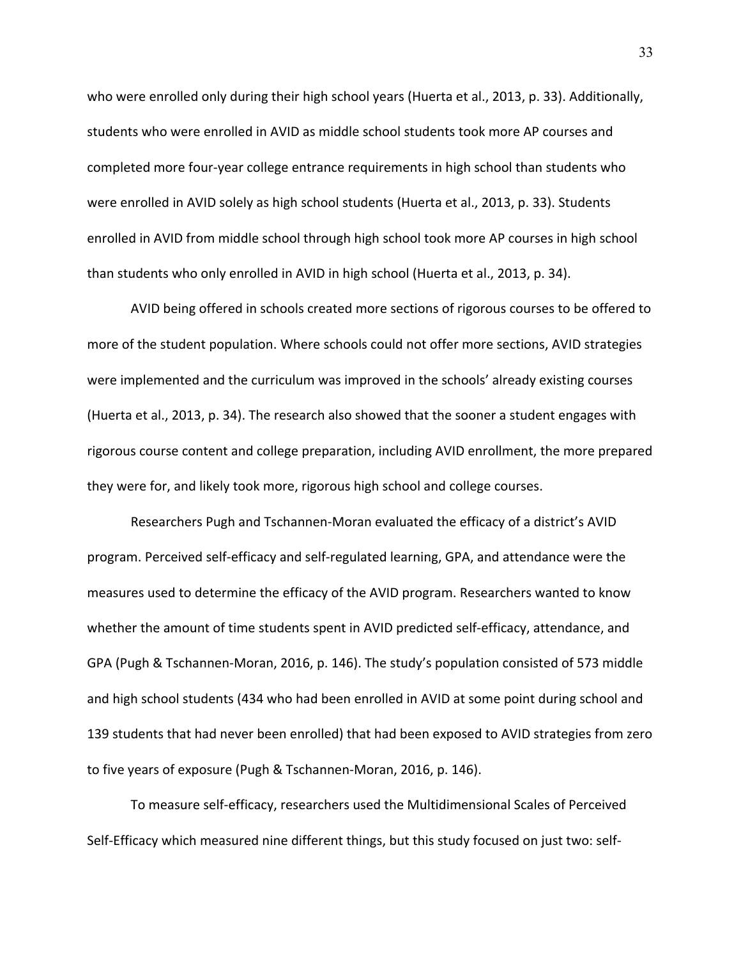who were enrolled only during their high school years (Huerta et al., 2013, p. 33). Additionally, students who were enrolled in AVID as middle school students took more AP courses and completed more four-year college entrance requirements in high school than students who were enrolled in AVID solely as high school students (Huerta et al., 2013, p. 33). Students enrolled in AVID from middle school through high school took more AP courses in high school than students who only enrolled in AVID in high school (Huerta et al., 2013, p. 34).

AVID being offered in schools created more sections of rigorous courses to be offered to more of the student population. Where schools could not offer more sections, AVID strategies were implemented and the curriculum was improved in the schools' already existing courses (Huerta et al., 2013, p. 34). The research also showed that the sooner a student engages with rigorous course content and college preparation, including AVID enrollment, the more prepared they were for, and likely took more, rigorous high school and college courses.

Researchers Pugh and Tschannen-Moran evaluated the efficacy of a district's AVID program. Perceived self-efficacy and self-regulated learning, GPA, and attendance were the measures used to determine the efficacy of the AVID program. Researchers wanted to know whether the amount of time students spent in AVID predicted self-efficacy, attendance, and GPA (Pugh & Tschannen-Moran, 2016, p. 146). The study's population consisted of 573 middle and high school students (434 who had been enrolled in AVID at some point during school and 139 students that had never been enrolled) that had been exposed to AVID strategies from zero to five years of exposure (Pugh & Tschannen-Moran, 2016, p. 146).

To measure self-efficacy, researchers used the Multidimensional Scales of Perceived Self-Efficacy which measured nine different things, but this study focused on just two: self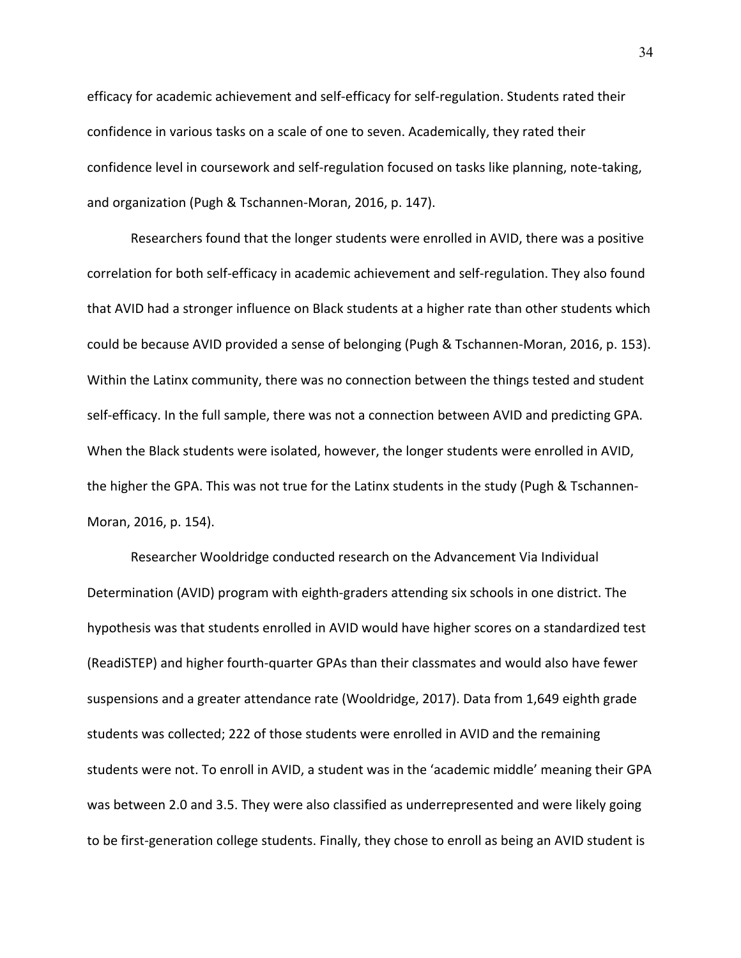efficacy for academic achievement and self-efficacy for self-regulation. Students rated their confidence in various tasks on a scale of one to seven. Academically, they rated their confidence level in coursework and self-regulation focused on tasks like planning, note-taking, and organization (Pugh & Tschannen-Moran, 2016, p. 147).

Researchers found that the longer students were enrolled in AVID, there was a positive correlation for both self-efficacy in academic achievement and self-regulation. They also found that AVID had a stronger influence on Black students at a higher rate than other students which could be because AVID provided a sense of belonging (Pugh & Tschannen-Moran, 2016, p. 153). Within the Latinx community, there was no connection between the things tested and student self-efficacy. In the full sample, there was not a connection between AVID and predicting GPA. When the Black students were isolated, however, the longer students were enrolled in AVID, the higher the GPA. This was not true for the Latinx students in the study (Pugh & Tschannen-Moran, 2016, p. 154).

Researcher Wooldridge conducted research on the Advancement Via Individual Determination (AVID) program with eighth-graders attending six schools in one district. The hypothesis was that students enrolled in AVID would have higher scores on a standardized test (ReadiSTEP) and higher fourth-quarter GPAs than their classmates and would also have fewer suspensions and a greater attendance rate (Wooldridge, 2017). Data from 1,649 eighth grade students was collected; 222 of those students were enrolled in AVID and the remaining students were not. To enroll in AVID, a student was in the 'academic middle' meaning their GPA was between 2.0 and 3.5. They were also classified as underrepresented and were likely going to be first-generation college students. Finally, they chose to enroll as being an AVID student is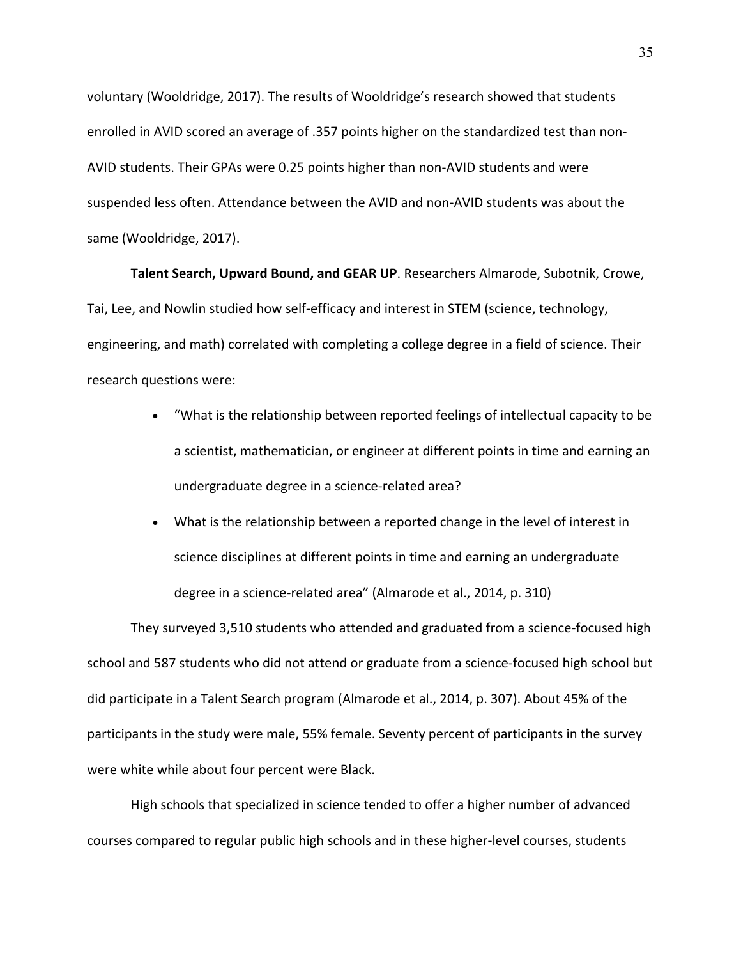voluntary (Wooldridge, 2017). The results of Wooldridge's research showed that students enrolled in AVID scored an average of .357 points higher on the standardized test than non-AVID students. Their GPAs were 0.25 points higher than non-AVID students and were suspended less often. Attendance between the AVID and non-AVID students was about the same (Wooldridge, 2017).

**Talent Search, Upward Bound, and GEAR UP**. Researchers Almarode, Subotnik, Crowe, Tai, Lee, and Nowlin studied how self-efficacy and interest in STEM (science, technology, engineering, and math) correlated with completing a college degree in a field of science. Their research questions were:

- "What is the relationship between reported feelings of intellectual capacity to be a scientist, mathematician, or engineer at different points in time and earning an undergraduate degree in a science-related area?
- What is the relationship between a reported change in the level of interest in science disciplines at different points in time and earning an undergraduate degree in a science-related area" (Almarode et al., 2014, p. 310)

They surveyed 3,510 students who attended and graduated from a science-focused high school and 587 students who did not attend or graduate from a science-focused high school but did participate in a Talent Search program (Almarode et al., 2014, p. 307). About 45% of the participants in the study were male, 55% female. Seventy percent of participants in the survey were white while about four percent were Black.

High schools that specialized in science tended to offer a higher number of advanced courses compared to regular public high schools and in these higher-level courses, students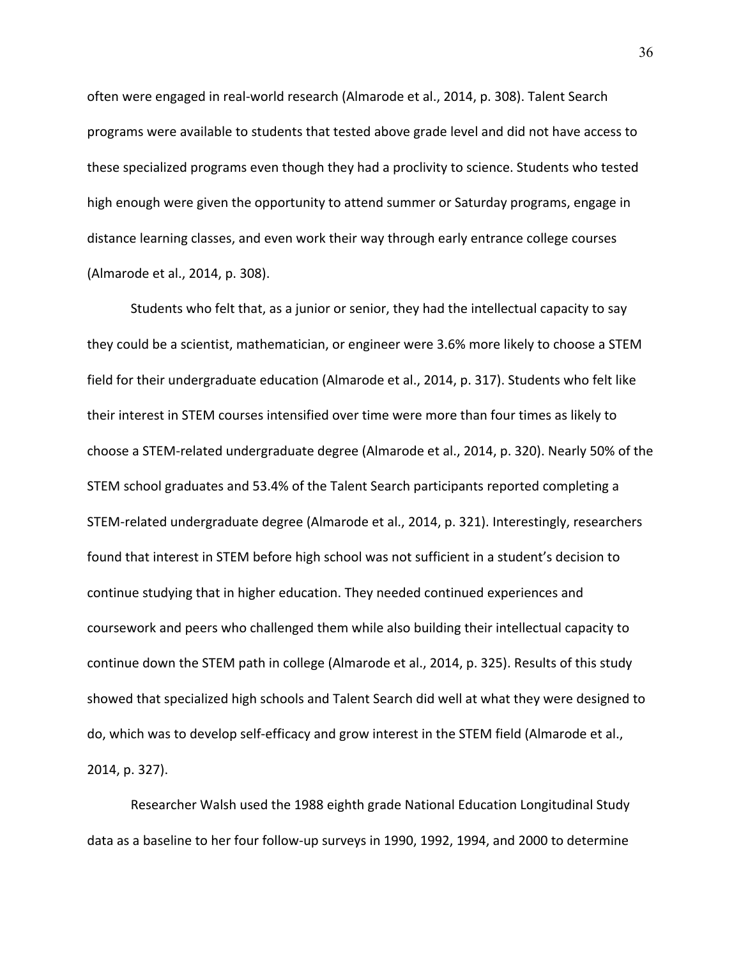often were engaged in real-world research (Almarode et al., 2014, p. 308). Talent Search programs were available to students that tested above grade level and did not have access to these specialized programs even though they had a proclivity to science. Students who tested high enough were given the opportunity to attend summer or Saturday programs, engage in distance learning classes, and even work their way through early entrance college courses (Almarode et al., 2014, p. 308).

Students who felt that, as a junior or senior, they had the intellectual capacity to say they could be a scientist, mathematician, or engineer were 3.6% more likely to choose a STEM field for their undergraduate education (Almarode et al., 2014, p. 317). Students who felt like their interest in STEM courses intensified over time were more than four times as likely to choose a STEM-related undergraduate degree (Almarode et al., 2014, p. 320). Nearly 50% of the STEM school graduates and 53.4% of the Talent Search participants reported completing a STEM-related undergraduate degree (Almarode et al., 2014, p. 321). Interestingly, researchers found that interest in STEM before high school was not sufficient in a student's decision to continue studying that in higher education. They needed continued experiences and coursework and peers who challenged them while also building their intellectual capacity to continue down the STEM path in college (Almarode et al., 2014, p. 325). Results of this study showed that specialized high schools and Talent Search did well at what they were designed to do, which was to develop self-efficacy and grow interest in the STEM field (Almarode et al., 2014, p. 327).

Researcher Walsh used the 1988 eighth grade National Education Longitudinal Study data as a baseline to her four follow-up surveys in 1990, 1992, 1994, and 2000 to determine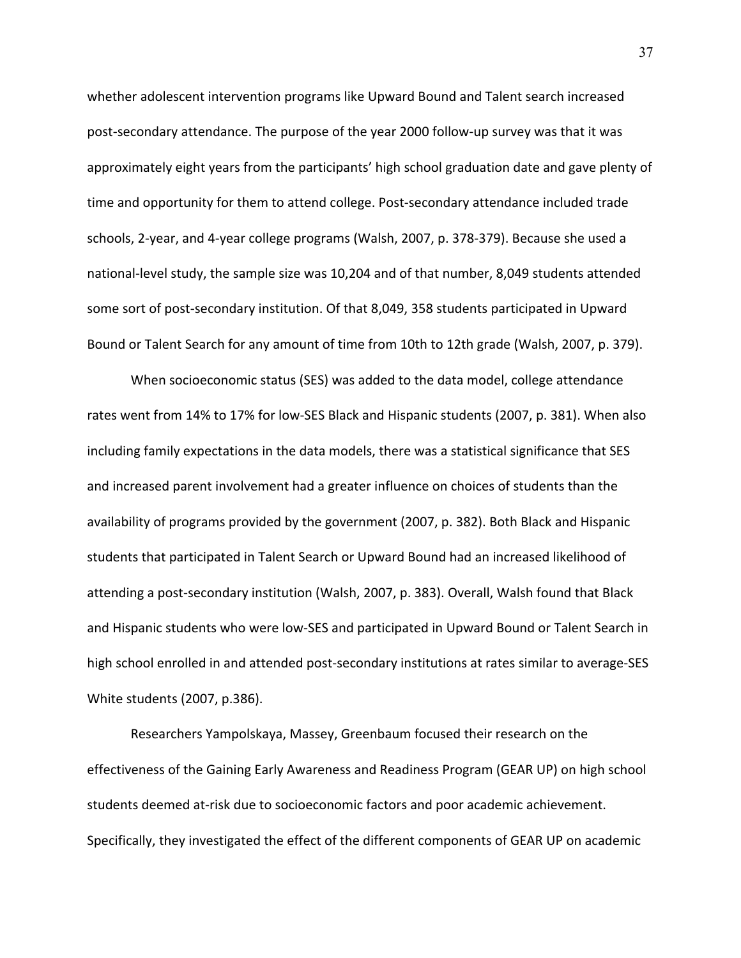whether adolescent intervention programs like Upward Bound and Talent search increased post-secondary attendance. The purpose of the year 2000 follow-up survey was that it was approximately eight years from the participants' high school graduation date and gave plenty of time and opportunity for them to attend college. Post-secondary attendance included trade schools, 2-year, and 4-year college programs (Walsh, 2007, p. 378-379). Because she used a national-level study, the sample size was 10,204 and of that number, 8,049 students attended some sort of post-secondary institution. Of that 8,049, 358 students participated in Upward Bound or Talent Search for any amount of time from 10th to 12th grade (Walsh, 2007, p. 379).

When socioeconomic status (SES) was added to the data model, college attendance rates went from 14% to 17% for low-SES Black and Hispanic students (2007, p. 381). When also including family expectations in the data models, there was a statistical significance that SES and increased parent involvement had a greater influence on choices of students than the availability of programs provided by the government (2007, p. 382). Both Black and Hispanic students that participated in Talent Search or Upward Bound had an increased likelihood of attending a post-secondary institution (Walsh, 2007, p. 383). Overall, Walsh found that Black and Hispanic students who were low-SES and participated in Upward Bound or Talent Search in high school enrolled in and attended post-secondary institutions at rates similar to average-SES White students (2007, p.386).

Researchers Yampolskaya, Massey, Greenbaum focused their research on the effectiveness of the Gaining Early Awareness and Readiness Program (GEAR UP) on high school students deemed at-risk due to socioeconomic factors and poor academic achievement. Specifically, they investigated the effect of the different components of GEAR UP on academic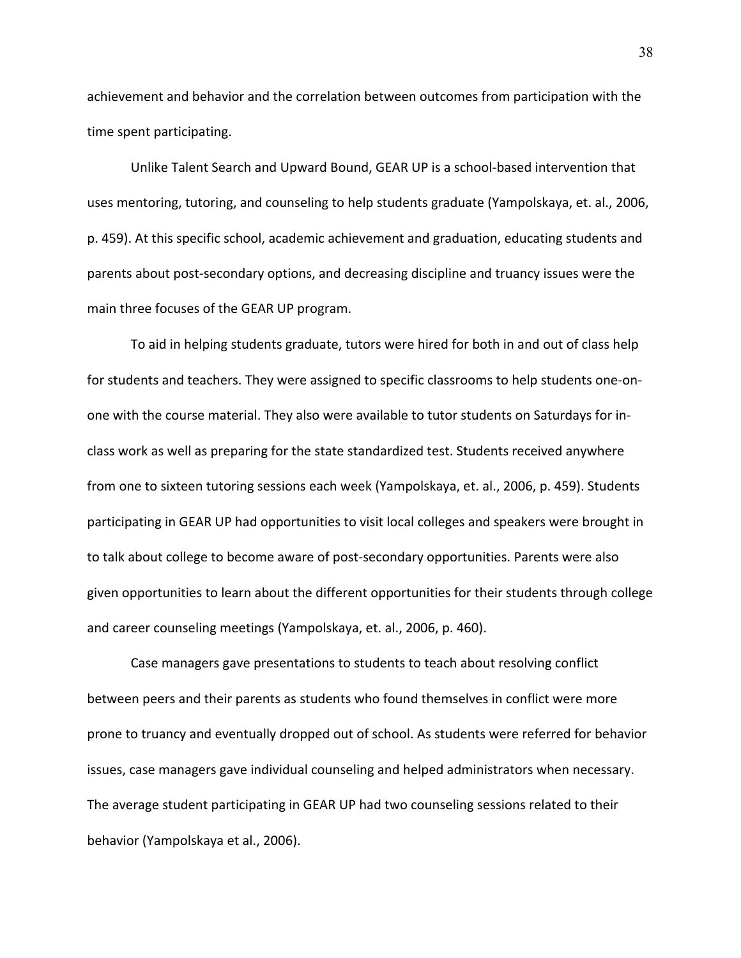achievement and behavior and the correlation between outcomes from participation with the time spent participating.

Unlike Talent Search and Upward Bound, GEAR UP is a school-based intervention that uses mentoring, tutoring, and counseling to help students graduate (Yampolskaya, et. al., 2006, p. 459). At this specific school, academic achievement and graduation, educating students and parents about post-secondary options, and decreasing discipline and truancy issues were the main three focuses of the GEAR UP program.

To aid in helping students graduate, tutors were hired for both in and out of class help for students and teachers. They were assigned to specific classrooms to help students one-onone with the course material. They also were available to tutor students on Saturdays for inclass work as well as preparing for the state standardized test. Students received anywhere from one to sixteen tutoring sessions each week (Yampolskaya, et. al., 2006, p. 459). Students participating in GEAR UP had opportunities to visit local colleges and speakers were brought in to talk about college to become aware of post-secondary opportunities. Parents were also given opportunities to learn about the different opportunities for their students through college and career counseling meetings (Yampolskaya, et. al., 2006, p. 460).

Case managers gave presentations to students to teach about resolving conflict between peers and their parents as students who found themselves in conflict were more prone to truancy and eventually dropped out of school. As students were referred for behavior issues, case managers gave individual counseling and helped administrators when necessary. The average student participating in GEAR UP had two counseling sessions related to their behavior (Yampolskaya et al., 2006).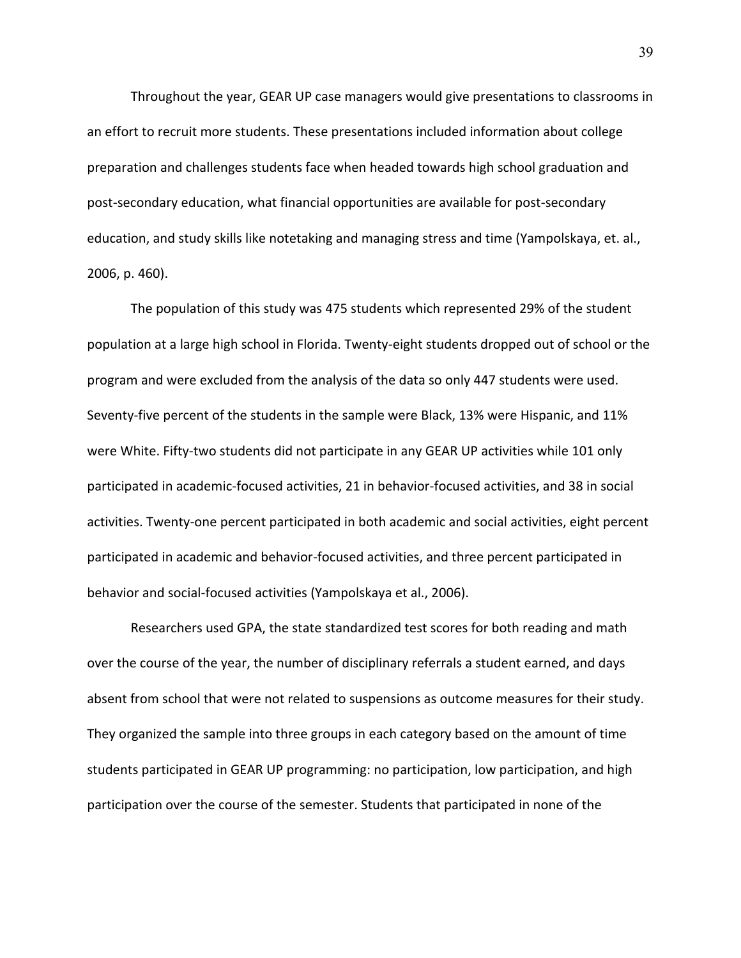Throughout the year, GEAR UP case managers would give presentations to classrooms in an effort to recruit more students. These presentations included information about college preparation and challenges students face when headed towards high school graduation and post-secondary education, what financial opportunities are available for post-secondary education, and study skills like notetaking and managing stress and time (Yampolskaya, et. al., 2006, p. 460).

The population of this study was 475 students which represented 29% of the student population at a large high school in Florida. Twenty-eight students dropped out of school or the program and were excluded from the analysis of the data so only 447 students were used. Seventy-five percent of the students in the sample were Black, 13% were Hispanic, and 11% were White. Fifty-two students did not participate in any GEAR UP activities while 101 only participated in academic-focused activities, 21 in behavior-focused activities, and 38 in social activities. Twenty-one percent participated in both academic and social activities, eight percent participated in academic and behavior-focused activities, and three percent participated in behavior and social-focused activities (Yampolskaya et al., 2006).

Researchers used GPA, the state standardized test scores for both reading and math over the course of the year, the number of disciplinary referrals a student earned, and days absent from school that were not related to suspensions as outcome measures for their study. They organized the sample into three groups in each category based on the amount of time students participated in GEAR UP programming: no participation, low participation, and high participation over the course of the semester. Students that participated in none of the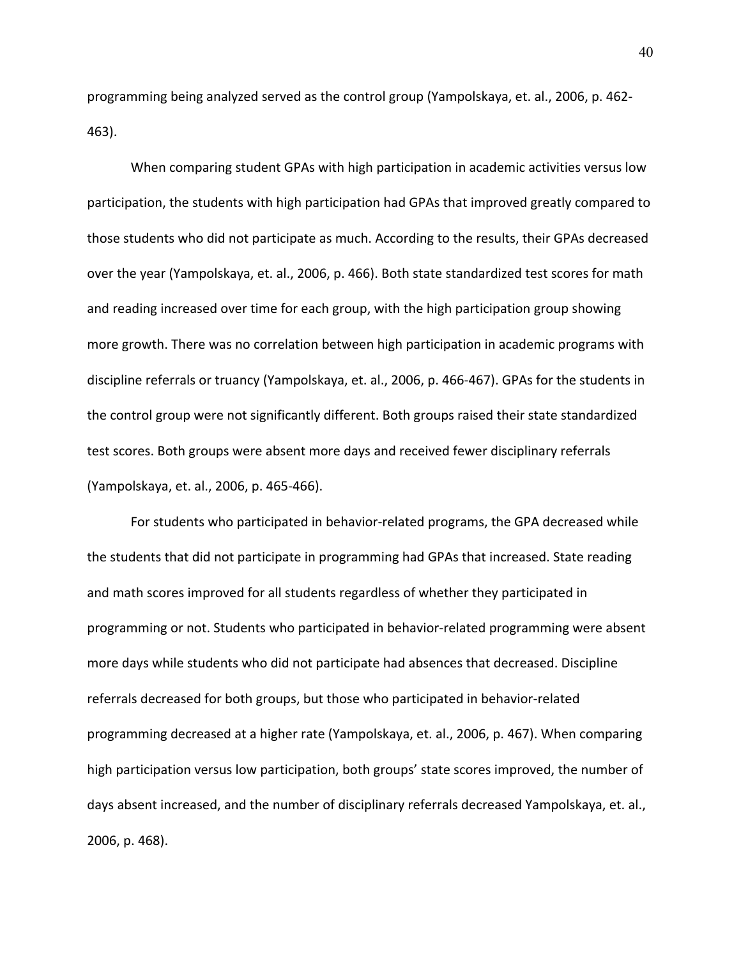programming being analyzed served as the control group (Yampolskaya, et. al., 2006, p. 462- 463).

When comparing student GPAs with high participation in academic activities versus low participation, the students with high participation had GPAs that improved greatly compared to those students who did not participate as much. According to the results, their GPAs decreased over the year (Yampolskaya, et. al., 2006, p. 466). Both state standardized test scores for math and reading increased over time for each group, with the high participation group showing more growth. There was no correlation between high participation in academic programs with discipline referrals or truancy (Yampolskaya, et. al., 2006, p. 466-467). GPAs for the students in the control group were not significantly different. Both groups raised their state standardized test scores. Both groups were absent more days and received fewer disciplinary referrals (Yampolskaya, et. al., 2006, p. 465-466).

For students who participated in behavior-related programs, the GPA decreased while the students that did not participate in programming had GPAs that increased. State reading and math scores improved for all students regardless of whether they participated in programming or not. Students who participated in behavior-related programming were absent more days while students who did not participate had absences that decreased. Discipline referrals decreased for both groups, but those who participated in behavior-related programming decreased at a higher rate (Yampolskaya, et. al., 2006, p. 467). When comparing high participation versus low participation, both groups' state scores improved, the number of days absent increased, and the number of disciplinary referrals decreased Yampolskaya, et. al., 2006, p. 468).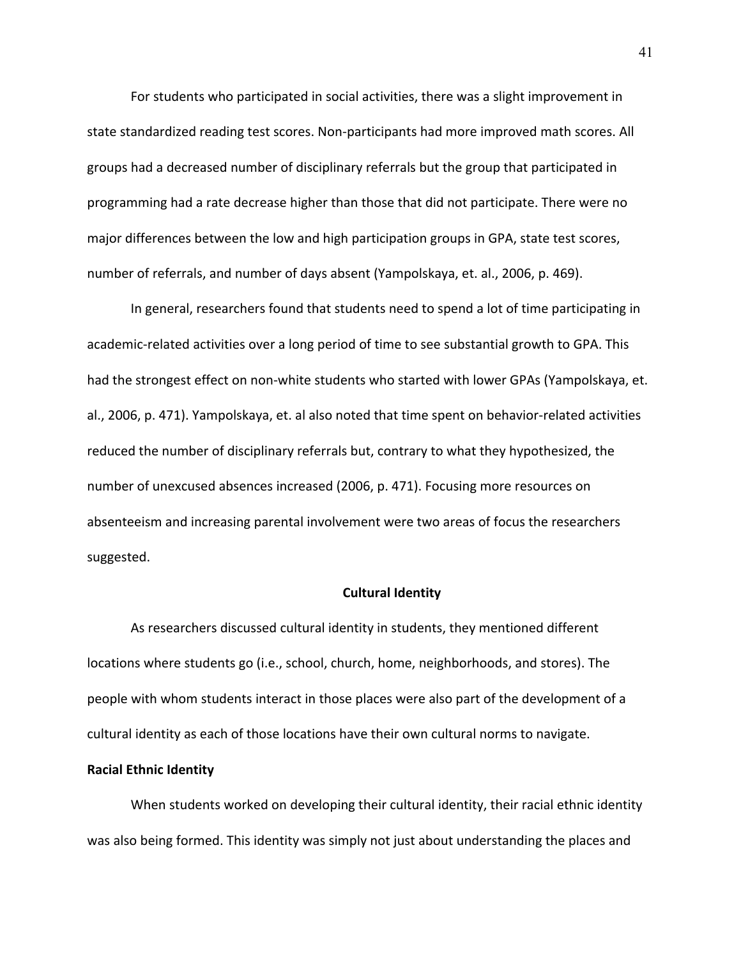For students who participated in social activities, there was a slight improvement in state standardized reading test scores. Non-participants had more improved math scores. All groups had a decreased number of disciplinary referrals but the group that participated in programming had a rate decrease higher than those that did not participate. There were no major differences between the low and high participation groups in GPA, state test scores, number of referrals, and number of days absent (Yampolskaya, et. al., 2006, p. 469).

In general, researchers found that students need to spend a lot of time participating in academic-related activities over a long period of time to see substantial growth to GPA. This had the strongest effect on non-white students who started with lower GPAs (Yampolskaya, et. al., 2006, p. 471). Yampolskaya, et. al also noted that time spent on behavior-related activities reduced the number of disciplinary referrals but, contrary to what they hypothesized, the number of unexcused absences increased (2006, p. 471). Focusing more resources on absenteeism and increasing parental involvement were two areas of focus the researchers suggested.

# **Cultural Identity**

As researchers discussed cultural identity in students, they mentioned different locations where students go (i.e., school, church, home, neighborhoods, and stores). The people with whom students interact in those places were also part of the development of a cultural identity as each of those locations have their own cultural norms to navigate.

### **Racial Ethnic Identity**

When students worked on developing their cultural identity, their racial ethnic identity was also being formed. This identity was simply not just about understanding the places and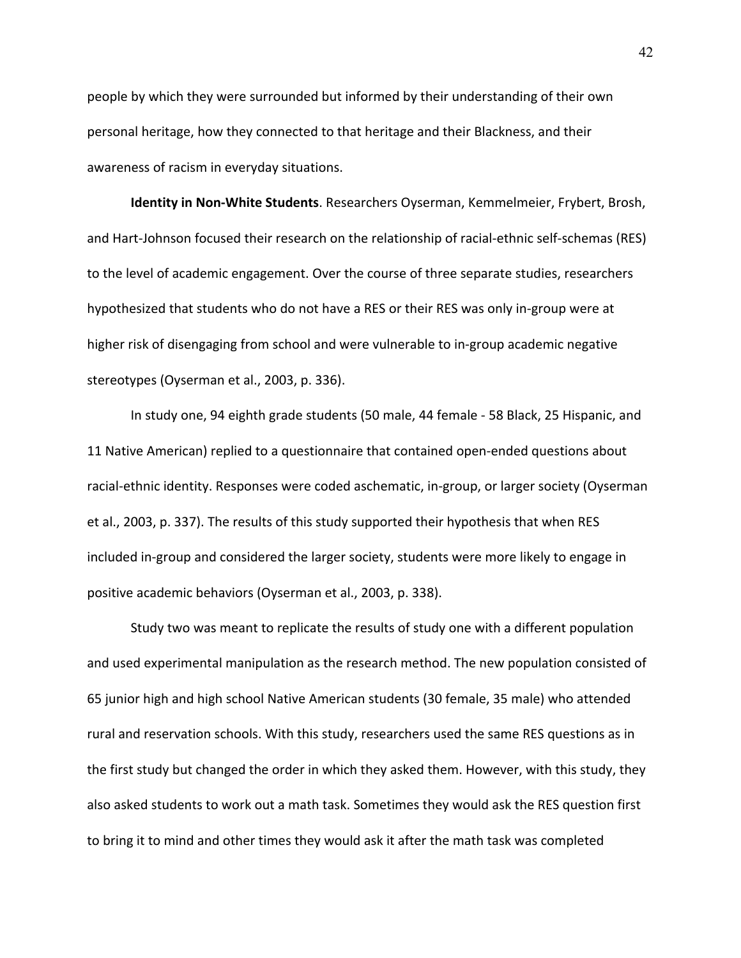people by which they were surrounded but informed by their understanding of their own personal heritage, how they connected to that heritage and their Blackness, and their awareness of racism in everyday situations.

**Identity in Non-White Students**. Researchers Oyserman, Kemmelmeier, Frybert, Brosh, and Hart-Johnson focused their research on the relationship of racial-ethnic self-schemas (RES) to the level of academic engagement. Over the course of three separate studies, researchers hypothesized that students who do not have a RES or their RES was only in-group were at higher risk of disengaging from school and were vulnerable to in-group academic negative stereotypes (Oyserman et al., 2003, p. 336).

In study one, 94 eighth grade students (50 male, 44 female - 58 Black, 25 Hispanic, and 11 Native American) replied to a questionnaire that contained open-ended questions about racial-ethnic identity. Responses were coded aschematic, in-group, or larger society (Oyserman et al., 2003, p. 337). The results of this study supported their hypothesis that when RES included in-group and considered the larger society, students were more likely to engage in positive academic behaviors (Oyserman et al., 2003, p. 338).

Study two was meant to replicate the results of study one with a different population and used experimental manipulation as the research method. The new population consisted of 65 junior high and high school Native American students (30 female, 35 male) who attended rural and reservation schools. With this study, researchers used the same RES questions as in the first study but changed the order in which they asked them. However, with this study, they also asked students to work out a math task. Sometimes they would ask the RES question first to bring it to mind and other times they would ask it after the math task was completed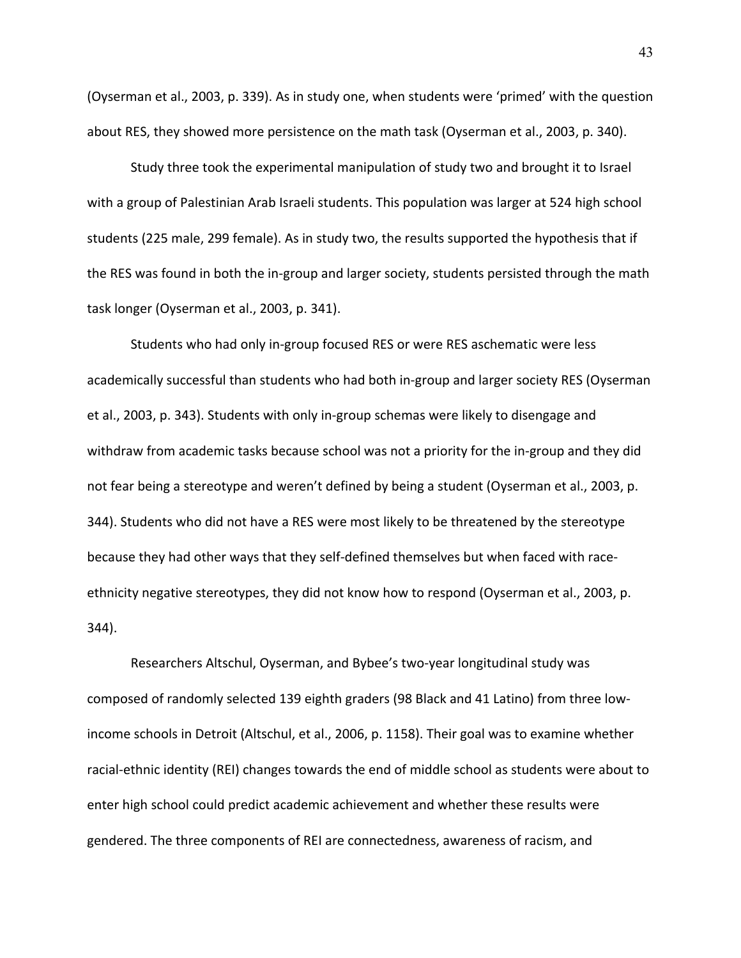(Oyserman et al., 2003, p. 339). As in study one, when students were 'primed' with the question about RES, they showed more persistence on the math task (Oyserman et al., 2003, p. 340).

Study three took the experimental manipulation of study two and brought it to Israel with a group of Palestinian Arab Israeli students. This population was larger at 524 high school students (225 male, 299 female). As in study two, the results supported the hypothesis that if the RES was found in both the in-group and larger society, students persisted through the math task longer (Oyserman et al., 2003, p. 341).

Students who had only in-group focused RES or were RES aschematic were less academically successful than students who had both in-group and larger society RES (Oyserman et al., 2003, p. 343). Students with only in-group schemas were likely to disengage and withdraw from academic tasks because school was not a priority for the in-group and they did not fear being a stereotype and weren't defined by being a student (Oyserman et al., 2003, p. 344). Students who did not have a RES were most likely to be threatened by the stereotype because they had other ways that they self-defined themselves but when faced with raceethnicity negative stereotypes, they did not know how to respond (Oyserman et al., 2003, p. 344).

Researchers Altschul, Oyserman, and Bybee's two-year longitudinal study was composed of randomly selected 139 eighth graders (98 Black and 41 Latino) from three lowincome schools in Detroit (Altschul, et al., 2006, p. 1158). Their goal was to examine whether racial-ethnic identity (REI) changes towards the end of middle school as students were about to enter high school could predict academic achievement and whether these results were gendered. The three components of REI are connectedness, awareness of racism, and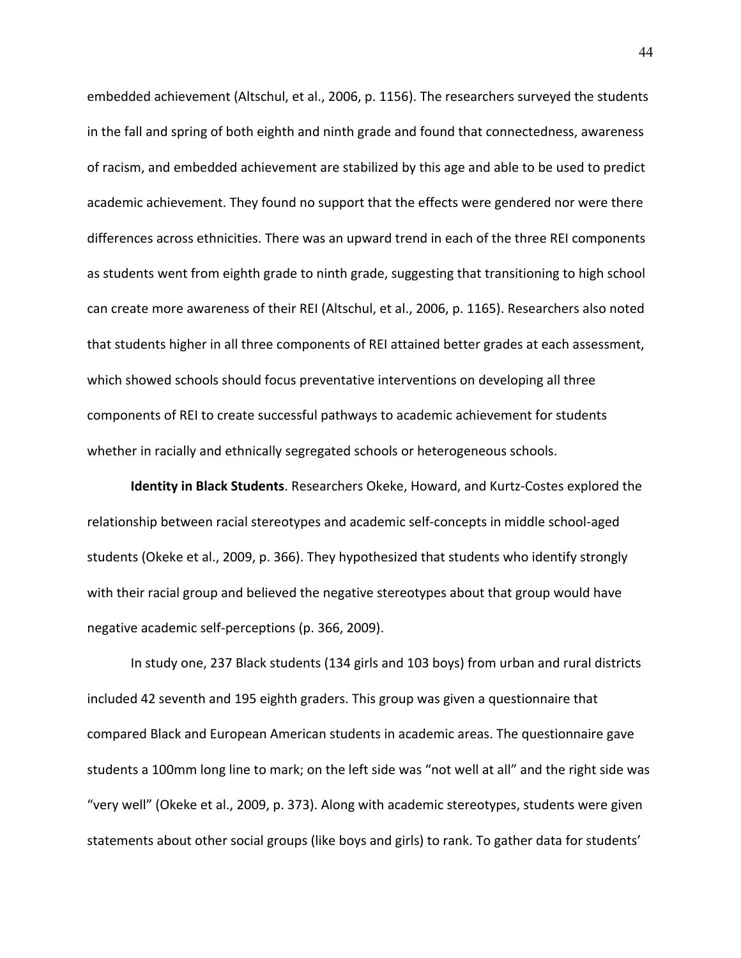embedded achievement (Altschul, et al., 2006, p. 1156). The researchers surveyed the students in the fall and spring of both eighth and ninth grade and found that connectedness, awareness of racism, and embedded achievement are stabilized by this age and able to be used to predict academic achievement. They found no support that the effects were gendered nor were there differences across ethnicities. There was an upward trend in each of the three REI components as students went from eighth grade to ninth grade, suggesting that transitioning to high school can create more awareness of their REI (Altschul, et al., 2006, p. 1165). Researchers also noted that students higher in all three components of REI attained better grades at each assessment, which showed schools should focus preventative interventions on developing all three components of REI to create successful pathways to academic achievement for students whether in racially and ethnically segregated schools or heterogeneous schools.

**Identity in Black Students**. Researchers Okeke, Howard, and Kurtz-Costes explored the relationship between racial stereotypes and academic self-concepts in middle school-aged students (Okeke et al., 2009, p. 366). They hypothesized that students who identify strongly with their racial group and believed the negative stereotypes about that group would have negative academic self-perceptions (p. 366, 2009).

In study one, 237 Black students (134 girls and 103 boys) from urban and rural districts included 42 seventh and 195 eighth graders. This group was given a questionnaire that compared Black and European American students in academic areas. The questionnaire gave students a 100mm long line to mark; on the left side was "not well at all" and the right side was "very well" (Okeke et al., 2009, p. 373). Along with academic stereotypes, students were given statements about other social groups (like boys and girls) to rank. To gather data for students'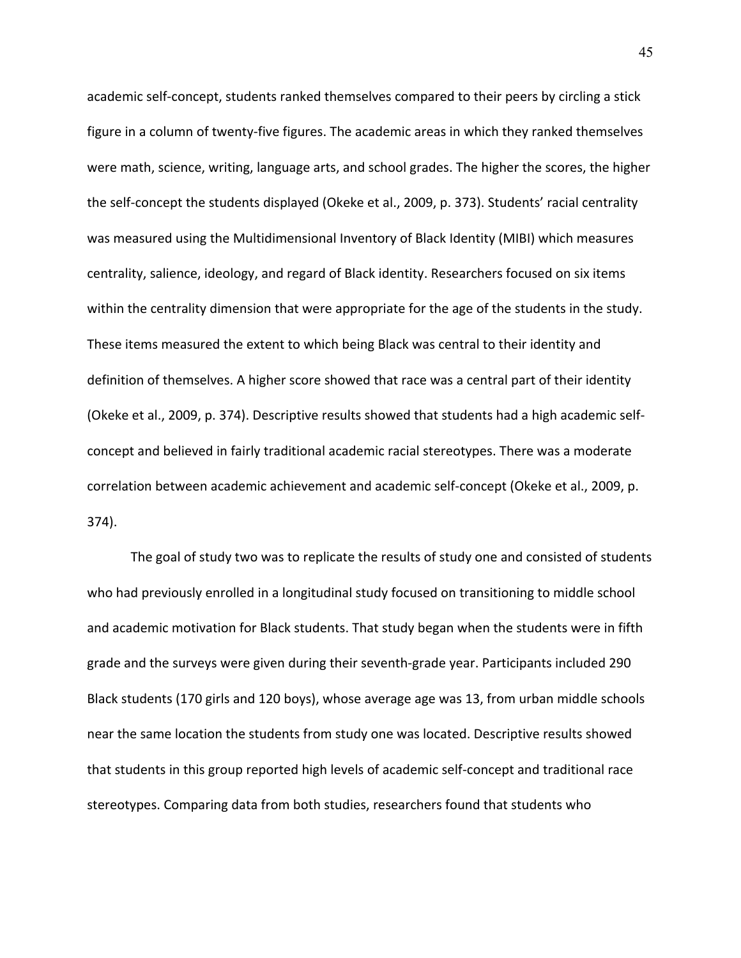academic self-concept, students ranked themselves compared to their peers by circling a stick figure in a column of twenty-five figures. The academic areas in which they ranked themselves were math, science, writing, language arts, and school grades. The higher the scores, the higher the self-concept the students displayed (Okeke et al., 2009, p. 373). Students' racial centrality was measured using the Multidimensional Inventory of Black Identity (MIBI) which measures centrality, salience, ideology, and regard of Black identity. Researchers focused on six items within the centrality dimension that were appropriate for the age of the students in the study. These items measured the extent to which being Black was central to their identity and definition of themselves. A higher score showed that race was a central part of their identity (Okeke et al., 2009, p. 374). Descriptive results showed that students had a high academic selfconcept and believed in fairly traditional academic racial stereotypes. There was a moderate correlation between academic achievement and academic self-concept (Okeke et al., 2009, p. 374).

The goal of study two was to replicate the results of study one and consisted of students who had previously enrolled in a longitudinal study focused on transitioning to middle school and academic motivation for Black students. That study began when the students were in fifth grade and the surveys were given during their seventh-grade year. Participants included 290 Black students (170 girls and 120 boys), whose average age was 13, from urban middle schools near the same location the students from study one was located. Descriptive results showed that students in this group reported high levels of academic self-concept and traditional race stereotypes. Comparing data from both studies, researchers found that students who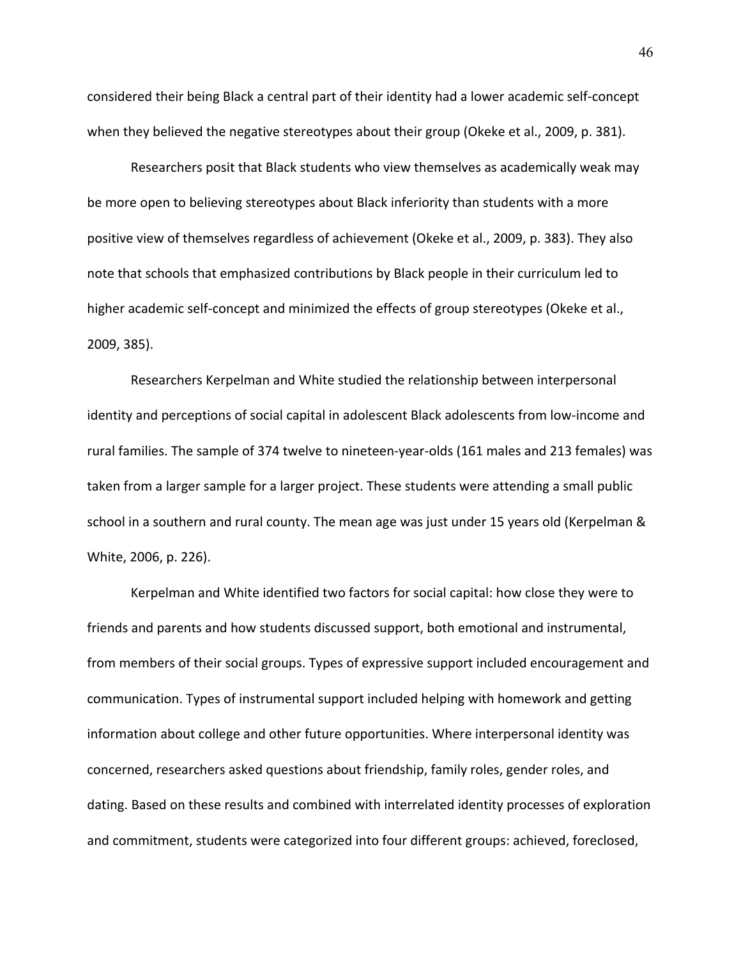considered their being Black a central part of their identity had a lower academic self-concept when they believed the negative stereotypes about their group (Okeke et al., 2009, p. 381).

Researchers posit that Black students who view themselves as academically weak may be more open to believing stereotypes about Black inferiority than students with a more positive view of themselves regardless of achievement (Okeke et al., 2009, p. 383). They also note that schools that emphasized contributions by Black people in their curriculum led to higher academic self-concept and minimized the effects of group stereotypes (Okeke et al., 2009, 385).

Researchers Kerpelman and White studied the relationship between interpersonal identity and perceptions of social capital in adolescent Black adolescents from low-income and rural families. The sample of 374 twelve to nineteen-year-olds (161 males and 213 females) was taken from a larger sample for a larger project. These students were attending a small public school in a southern and rural county. The mean age was just under 15 years old (Kerpelman & White, 2006, p. 226).

Kerpelman and White identified two factors for social capital: how close they were to friends and parents and how students discussed support, both emotional and instrumental, from members of their social groups. Types of expressive support included encouragement and communication. Types of instrumental support included helping with homework and getting information about college and other future opportunities. Where interpersonal identity was concerned, researchers asked questions about friendship, family roles, gender roles, and dating. Based on these results and combined with interrelated identity processes of exploration and commitment, students were categorized into four different groups: achieved, foreclosed,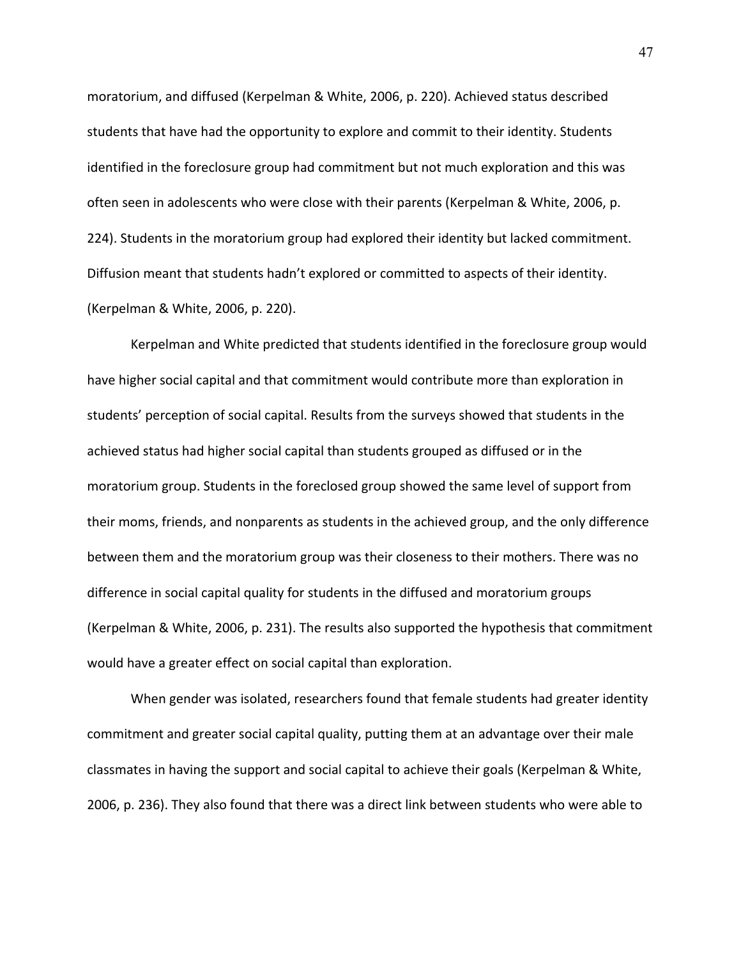moratorium, and diffused (Kerpelman & White, 2006, p. 220). Achieved status described students that have had the opportunity to explore and commit to their identity. Students identified in the foreclosure group had commitment but not much exploration and this was often seen in adolescents who were close with their parents (Kerpelman & White, 2006, p. 224). Students in the moratorium group had explored their identity but lacked commitment. Diffusion meant that students hadn't explored or committed to aspects of their identity. (Kerpelman & White, 2006, p. 220).

Kerpelman and White predicted that students identified in the foreclosure group would have higher social capital and that commitment would contribute more than exploration in students' perception of social capital. Results from the surveys showed that students in the achieved status had higher social capital than students grouped as diffused or in the moratorium group. Students in the foreclosed group showed the same level of support from their moms, friends, and nonparents as students in the achieved group, and the only difference between them and the moratorium group was their closeness to their mothers. There was no difference in social capital quality for students in the diffused and moratorium groups (Kerpelman & White, 2006, p. 231). The results also supported the hypothesis that commitment would have a greater effect on social capital than exploration.

When gender was isolated, researchers found that female students had greater identity commitment and greater social capital quality, putting them at an advantage over their male classmates in having the support and social capital to achieve their goals (Kerpelman & White, 2006, p. 236). They also found that there was a direct link between students who were able to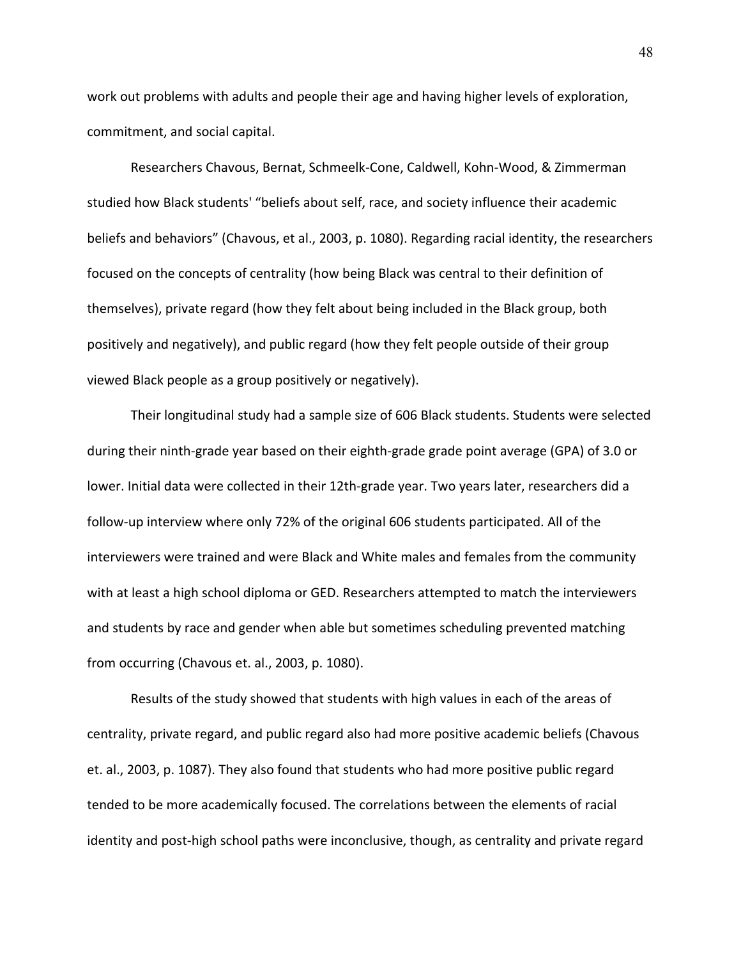work out problems with adults and people their age and having higher levels of exploration, commitment, and social capital.

Researchers Chavous, Bernat, Schmeelk-Cone, Caldwell, Kohn-Wood, & Zimmerman studied how Black students' "beliefs about self, race, and society influence their academic beliefs and behaviors" (Chavous, et al., 2003, p. 1080). Regarding racial identity, the researchers focused on the concepts of centrality (how being Black was central to their definition of themselves), private regard (how they felt about being included in the Black group, both positively and negatively), and public regard (how they felt people outside of their group viewed Black people as a group positively or negatively).

Their longitudinal study had a sample size of 606 Black students. Students were selected during their ninth-grade year based on their eighth-grade grade point average (GPA) of 3.0 or lower. Initial data were collected in their 12th-grade year. Two years later, researchers did a follow-up interview where only 72% of the original 606 students participated. All of the interviewers were trained and were Black and White males and females from the community with at least a high school diploma or GED. Researchers attempted to match the interviewers and students by race and gender when able but sometimes scheduling prevented matching from occurring (Chavous et. al., 2003, p. 1080).

Results of the study showed that students with high values in each of the areas of centrality, private regard, and public regard also had more positive academic beliefs (Chavous et. al., 2003, p. 1087). They also found that students who had more positive public regard tended to be more academically focused. The correlations between the elements of racial identity and post-high school paths were inconclusive, though, as centrality and private regard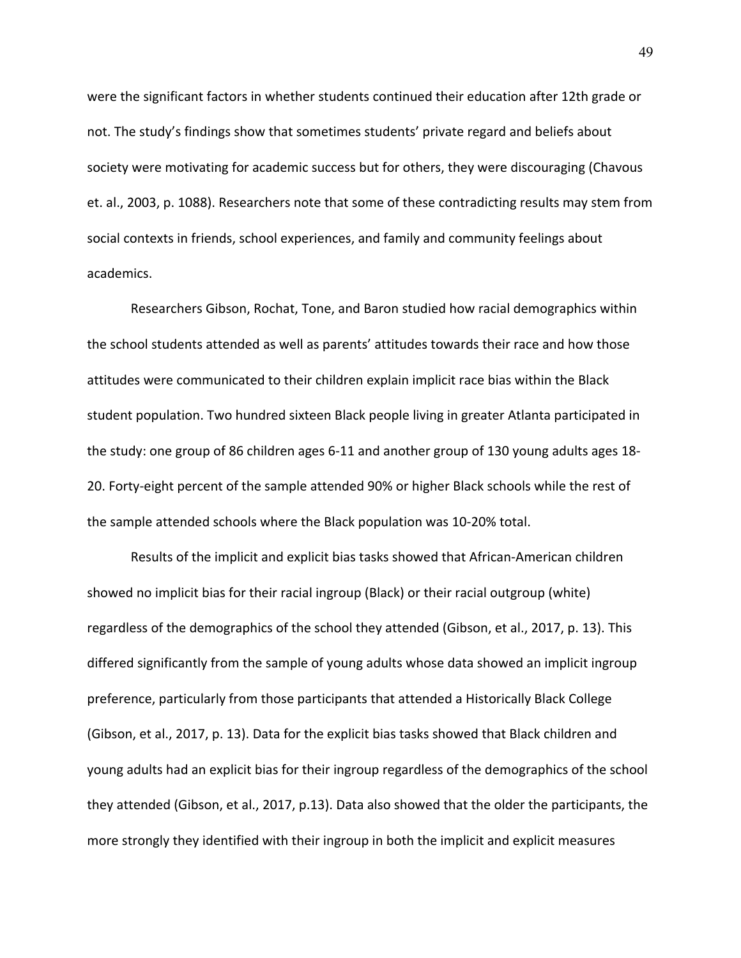were the significant factors in whether students continued their education after 12th grade or not. The study's findings show that sometimes students' private regard and beliefs about society were motivating for academic success but for others, they were discouraging (Chavous et. al., 2003, p. 1088). Researchers note that some of these contradicting results may stem from social contexts in friends, school experiences, and family and community feelings about academics.

Researchers Gibson, Rochat, Tone, and Baron studied how racial demographics within the school students attended as well as parents' attitudes towards their race and how those attitudes were communicated to their children explain implicit race bias within the Black student population. Two hundred sixteen Black people living in greater Atlanta participated in the study: one group of 86 children ages 6-11 and another group of 130 young adults ages 18- 20. Forty-eight percent of the sample attended 90% or higher Black schools while the rest of the sample attended schools where the Black population was 10-20% total.

Results of the implicit and explicit bias tasks showed that African-American children showed no implicit bias for their racial ingroup (Black) or their racial outgroup (white) regardless of the demographics of the school they attended (Gibson, et al., 2017, p. 13). This differed significantly from the sample of young adults whose data showed an implicit ingroup preference, particularly from those participants that attended a Historically Black College (Gibson, et al., 2017, p. 13). Data for the explicit bias tasks showed that Black children and young adults had an explicit bias for their ingroup regardless of the demographics of the school they attended (Gibson, et al., 2017, p.13). Data also showed that the older the participants, the more strongly they identified with their ingroup in both the implicit and explicit measures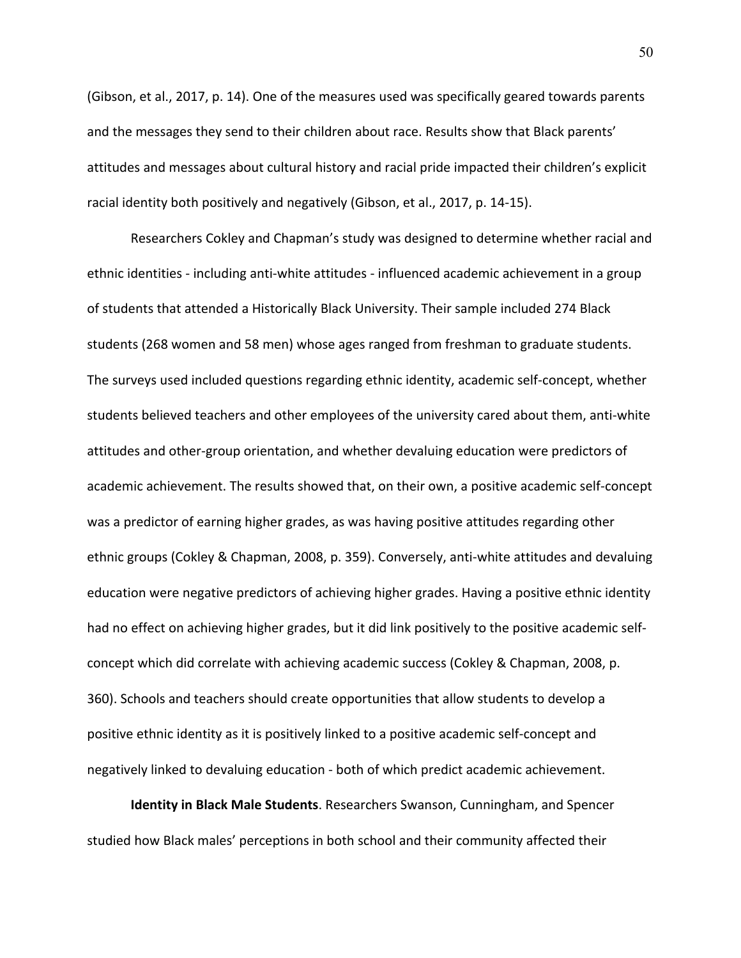(Gibson, et al., 2017, p. 14). One of the measures used was specifically geared towards parents and the messages they send to their children about race. Results show that Black parents' attitudes and messages about cultural history and racial pride impacted their children's explicit racial identity both positively and negatively (Gibson, et al., 2017, p. 14-15).

Researchers Cokley and Chapman's study was designed to determine whether racial and ethnic identities - including anti-white attitudes - influenced academic achievement in a group of students that attended a Historically Black University. Their sample included 274 Black students (268 women and 58 men) whose ages ranged from freshman to graduate students. The surveys used included questions regarding ethnic identity, academic self-concept, whether students believed teachers and other employees of the university cared about them, anti-white attitudes and other-group orientation, and whether devaluing education were predictors of academic achievement. The results showed that, on their own, a positive academic self-concept was a predictor of earning higher grades, as was having positive attitudes regarding other ethnic groups (Cokley & Chapman, 2008, p. 359). Conversely, anti-white attitudes and devaluing education were negative predictors of achieving higher grades. Having a positive ethnic identity had no effect on achieving higher grades, but it did link positively to the positive academic selfconcept which did correlate with achieving academic success (Cokley & Chapman, 2008, p. 360). Schools and teachers should create opportunities that allow students to develop a positive ethnic identity as it is positively linked to a positive academic self-concept and negatively linked to devaluing education - both of which predict academic achievement.

**Identity in Black Male Students**. Researchers Swanson, Cunningham, and Spencer studied how Black males' perceptions in both school and their community affected their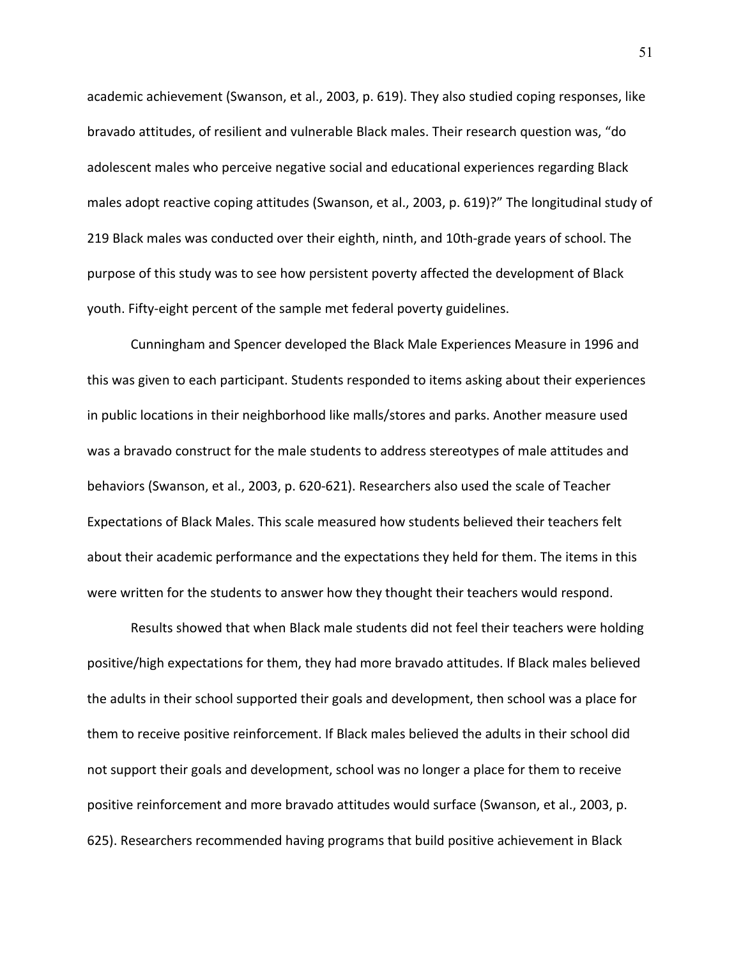academic achievement (Swanson, et al., 2003, p. 619). They also studied coping responses, like bravado attitudes, of resilient and vulnerable Black males. Their research question was, "do adolescent males who perceive negative social and educational experiences regarding Black males adopt reactive coping attitudes (Swanson, et al., 2003, p. 619)?" The longitudinal study of 219 Black males was conducted over their eighth, ninth, and 10th-grade years of school. The purpose of this study was to see how persistent poverty affected the development of Black youth. Fifty-eight percent of the sample met federal poverty guidelines.

Cunningham and Spencer developed the Black Male Experiences Measure in 1996 and this was given to each participant. Students responded to items asking about their experiences in public locations in their neighborhood like malls/stores and parks. Another measure used was a bravado construct for the male students to address stereotypes of male attitudes and behaviors (Swanson, et al., 2003, p. 620-621). Researchers also used the scale of Teacher Expectations of Black Males. This scale measured how students believed their teachers felt about their academic performance and the expectations they held for them. The items in this were written for the students to answer how they thought their teachers would respond.

Results showed that when Black male students did not feel their teachers were holding positive/high expectations for them, they had more bravado attitudes. If Black males believed the adults in their school supported their goals and development, then school was a place for them to receive positive reinforcement. If Black males believed the adults in their school did not support their goals and development, school was no longer a place for them to receive positive reinforcement and more bravado attitudes would surface (Swanson, et al., 2003, p. 625). Researchers recommended having programs that build positive achievement in Black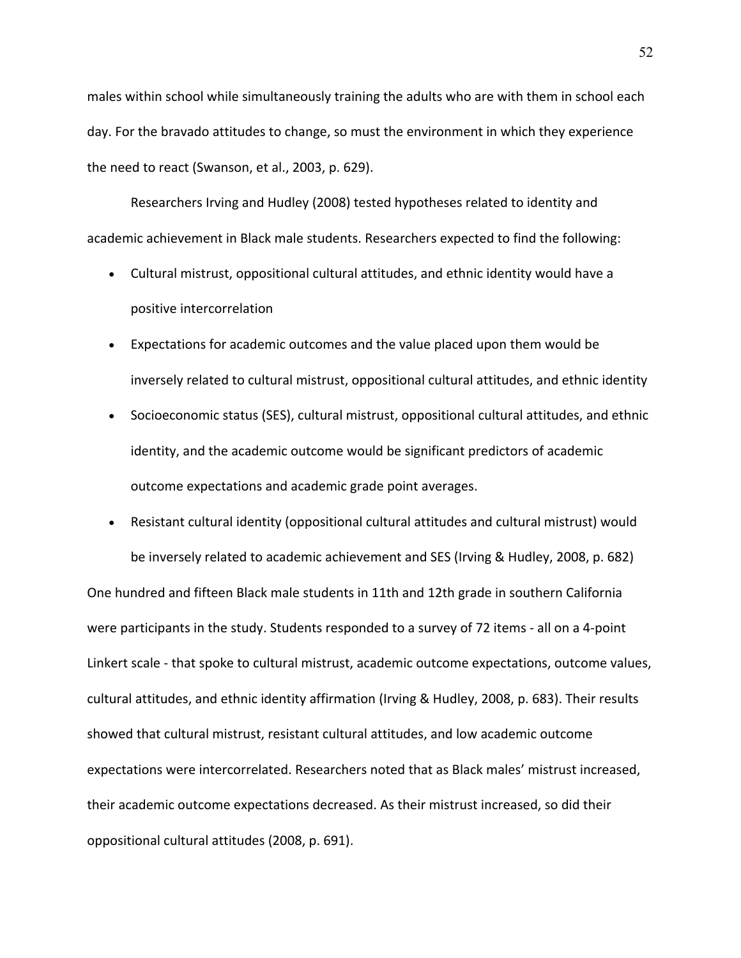males within school while simultaneously training the adults who are with them in school each day. For the bravado attitudes to change, so must the environment in which they experience the need to react (Swanson, et al., 2003, p. 629).

Researchers Irving and Hudley (2008) tested hypotheses related to identity and academic achievement in Black male students. Researchers expected to find the following:

- Cultural mistrust, oppositional cultural attitudes, and ethnic identity would have a positive intercorrelation
- Expectations for academic outcomes and the value placed upon them would be inversely related to cultural mistrust, oppositional cultural attitudes, and ethnic identity
- Socioeconomic status (SES), cultural mistrust, oppositional cultural attitudes, and ethnic identity, and the academic outcome would be significant predictors of academic outcome expectations and academic grade point averages.
- Resistant cultural identity (oppositional cultural attitudes and cultural mistrust) would be inversely related to academic achievement and SES (Irving & Hudley, 2008, p. 682) One hundred and fifteen Black male students in 11th and 12th grade in southern California were participants in the study. Students responded to a survey of 72 items - all on a 4-point Linkert scale - that spoke to cultural mistrust, academic outcome expectations, outcome values, cultural attitudes, and ethnic identity affirmation (Irving & Hudley, 2008, p. 683). Their results showed that cultural mistrust, resistant cultural attitudes, and low academic outcome expectations were intercorrelated. Researchers noted that as Black males' mistrust increased, their academic outcome expectations decreased. As their mistrust increased, so did their oppositional cultural attitudes (2008, p. 691).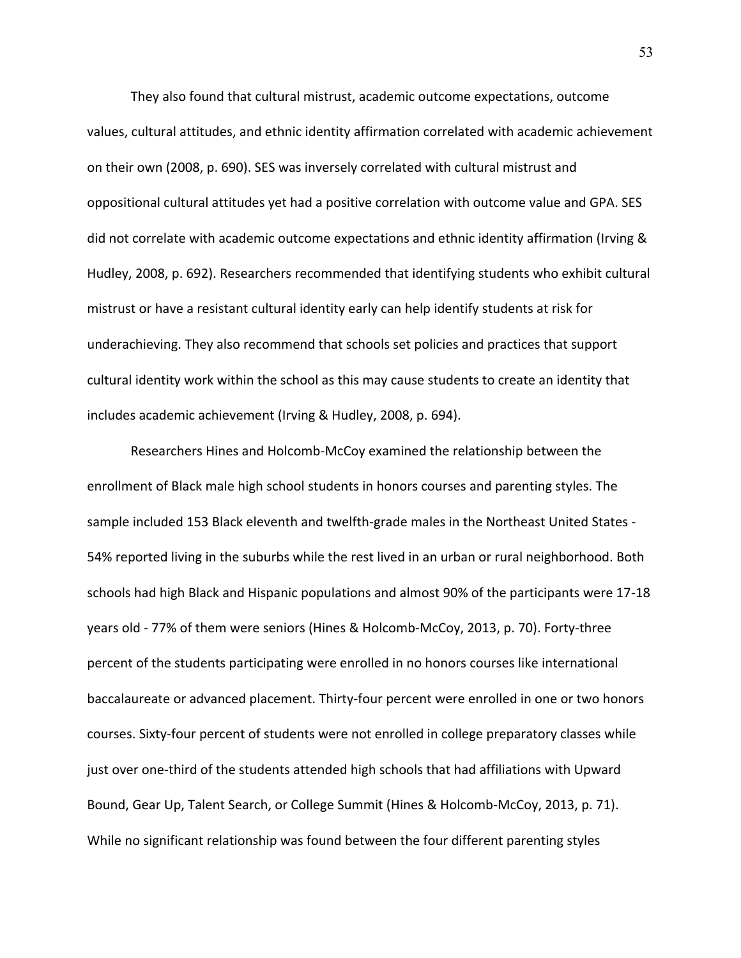They also found that cultural mistrust, academic outcome expectations, outcome values, cultural attitudes, and ethnic identity affirmation correlated with academic achievement on their own (2008, p. 690). SES was inversely correlated with cultural mistrust and oppositional cultural attitudes yet had a positive correlation with outcome value and GPA. SES did not correlate with academic outcome expectations and ethnic identity affirmation (Irving & Hudley, 2008, p. 692). Researchers recommended that identifying students who exhibit cultural mistrust or have a resistant cultural identity early can help identify students at risk for underachieving. They also recommend that schools set policies and practices that support cultural identity work within the school as this may cause students to create an identity that includes academic achievement (Irving & Hudley, 2008, p. 694).

Researchers Hines and Holcomb-McCoy examined the relationship between the enrollment of Black male high school students in honors courses and parenting styles. The sample included 153 Black eleventh and twelfth-grade males in the Northeast United States - 54% reported living in the suburbs while the rest lived in an urban or rural neighborhood. Both schools had high Black and Hispanic populations and almost 90% of the participants were 17-18 years old - 77% of them were seniors (Hines & Holcomb-McCoy, 2013, p. 70). Forty-three percent of the students participating were enrolled in no honors courses like international baccalaureate or advanced placement. Thirty-four percent were enrolled in one or two honors courses. Sixty-four percent of students were not enrolled in college preparatory classes while just over one-third of the students attended high schools that had affiliations with Upward Bound, Gear Up, Talent Search, or College Summit (Hines & Holcomb-McCoy, 2013, p. 71). While no significant relationship was found between the four different parenting styles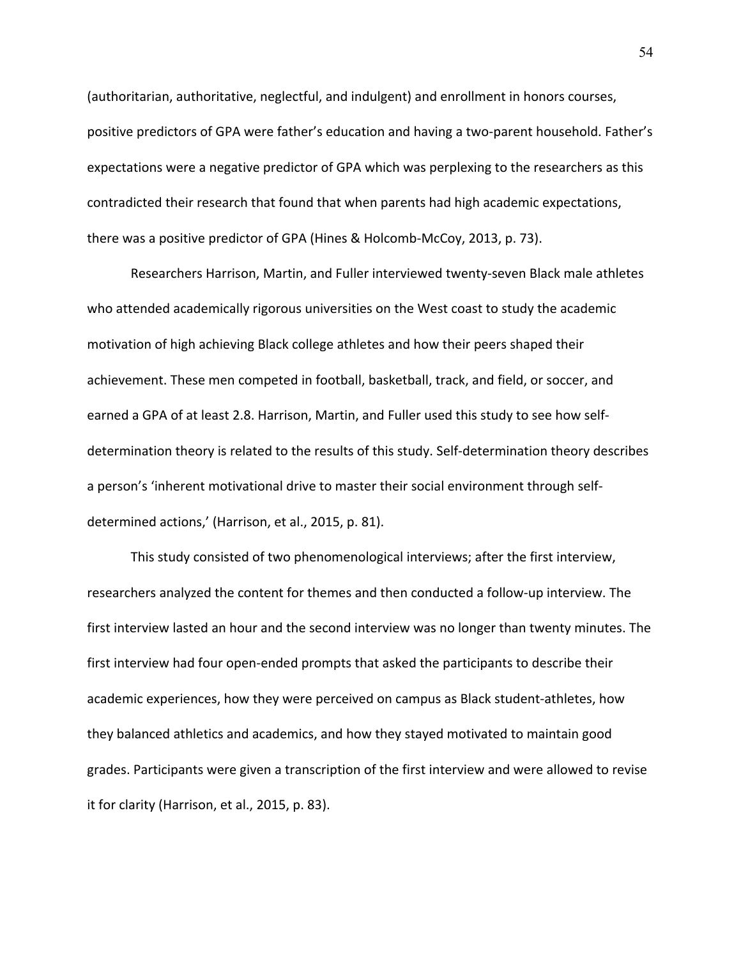(authoritarian, authoritative, neglectful, and indulgent) and enrollment in honors courses, positive predictors of GPA were father's education and having a two-parent household. Father's expectations were a negative predictor of GPA which was perplexing to the researchers as this contradicted their research that found that when parents had high academic expectations, there was a positive predictor of GPA (Hines & Holcomb-McCoy, 2013, p. 73).

Researchers Harrison, Martin, and Fuller interviewed twenty-seven Black male athletes who attended academically rigorous universities on the West coast to study the academic motivation of high achieving Black college athletes and how their peers shaped their achievement. These men competed in football, basketball, track, and field, or soccer, and earned a GPA of at least 2.8. Harrison, Martin, and Fuller used this study to see how selfdetermination theory is related to the results of this study. Self-determination theory describes a person's 'inherent motivational drive to master their social environment through selfdetermined actions,' (Harrison, et al., 2015, p. 81).

This study consisted of two phenomenological interviews; after the first interview, researchers analyzed the content for themes and then conducted a follow-up interview. The first interview lasted an hour and the second interview was no longer than twenty minutes. The first interview had four open-ended prompts that asked the participants to describe their academic experiences, how they were perceived on campus as Black student-athletes, how they balanced athletics and academics, and how they stayed motivated to maintain good grades. Participants were given a transcription of the first interview and were allowed to revise it for clarity (Harrison, et al., 2015, p. 83).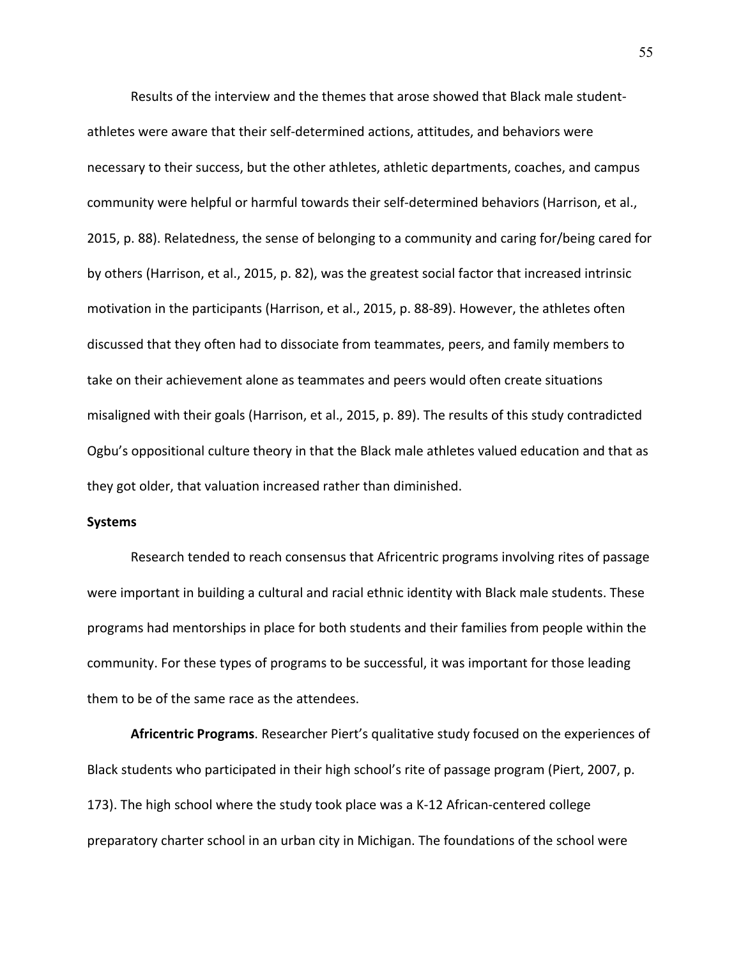Results of the interview and the themes that arose showed that Black male studentathletes were aware that their self-determined actions, attitudes, and behaviors were necessary to their success, but the other athletes, athletic departments, coaches, and campus community were helpful or harmful towards their self-determined behaviors (Harrison, et al., 2015, p. 88). Relatedness, the sense of belonging to a community and caring for/being cared for by others (Harrison, et al., 2015, p. 82), was the greatest social factor that increased intrinsic motivation in the participants (Harrison, et al., 2015, p. 88-89). However, the athletes often discussed that they often had to dissociate from teammates, peers, and family members to take on their achievement alone as teammates and peers would often create situations misaligned with their goals (Harrison, et al., 2015, p. 89). The results of this study contradicted Ogbu's oppositional culture theory in that the Black male athletes valued education and that as they got older, that valuation increased rather than diminished.

## **Systems**

Research tended to reach consensus that Africentric programs involving rites of passage were important in building a cultural and racial ethnic identity with Black male students. These programs had mentorships in place for both students and their families from people within the community. For these types of programs to be successful, it was important for those leading them to be of the same race as the attendees.

**Africentric Programs**. Researcher Piert's qualitative study focused on the experiences of Black students who participated in their high school's rite of passage program (Piert, 2007, p. 173). The high school where the study took place was a K-12 African-centered college preparatory charter school in an urban city in Michigan. The foundations of the school were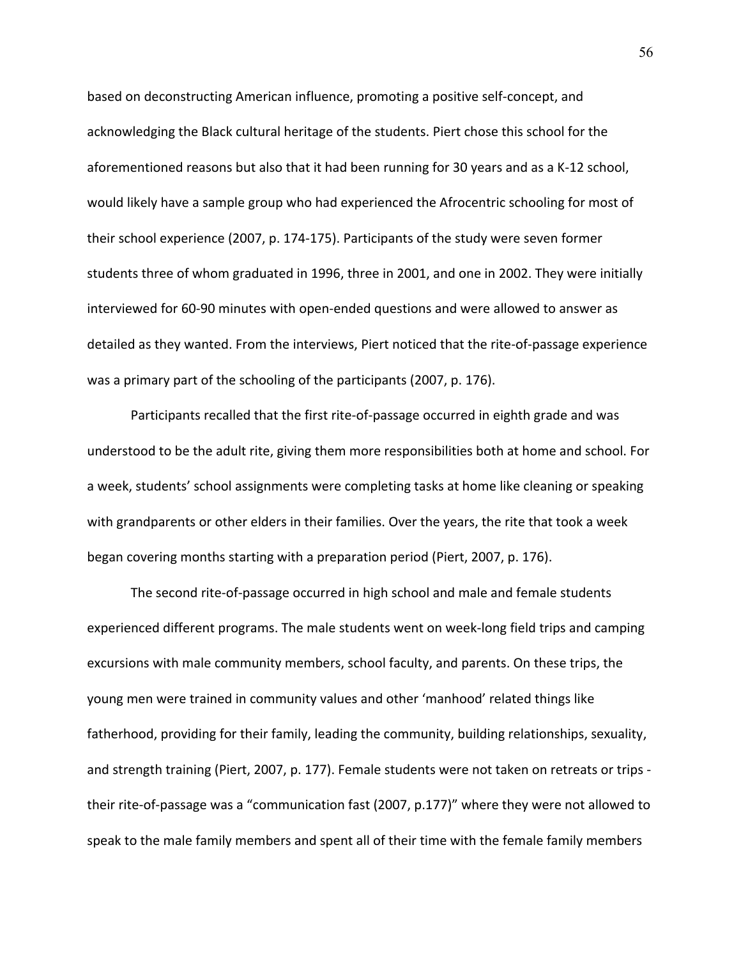based on deconstructing American influence, promoting a positive self-concept, and acknowledging the Black cultural heritage of the students. Piert chose this school for the aforementioned reasons but also that it had been running for 30 years and as a K-12 school, would likely have a sample group who had experienced the Afrocentric schooling for most of their school experience (2007, p. 174-175). Participants of the study were seven former students three of whom graduated in 1996, three in 2001, and one in 2002. They were initially interviewed for 60-90 minutes with open-ended questions and were allowed to answer as detailed as they wanted. From the interviews, Piert noticed that the rite-of-passage experience was a primary part of the schooling of the participants (2007, p. 176).

Participants recalled that the first rite-of-passage occurred in eighth grade and was understood to be the adult rite, giving them more responsibilities both at home and school. For a week, students' school assignments were completing tasks at home like cleaning or speaking with grandparents or other elders in their families. Over the years, the rite that took a week began covering months starting with a preparation period (Piert, 2007, p. 176).

The second rite-of-passage occurred in high school and male and female students experienced different programs. The male students went on week-long field trips and camping excursions with male community members, school faculty, and parents. On these trips, the young men were trained in community values and other 'manhood' related things like fatherhood, providing for their family, leading the community, building relationships, sexuality, and strength training (Piert, 2007, p. 177). Female students were not taken on retreats or trips their rite-of-passage was a "communication fast (2007, p.177)" where they were not allowed to speak to the male family members and spent all of their time with the female family members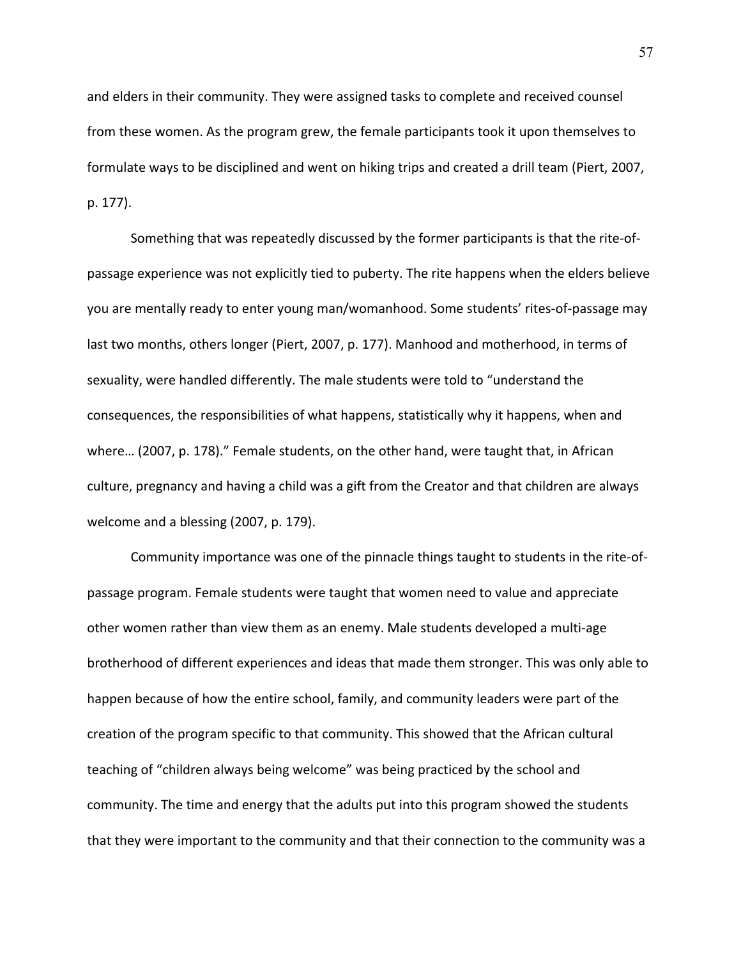and elders in their community. They were assigned tasks to complete and received counsel from these women. As the program grew, the female participants took it upon themselves to formulate ways to be disciplined and went on hiking trips and created a drill team (Piert, 2007, p. 177).

Something that was repeatedly discussed by the former participants is that the rite-ofpassage experience was not explicitly tied to puberty. The rite happens when the elders believe you are mentally ready to enter young man/womanhood. Some students' rites-of-passage may last two months, others longer (Piert, 2007, p. 177). Manhood and motherhood, in terms of sexuality, were handled differently. The male students were told to "understand the consequences, the responsibilities of what happens, statistically why it happens, when and where… (2007, p. 178)." Female students, on the other hand, were taught that, in African culture, pregnancy and having a child was a gift from the Creator and that children are always welcome and a blessing (2007, p. 179).

Community importance was one of the pinnacle things taught to students in the rite-ofpassage program. Female students were taught that women need to value and appreciate other women rather than view them as an enemy. Male students developed a multi-age brotherhood of different experiences and ideas that made them stronger. This was only able to happen because of how the entire school, family, and community leaders were part of the creation of the program specific to that community. This showed that the African cultural teaching of "children always being welcome" was being practiced by the school and community. The time and energy that the adults put into this program showed the students that they were important to the community and that their connection to the community was a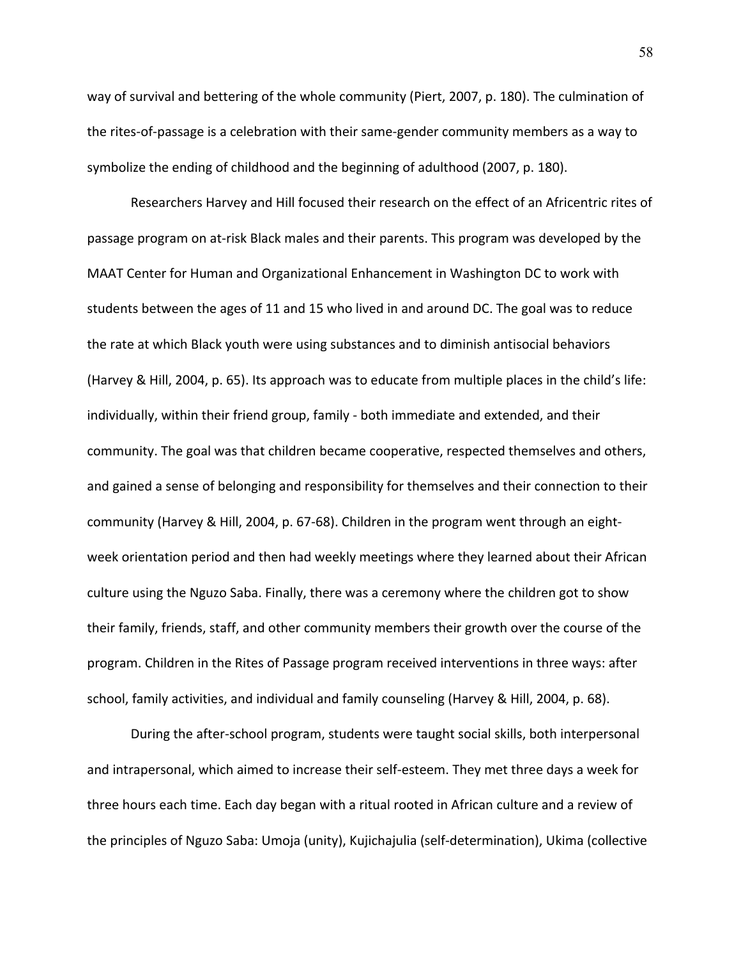way of survival and bettering of the whole community (Piert, 2007, p. 180). The culmination of the rites-of-passage is a celebration with their same-gender community members as a way to symbolize the ending of childhood and the beginning of adulthood (2007, p. 180).

Researchers Harvey and Hill focused their research on the effect of an Africentric rites of passage program on at-risk Black males and their parents. This program was developed by the MAAT Center for Human and Organizational Enhancement in Washington DC to work with students between the ages of 11 and 15 who lived in and around DC. The goal was to reduce the rate at which Black youth were using substances and to diminish antisocial behaviors (Harvey & Hill, 2004, p. 65). Its approach was to educate from multiple places in the child's life: individually, within their friend group, family - both immediate and extended, and their community. The goal was that children became cooperative, respected themselves and others, and gained a sense of belonging and responsibility for themselves and their connection to their community (Harvey & Hill, 2004, p. 67-68). Children in the program went through an eightweek orientation period and then had weekly meetings where they learned about their African culture using the Nguzo Saba. Finally, there was a ceremony where the children got to show their family, friends, staff, and other community members their growth over the course of the program. Children in the Rites of Passage program received interventions in three ways: after school, family activities, and individual and family counseling (Harvey & Hill, 2004, p. 68).

During the after-school program, students were taught social skills, both interpersonal and intrapersonal, which aimed to increase their self-esteem. They met three days a week for three hours each time. Each day began with a ritual rooted in African culture and a review of the principles of Nguzo Saba: Umoja (unity), Kujichajulia (self-determination), Ukima (collective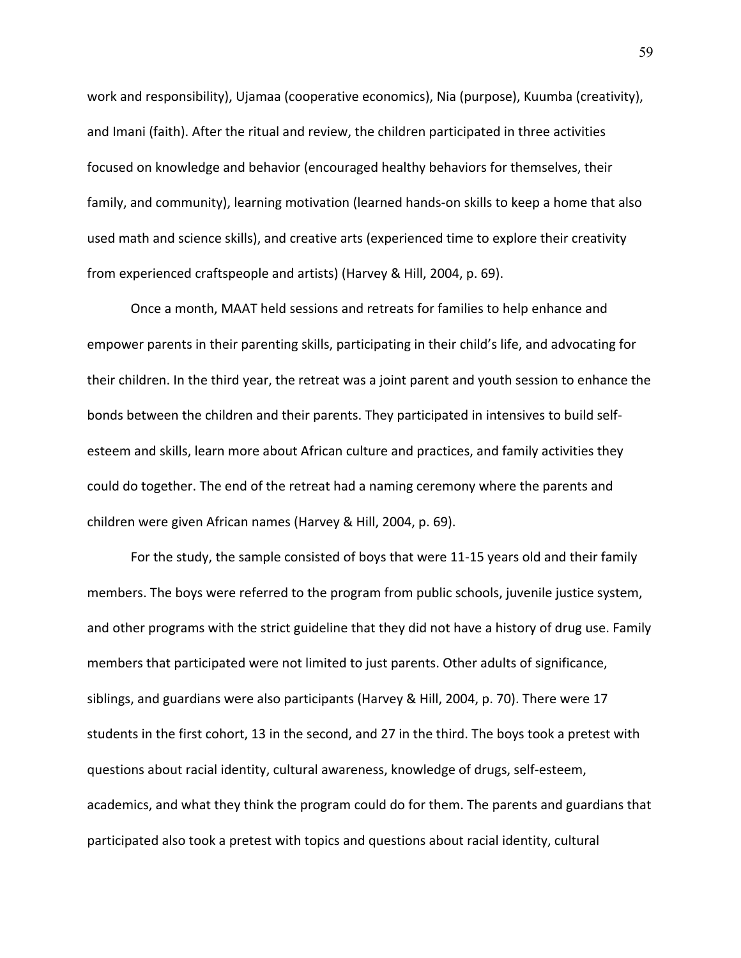work and responsibility), Ujamaa (cooperative economics), Nia (purpose), Kuumba (creativity), and Imani (faith). After the ritual and review, the children participated in three activities focused on knowledge and behavior (encouraged healthy behaviors for themselves, their family, and community), learning motivation (learned hands-on skills to keep a home that also used math and science skills), and creative arts (experienced time to explore their creativity from experienced craftspeople and artists) (Harvey & Hill, 2004, p. 69).

Once a month, MAAT held sessions and retreats for families to help enhance and empower parents in their parenting skills, participating in their child's life, and advocating for their children. In the third year, the retreat was a joint parent and youth session to enhance the bonds between the children and their parents. They participated in intensives to build selfesteem and skills, learn more about African culture and practices, and family activities they could do together. The end of the retreat had a naming ceremony where the parents and children were given African names (Harvey & Hill, 2004, p. 69).

For the study, the sample consisted of boys that were 11-15 years old and their family members. The boys were referred to the program from public schools, juvenile justice system, and other programs with the strict guideline that they did not have a history of drug use. Family members that participated were not limited to just parents. Other adults of significance, siblings, and guardians were also participants (Harvey & Hill, 2004, p. 70). There were 17 students in the first cohort, 13 in the second, and 27 in the third. The boys took a pretest with questions about racial identity, cultural awareness, knowledge of drugs, self-esteem, academics, and what they think the program could do for them. The parents and guardians that participated also took a pretest with topics and questions about racial identity, cultural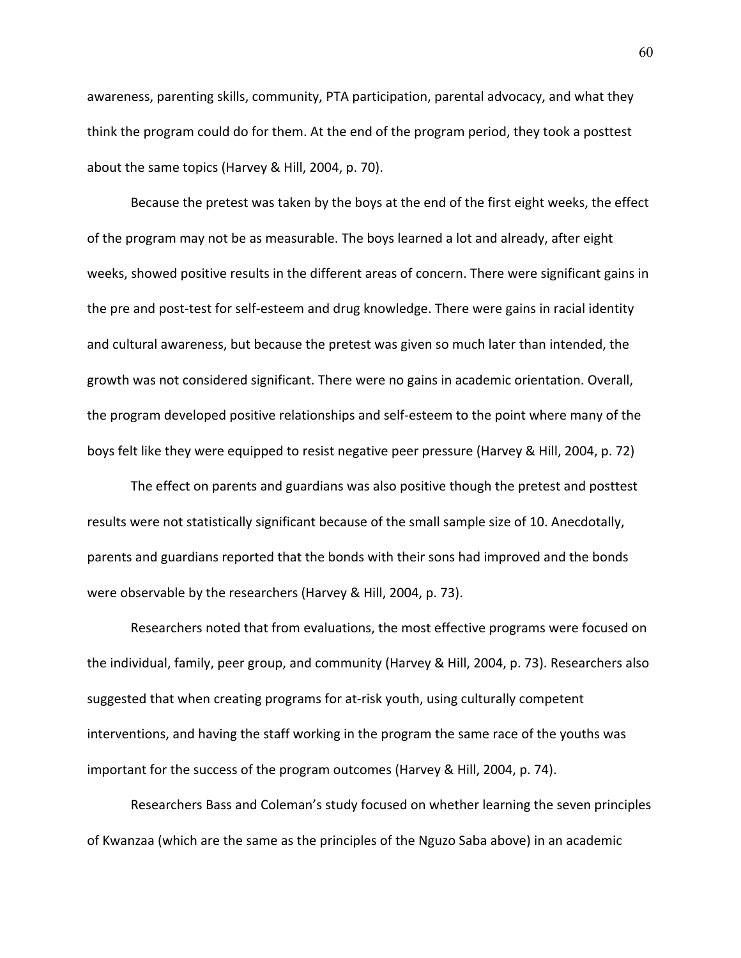awareness, parenting skills, community, PTA participation, parental advocacy, and what they think the program could do for them. At the end of the program period, they took a posttest about the same topics (Harvey & Hill, 2004, p. 70).

Because the pretest was taken by the boys at the end of the first eight weeks, the effect of the program may not be as measurable. The boys learned a lot and already, after eight weeks, showed positive results in the different areas of concern. There were significant gains in the pre and post-test for self-esteem and drug knowledge. There were gains in racial identity and cultural awareness, but because the pretest was given so much later than intended, the growth was not considered significant. There were no gains in academic orientation. Overall, the program developed positive relationships and self-esteem to the point where many of the boys felt like they were equipped to resist negative peer pressure (Harvey & Hill, 2004, p. 72)

The effect on parents and guardians was also positive though the pretest and posttest results were not statistically significant because of the small sample size of 10. Anecdotally, parents and guardians reported that the bonds with their sons had improved and the bonds were observable by the researchers (Harvey & Hill, 2004, p. 73).

Researchers noted that from evaluations, the most effective programs were focused on the individual, family, peer group, and community (Harvey & Hill, 2004, p. 73). Researchers also suggested that when creating programs for at-risk youth, using culturally competent interventions, and having the staff working in the program the same race of the youths was important for the success of the program outcomes (Harvey & Hill, 2004, p. 74).

Researchers Bass and Coleman's study focused on whether learning the seven principles of Kwanzaa (which are the same as the principles of the Nguzo Saba above) in an academic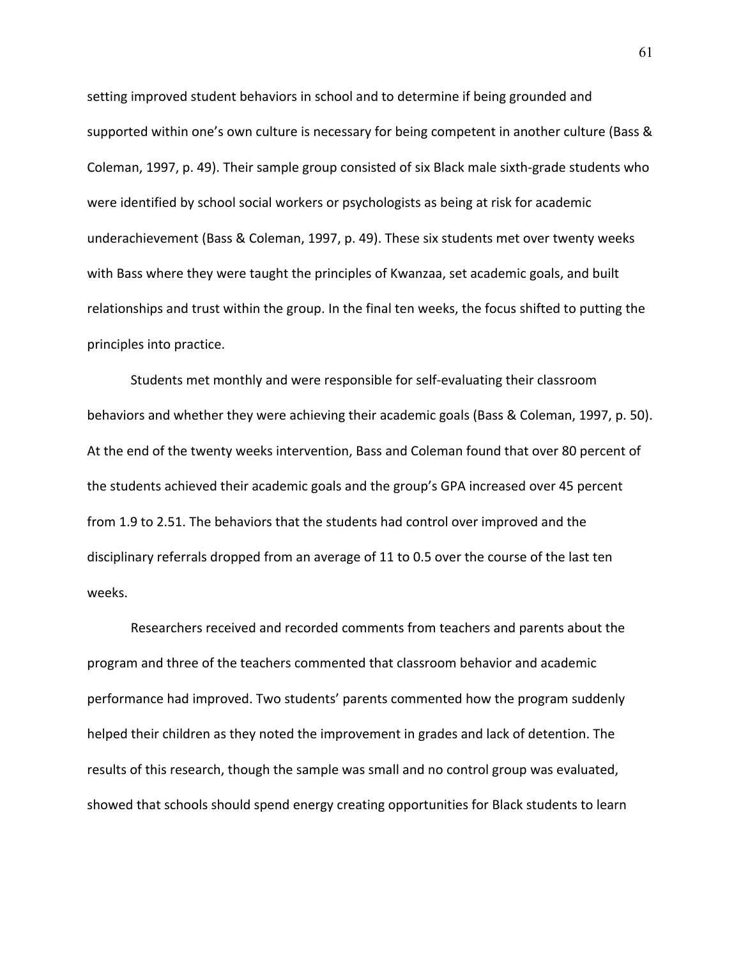setting improved student behaviors in school and to determine if being grounded and supported within one's own culture is necessary for being competent in another culture (Bass & Coleman, 1997, p. 49). Their sample group consisted of six Black male sixth-grade students who were identified by school social workers or psychologists as being at risk for academic underachievement (Bass & Coleman, 1997, p. 49). These six students met over twenty weeks with Bass where they were taught the principles of Kwanzaa, set academic goals, and built relationships and trust within the group. In the final ten weeks, the focus shifted to putting the principles into practice.

Students met monthly and were responsible for self-evaluating their classroom behaviors and whether they were achieving their academic goals (Bass & Coleman, 1997, p. 50). At the end of the twenty weeks intervention, Bass and Coleman found that over 80 percent of the students achieved their academic goals and the group's GPA increased over 45 percent from 1.9 to 2.51. The behaviors that the students had control over improved and the disciplinary referrals dropped from an average of 11 to 0.5 over the course of the last ten weeks.

Researchers received and recorded comments from teachers and parents about the program and three of the teachers commented that classroom behavior and academic performance had improved. Two students' parents commented how the program suddenly helped their children as they noted the improvement in grades and lack of detention. The results of this research, though the sample was small and no control group was evaluated, showed that schools should spend energy creating opportunities for Black students to learn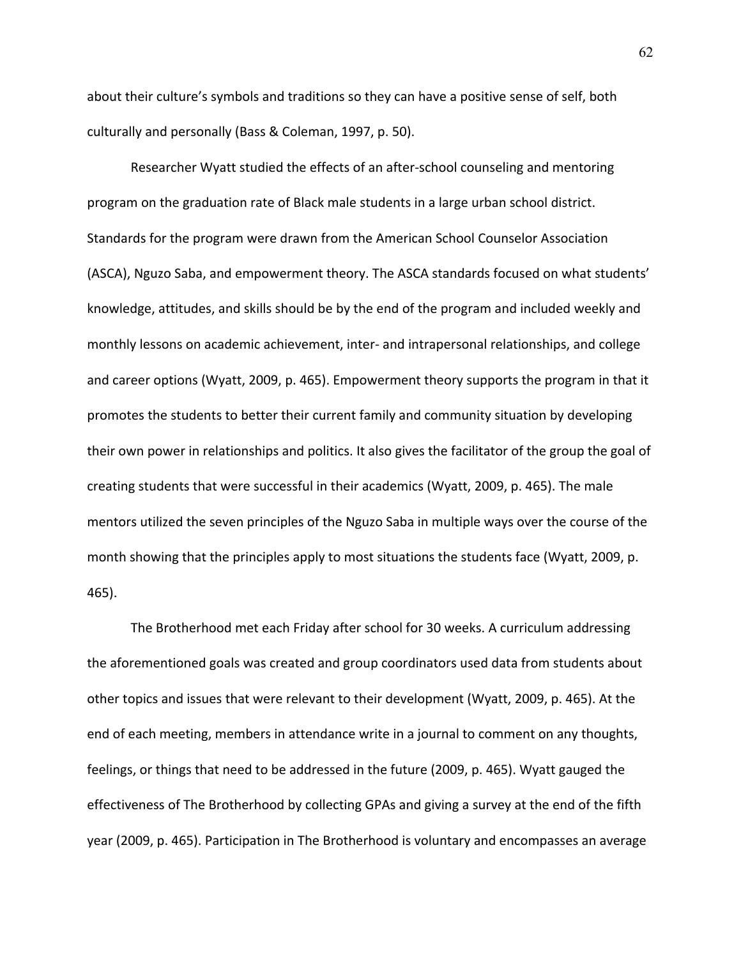about their culture's symbols and traditions so they can have a positive sense of self, both culturally and personally (Bass & Coleman, 1997, p. 50).

Researcher Wyatt studied the effects of an after-school counseling and mentoring program on the graduation rate of Black male students in a large urban school district. Standards for the program were drawn from the American School Counselor Association (ASCA), Nguzo Saba, and empowerment theory. The ASCA standards focused on what students' knowledge, attitudes, and skills should be by the end of the program and included weekly and monthly lessons on academic achievement, inter- and intrapersonal relationships, and college and career options (Wyatt, 2009, p. 465). Empowerment theory supports the program in that it promotes the students to better their current family and community situation by developing their own power in relationships and politics. It also gives the facilitator of the group the goal of creating students that were successful in their academics (Wyatt, 2009, p. 465). The male mentors utilized the seven principles of the Nguzo Saba in multiple ways over the course of the month showing that the principles apply to most situations the students face (Wyatt, 2009, p. 465).

The Brotherhood met each Friday after school for 30 weeks. A curriculum addressing the aforementioned goals was created and group coordinators used data from students about other topics and issues that were relevant to their development (Wyatt, 2009, p. 465). At the end of each meeting, members in attendance write in a journal to comment on any thoughts, feelings, or things that need to be addressed in the future (2009, p. 465). Wyatt gauged the effectiveness of The Brotherhood by collecting GPAs and giving a survey at the end of the fifth year (2009, p. 465). Participation in The Brotherhood is voluntary and encompasses an average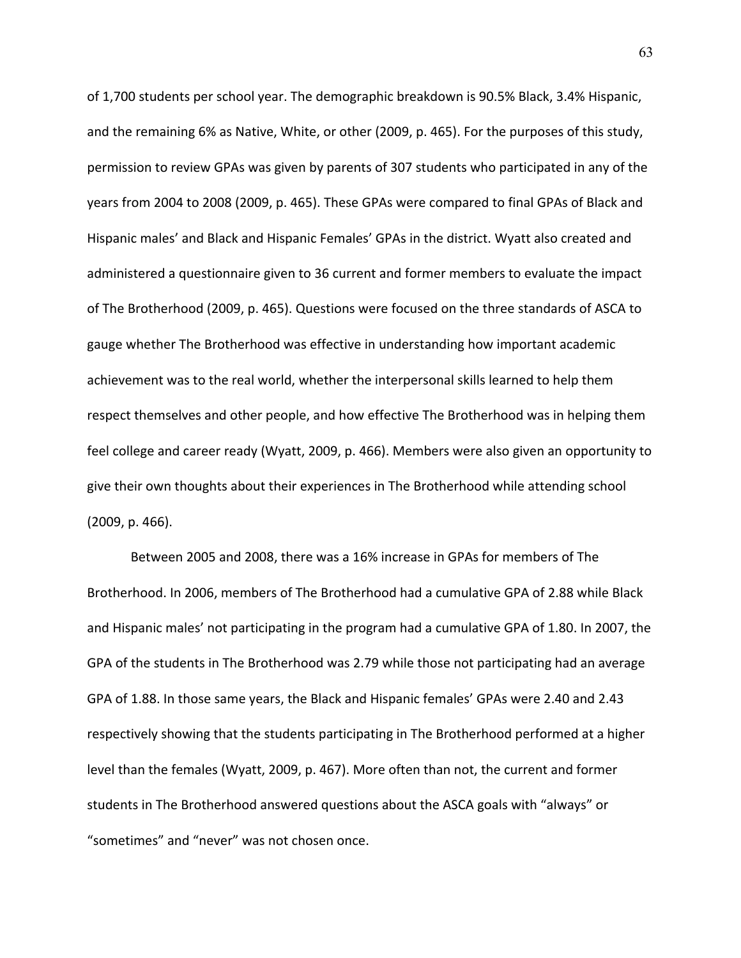of 1,700 students per school year. The demographic breakdown is 90.5% Black, 3.4% Hispanic, and the remaining 6% as Native, White, or other (2009, p. 465). For the purposes of this study, permission to review GPAs was given by parents of 307 students who participated in any of the years from 2004 to 2008 (2009, p. 465). These GPAs were compared to final GPAs of Black and Hispanic males' and Black and Hispanic Females' GPAs in the district. Wyatt also created and administered a questionnaire given to 36 current and former members to evaluate the impact of The Brotherhood (2009, p. 465). Questions were focused on the three standards of ASCA to gauge whether The Brotherhood was effective in understanding how important academic achievement was to the real world, whether the interpersonal skills learned to help them respect themselves and other people, and how effective The Brotherhood was in helping them feel college and career ready (Wyatt, 2009, p. 466). Members were also given an opportunity to give their own thoughts about their experiences in The Brotherhood while attending school (2009, p. 466).

Between 2005 and 2008, there was a 16% increase in GPAs for members of The Brotherhood. In 2006, members of The Brotherhood had a cumulative GPA of 2.88 while Black and Hispanic males' not participating in the program had a cumulative GPA of 1.80. In 2007, the GPA of the students in The Brotherhood was 2.79 while those not participating had an average GPA of 1.88. In those same years, the Black and Hispanic females' GPAs were 2.40 and 2.43 respectively showing that the students participating in The Brotherhood performed at a higher level than the females (Wyatt, 2009, p. 467). More often than not, the current and former students in The Brotherhood answered questions about the ASCA goals with "always" or "sometimes" and "never" was not chosen once.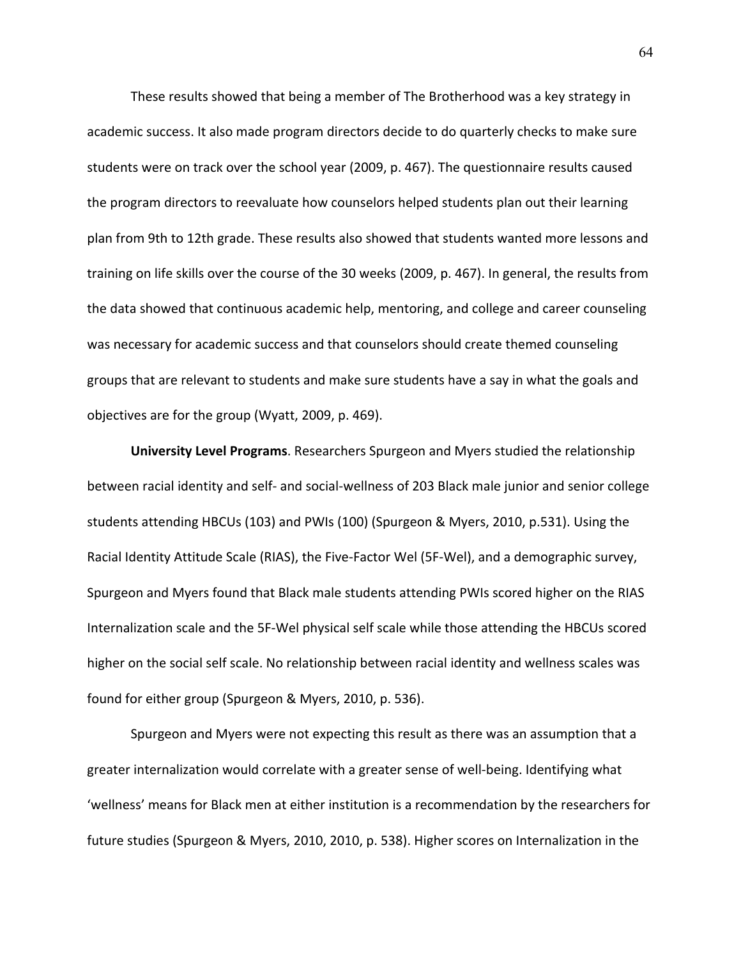These results showed that being a member of The Brotherhood was a key strategy in academic success. It also made program directors decide to do quarterly checks to make sure students were on track over the school year (2009, p. 467). The questionnaire results caused the program directors to reevaluate how counselors helped students plan out their learning plan from 9th to 12th grade. These results also showed that students wanted more lessons and training on life skills over the course of the 30 weeks (2009, p. 467). In general, the results from the data showed that continuous academic help, mentoring, and college and career counseling was necessary for academic success and that counselors should create themed counseling groups that are relevant to students and make sure students have a say in what the goals and objectives are for the group (Wyatt, 2009, p. 469).

**University Level Programs**. Researchers Spurgeon and Myers studied the relationship between racial identity and self- and social-wellness of 203 Black male junior and senior college students attending HBCUs (103) and PWIs (100) (Spurgeon & Myers, 2010, p.531). Using the Racial Identity Attitude Scale (RIAS), the Five-Factor Wel (5F-Wel), and a demographic survey, Spurgeon and Myers found that Black male students attending PWIs scored higher on the RIAS Internalization scale and the 5F-Wel physical self scale while those attending the HBCUs scored higher on the social self scale. No relationship between racial identity and wellness scales was found for either group (Spurgeon & Myers, 2010, p. 536).

Spurgeon and Myers were not expecting this result as there was an assumption that a greater internalization would correlate with a greater sense of well-being. Identifying what 'wellness' means for Black men at either institution is a recommendation by the researchers for future studies (Spurgeon & Myers, 2010, 2010, p. 538). Higher scores on Internalization in the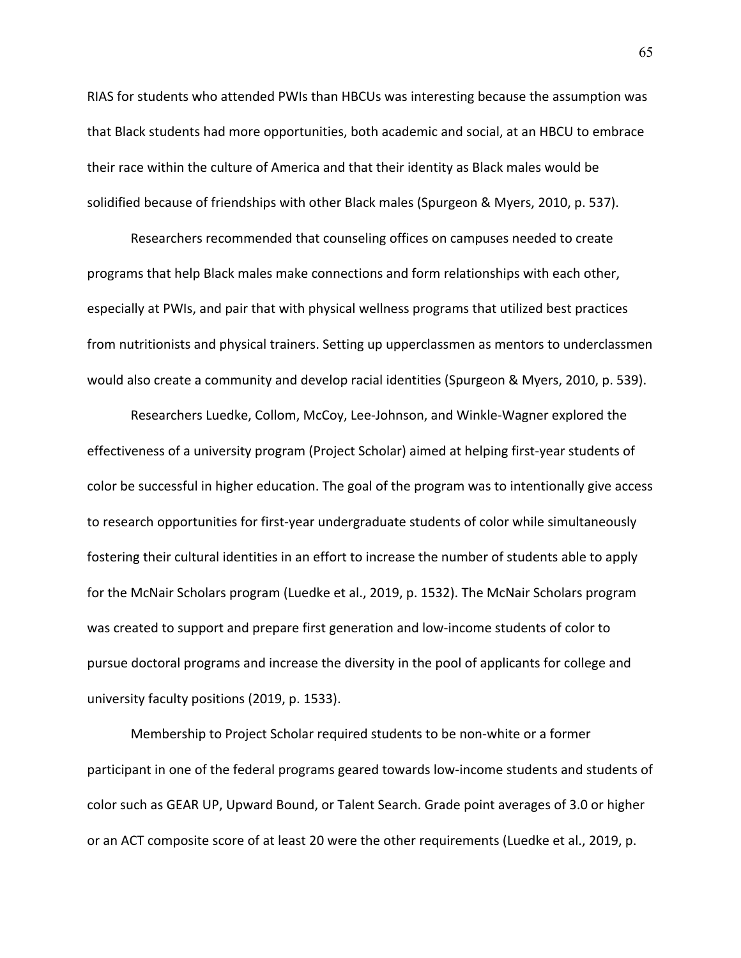RIAS for students who attended PWIs than HBCUs was interesting because the assumption was that Black students had more opportunities, both academic and social, at an HBCU to embrace their race within the culture of America and that their identity as Black males would be solidified because of friendships with other Black males (Spurgeon & Myers, 2010, p. 537).

Researchers recommended that counseling offices on campuses needed to create programs that help Black males make connections and form relationships with each other, especially at PWIs, and pair that with physical wellness programs that utilized best practices from nutritionists and physical trainers. Setting up upperclassmen as mentors to underclassmen would also create a community and develop racial identities (Spurgeon & Myers, 2010, p. 539).

Researchers Luedke, Collom, McCoy, Lee-Johnson, and Winkle-Wagner explored the effectiveness of a university program (Project Scholar) aimed at helping first-year students of color be successful in higher education. The goal of the program was to intentionally give access to research opportunities for first-year undergraduate students of color while simultaneously fostering their cultural identities in an effort to increase the number of students able to apply for the McNair Scholars program (Luedke et al., 2019, p. 1532). The McNair Scholars program was created to support and prepare first generation and low-income students of color to pursue doctoral programs and increase the diversity in the pool of applicants for college and university faculty positions (2019, p. 1533).

Membership to Project Scholar required students to be non-white or a former participant in one of the federal programs geared towards low-income students and students of color such as GEAR UP, Upward Bound, or Talent Search. Grade point averages of 3.0 or higher or an ACT composite score of at least 20 were the other requirements (Luedke et al., 2019, p.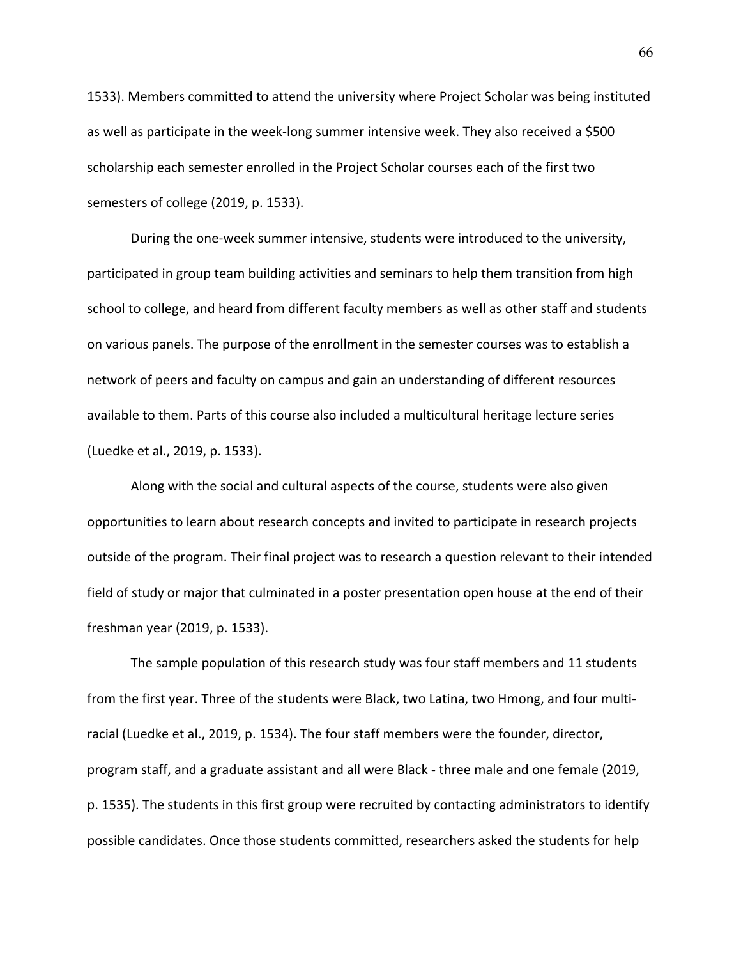1533). Members committed to attend the university where Project Scholar was being instituted as well as participate in the week-long summer intensive week. They also received a \$500 scholarship each semester enrolled in the Project Scholar courses each of the first two semesters of college (2019, p. 1533).

During the one-week summer intensive, students were introduced to the university, participated in group team building activities and seminars to help them transition from high school to college, and heard from different faculty members as well as other staff and students on various panels. The purpose of the enrollment in the semester courses was to establish a network of peers and faculty on campus and gain an understanding of different resources available to them. Parts of this course also included a multicultural heritage lecture series (Luedke et al., 2019, p. 1533).

Along with the social and cultural aspects of the course, students were also given opportunities to learn about research concepts and invited to participate in research projects outside of the program. Their final project was to research a question relevant to their intended field of study or major that culminated in a poster presentation open house at the end of their freshman year (2019, p. 1533).

The sample population of this research study was four staff members and 11 students from the first year. Three of the students were Black, two Latina, two Hmong, and four multiracial (Luedke et al., 2019, p. 1534). The four staff members were the founder, director, program staff, and a graduate assistant and all were Black - three male and one female (2019, p. 1535). The students in this first group were recruited by contacting administrators to identify possible candidates. Once those students committed, researchers asked the students for help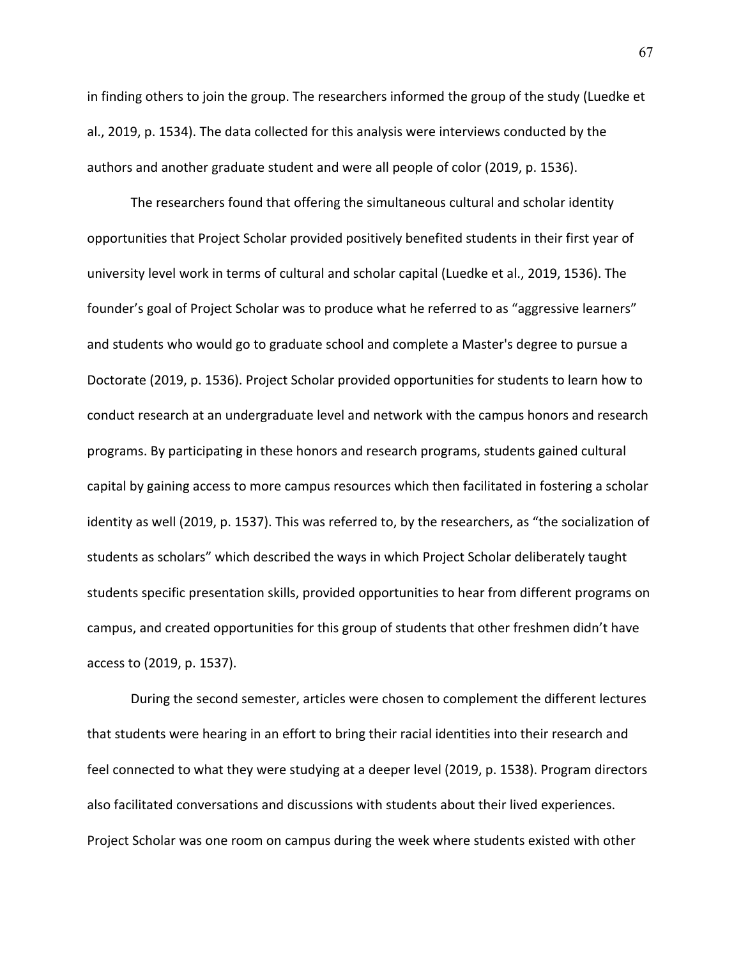in finding others to join the group. The researchers informed the group of the study (Luedke et al., 2019, p. 1534). The data collected for this analysis were interviews conducted by the authors and another graduate student and were all people of color (2019, p. 1536).

The researchers found that offering the simultaneous cultural and scholar identity opportunities that Project Scholar provided positively benefited students in their first year of university level work in terms of cultural and scholar capital (Luedke et al., 2019, 1536). The founder's goal of Project Scholar was to produce what he referred to as "aggressive learners" and students who would go to graduate school and complete a Master's degree to pursue a Doctorate (2019, p. 1536). Project Scholar provided opportunities for students to learn how to conduct research at an undergraduate level and network with the campus honors and research programs. By participating in these honors and research programs, students gained cultural capital by gaining access to more campus resources which then facilitated in fostering a scholar identity as well (2019, p. 1537). This was referred to, by the researchers, as "the socialization of students as scholars" which described the ways in which Project Scholar deliberately taught students specific presentation skills, provided opportunities to hear from different programs on campus, and created opportunities for this group of students that other freshmen didn't have access to (2019, p. 1537).

During the second semester, articles were chosen to complement the different lectures that students were hearing in an effort to bring their racial identities into their research and feel connected to what they were studying at a deeper level (2019, p. 1538). Program directors also facilitated conversations and discussions with students about their lived experiences. Project Scholar was one room on campus during the week where students existed with other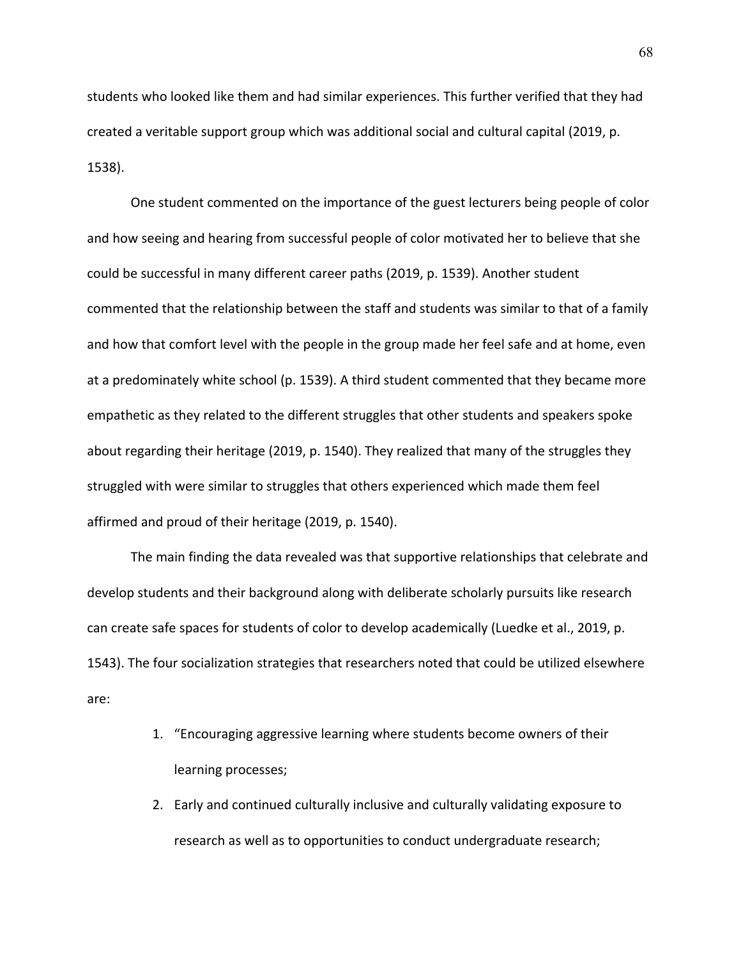students who looked like them and had similar experiences. This further verified that they had created a veritable support group which was additional social and cultural capital (2019, p. 1538).

One student commented on the importance of the guest lecturers being people of color and how seeing and hearing from successful people of color motivated her to believe that she could be successful in many different career paths (2019, p. 1539). Another student commented that the relationship between the staff and students was similar to that of a family and how that comfort level with the people in the group made her feel safe and at home, even at a predominately white school (p. 1539). A third student commented that they became more empathetic as they related to the different struggles that other students and speakers spoke about regarding their heritage (2019, p. 1540). They realized that many of the struggles they struggled with were similar to struggles that others experienced which made them feel affirmed and proud of their heritage (2019, p. 1540).

The main finding the data revealed was that supportive relationships that celebrate and develop students and their background along with deliberate scholarly pursuits like research can create safe spaces for students of color to develop academically (Luedke et al., 2019, p. 1543). The four socialization strategies that researchers noted that could be utilized elsewhere are:

- 1. "Encouraging aggressive learning where students become owners of their learning processes;
- 2. Early and continued culturally inclusive and culturally validating exposure to research as well as to opportunities to conduct undergraduate research;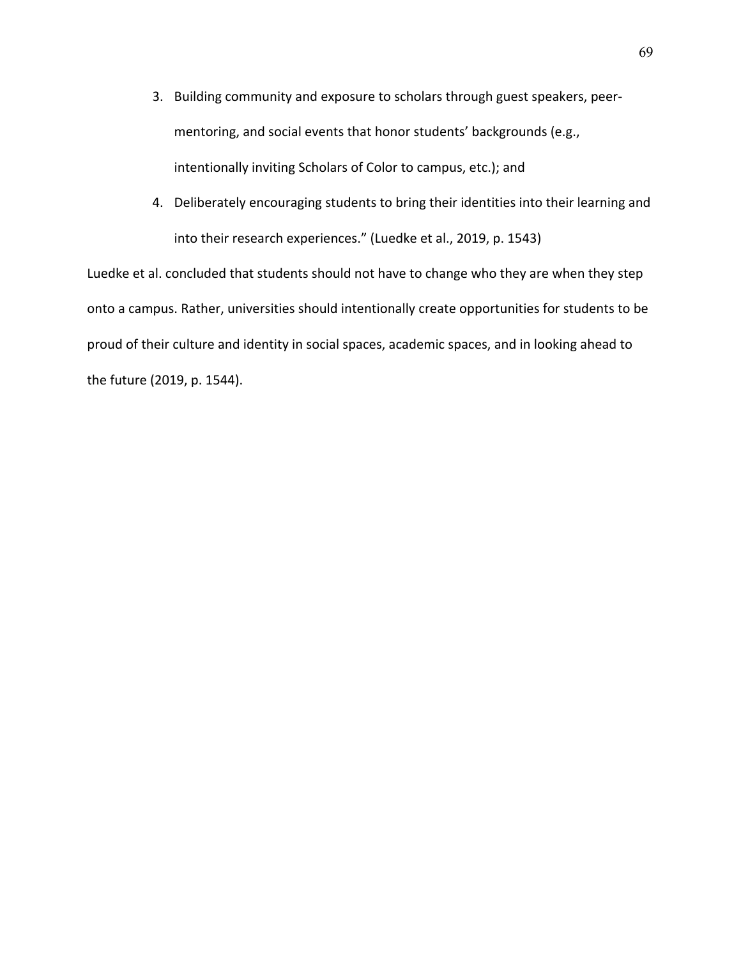- 3. Building community and exposure to scholars through guest speakers, peermentoring, and social events that honor students' backgrounds (e.g., intentionally inviting Scholars of Color to campus, etc.); and
- 4. Deliberately encouraging students to bring their identities into their learning and into their research experiences." (Luedke et al., 2019, p. 1543)

Luedke et al. concluded that students should not have to change who they are when they step onto a campus. Rather, universities should intentionally create opportunities for students to be proud of their culture and identity in social spaces, academic spaces, and in looking ahead to the future (2019, p. 1544).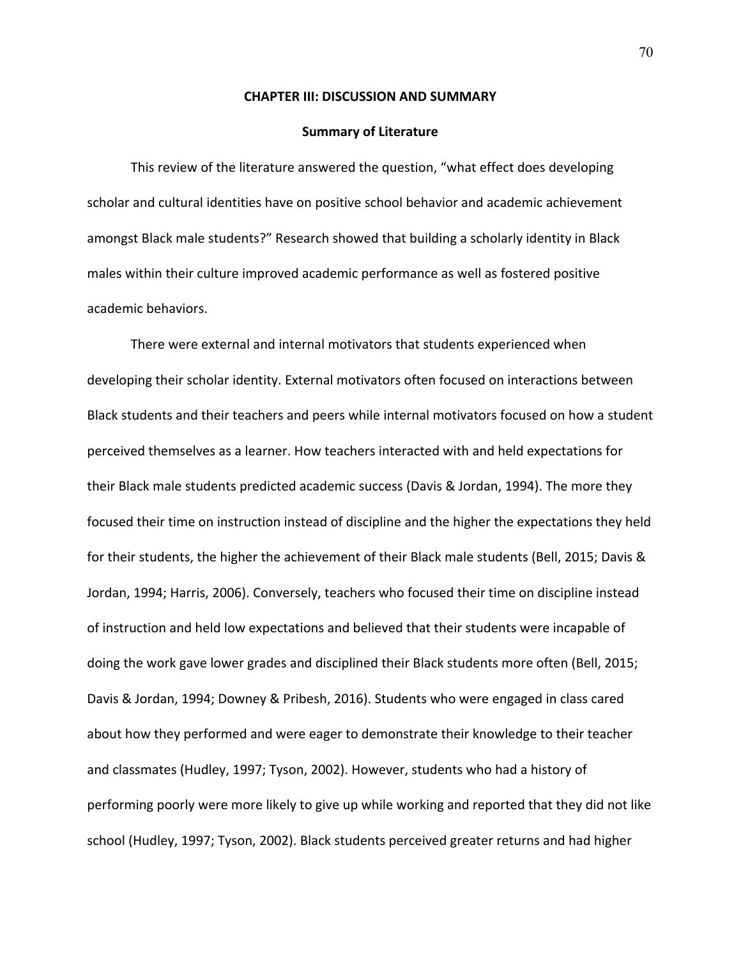#### **CHAPTER III: DISCUSSION AND SUMMARY**

#### **Summary of Literature**

This review of the literature answered the question, "what effect does developing scholar and cultural identities have on positive school behavior and academic achievement amongst Black male students?" Research showed that building a scholarly identity in Black males within their culture improved academic performance as well as fostered positive academic behaviors.

There were external and internal motivators that students experienced when developing their scholar identity. External motivators often focused on interactions between Black students and their teachers and peers while internal motivators focused on how a student perceived themselves as a learner. How teachers interacted with and held expectations for their Black male students predicted academic success (Davis & Jordan, 1994). The more they focused their time on instruction instead of discipline and the higher the expectations they held for their students, the higher the achievement of their Black male students (Bell, 2015; Davis & Jordan, 1994; Harris, 2006). Conversely, teachers who focused their time on discipline instead of instruction and held low expectations and believed that their students were incapable of doing the work gave lower grades and disciplined their Black students more often (Bell, 2015; Davis & Jordan, 1994; Downey & Pribesh, 2016). Students who were engaged in class cared about how they performed and were eager to demonstrate their knowledge to their teacher and classmates (Hudley, 1997; Tyson, 2002). However, students who had a history of performing poorly were more likely to give up while working and reported that they did not like school (Hudley, 1997; Tyson, 2002). Black students perceived greater returns and had higher

70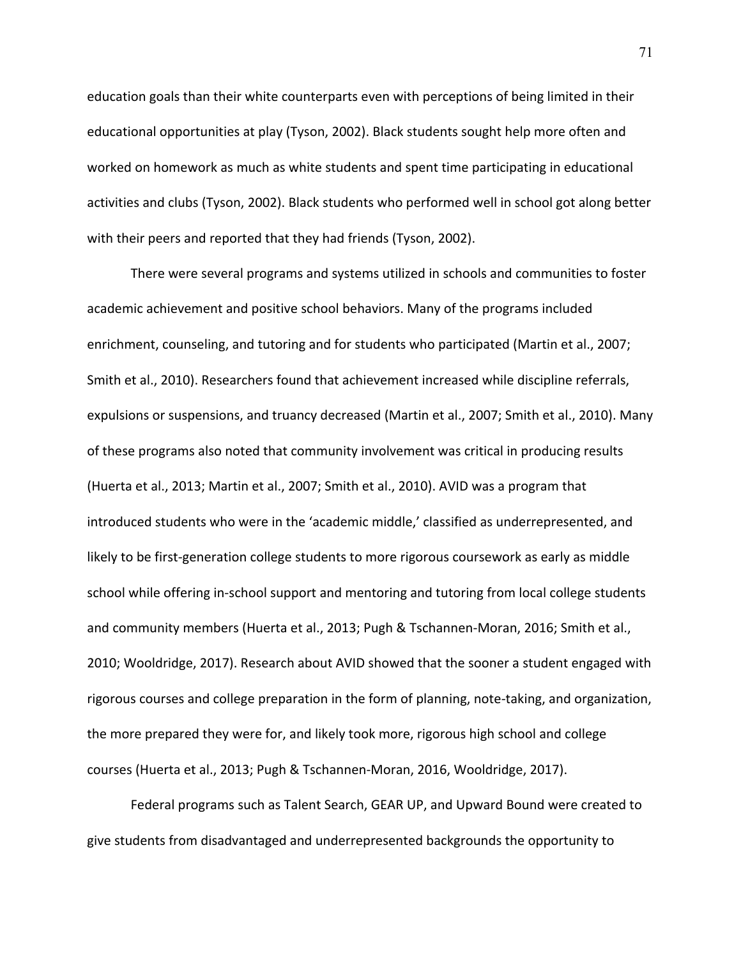education goals than their white counterparts even with perceptions of being limited in their educational opportunities at play (Tyson, 2002). Black students sought help more often and worked on homework as much as white students and spent time participating in educational activities and clubs (Tyson, 2002). Black students who performed well in school got along better with their peers and reported that they had friends (Tyson, 2002).

There were several programs and systems utilized in schools and communities to foster academic achievement and positive school behaviors. Many of the programs included enrichment, counseling, and tutoring and for students who participated (Martin et al., 2007; Smith et al., 2010). Researchers found that achievement increased while discipline referrals, expulsions or suspensions, and truancy decreased (Martin et al., 2007; Smith et al., 2010). Many of these programs also noted that community involvement was critical in producing results (Huerta et al., 2013; Martin et al., 2007; Smith et al., 2010). AVID was a program that introduced students who were in the 'academic middle,' classified as underrepresented, and likely to be first-generation college students to more rigorous coursework as early as middle school while offering in-school support and mentoring and tutoring from local college students and community members (Huerta et al., 2013; Pugh & Tschannen-Moran, 2016; Smith et al., 2010; Wooldridge, 2017). Research about AVID showed that the sooner a student engaged with rigorous courses and college preparation in the form of planning, note-taking, and organization, the more prepared they were for, and likely took more, rigorous high school and college courses (Huerta et al., 2013; Pugh & Tschannen-Moran, 2016, Wooldridge, 2017).

Federal programs such as Talent Search, GEAR UP, and Upward Bound were created to give students from disadvantaged and underrepresented backgrounds the opportunity to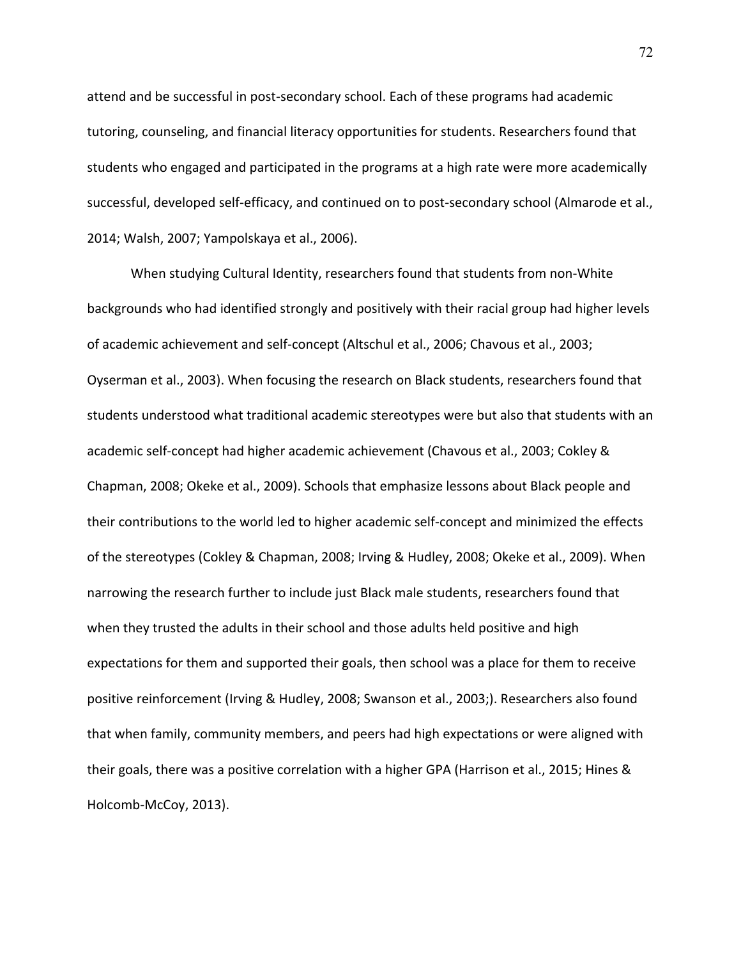attend and be successful in post-secondary school. Each of these programs had academic tutoring, counseling, and financial literacy opportunities for students. Researchers found that students who engaged and participated in the programs at a high rate were more academically successful, developed self-efficacy, and continued on to post-secondary school (Almarode et al., 2014; Walsh, 2007; Yampolskaya et al., 2006).

When studying Cultural Identity, researchers found that students from non-White backgrounds who had identified strongly and positively with their racial group had higher levels of academic achievement and self-concept (Altschul et al., 2006; Chavous et al., 2003; Oyserman et al., 2003). When focusing the research on Black students, researchers found that students understood what traditional academic stereotypes were but also that students with an academic self-concept had higher academic achievement (Chavous et al., 2003; Cokley & Chapman, 2008; Okeke et al., 2009). Schools that emphasize lessons about Black people and their contributions to the world led to higher academic self-concept and minimized the effects of the stereotypes (Cokley & Chapman, 2008; Irving & Hudley, 2008; Okeke et al., 2009). When narrowing the research further to include just Black male students, researchers found that when they trusted the adults in their school and those adults held positive and high expectations for them and supported their goals, then school was a place for them to receive positive reinforcement (Irving & Hudley, 2008; Swanson et al., 2003;). Researchers also found that when family, community members, and peers had high expectations or were aligned with their goals, there was a positive correlation with a higher GPA (Harrison et al., 2015; Hines & Holcomb-McCoy, 2013).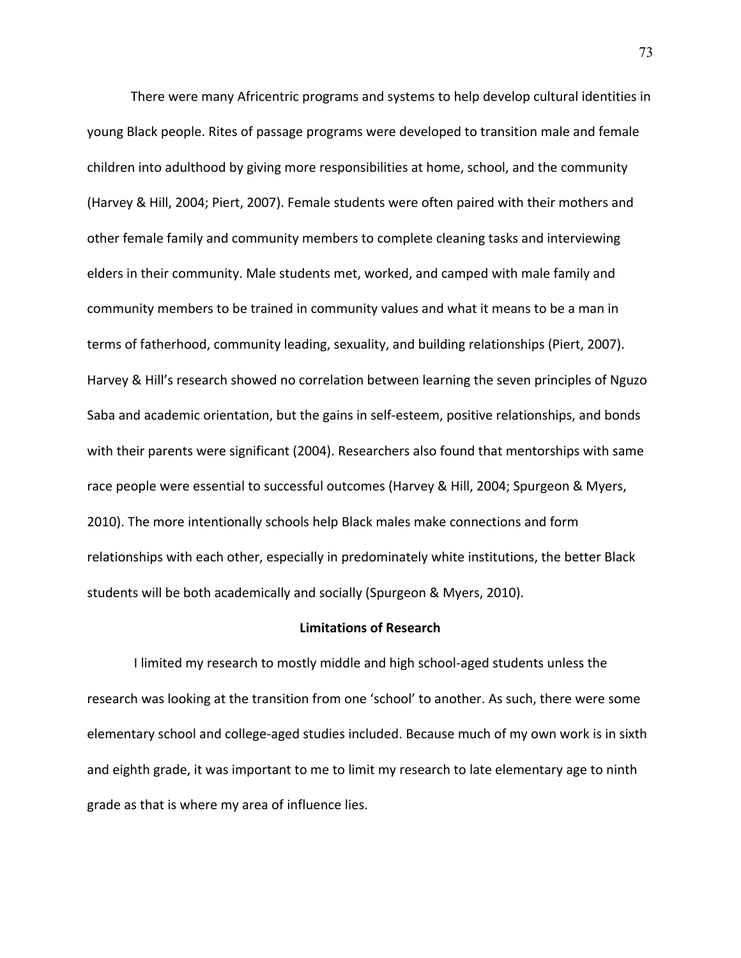There were many Africentric programs and systems to help develop cultural identities in young Black people. Rites of passage programs were developed to transition male and female children into adulthood by giving more responsibilities at home, school, and the community (Harvey & Hill, 2004; Piert, 2007). Female students were often paired with their mothers and other female family and community members to complete cleaning tasks and interviewing elders in their community. Male students met, worked, and camped with male family and community members to be trained in community values and what it means to be a man in terms of fatherhood, community leading, sexuality, and building relationships (Piert, 2007). Harvey & Hill's research showed no correlation between learning the seven principles of Nguzo Saba and academic orientation, but the gains in self-esteem, positive relationships, and bonds with their parents were significant (2004). Researchers also found that mentorships with same race people were essential to successful outcomes (Harvey & Hill, 2004; Spurgeon & Myers, 2010). The more intentionally schools help Black males make connections and form relationships with each other, especially in predominately white institutions, the better Black students will be both academically and socially (Spurgeon & Myers, 2010).

## **Limitations of Research**

I limited my research to mostly middle and high school-aged students unless the research was looking at the transition from one 'school' to another. As such, there were some elementary school and college-aged studies included. Because much of my own work is in sixth and eighth grade, it was important to me to limit my research to late elementary age to ninth grade as that is where my area of influence lies.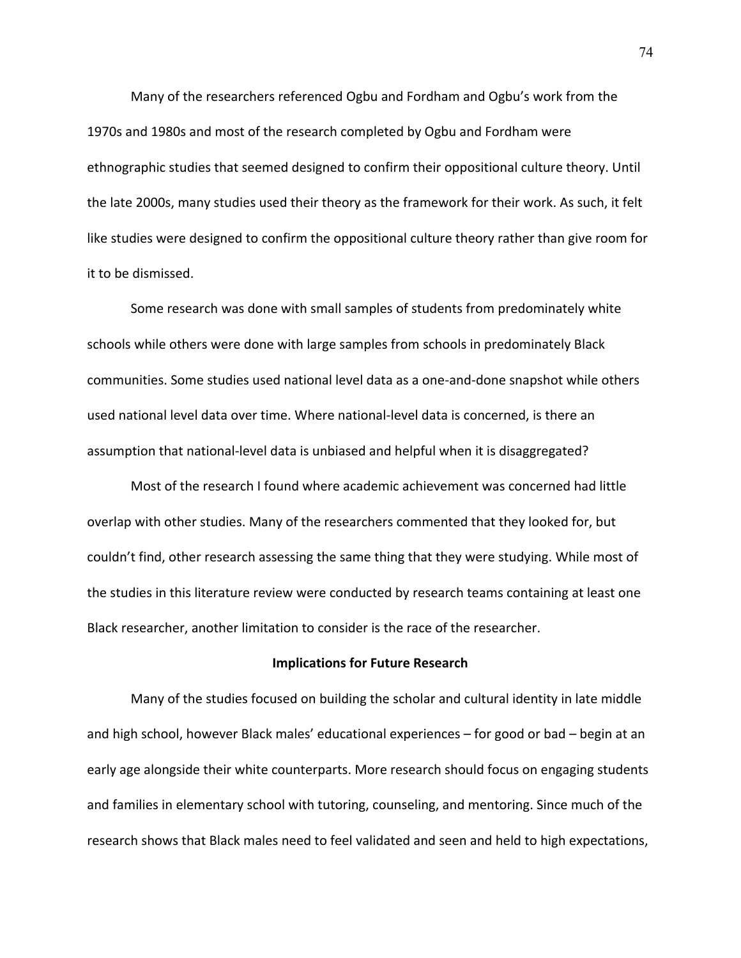Many of the researchers referenced Ogbu and Fordham and Ogbu's work from the 1970s and 1980s and most of the research completed by Ogbu and Fordham were ethnographic studies that seemed designed to confirm their oppositional culture theory. Until the late 2000s, many studies used their theory as the framework for their work. As such, it felt like studies were designed to confirm the oppositional culture theory rather than give room for it to be dismissed.

Some research was done with small samples of students from predominately white schools while others were done with large samples from schools in predominately Black communities. Some studies used national level data as a one-and-done snapshot while others used national level data over time. Where national-level data is concerned, is there an assumption that national-level data is unbiased and helpful when it is disaggregated?

Most of the research I found where academic achievement was concerned had little overlap with other studies. Many of the researchers commented that they looked for, but couldn't find, other research assessing the same thing that they were studying. While most of the studies in this literature review were conducted by research teams containing at least one Black researcher, another limitation to consider is the race of the researcher.

#### **Implications for Future Research**

Many of the studies focused on building the scholar and cultural identity in late middle and high school, however Black males' educational experiences – for good or bad – begin at an early age alongside their white counterparts. More research should focus on engaging students and families in elementary school with tutoring, counseling, and mentoring. Since much of the research shows that Black males need to feel validated and seen and held to high expectations,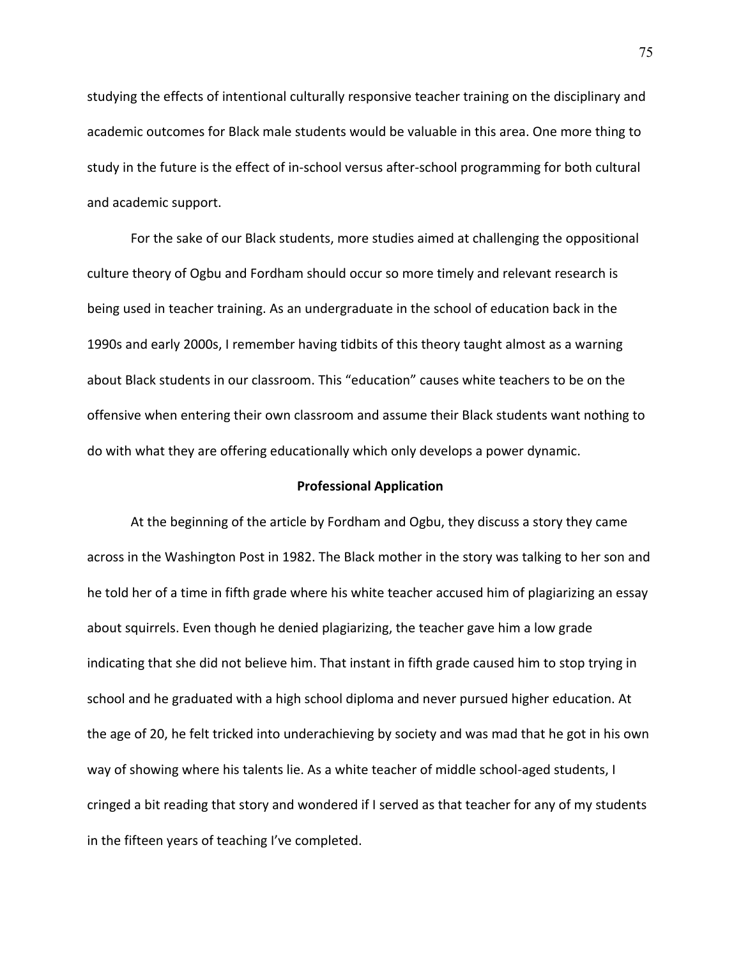studying the effects of intentional culturally responsive teacher training on the disciplinary and academic outcomes for Black male students would be valuable in this area. One more thing to study in the future is the effect of in-school versus after-school programming for both cultural and academic support.

For the sake of our Black students, more studies aimed at challenging the oppositional culture theory of Ogbu and Fordham should occur so more timely and relevant research is being used in teacher training. As an undergraduate in the school of education back in the 1990s and early 2000s, I remember having tidbits of this theory taught almost as a warning about Black students in our classroom. This "education" causes white teachers to be on the offensive when entering their own classroom and assume their Black students want nothing to do with what they are offering educationally which only develops a power dynamic.

# **Professional Application**

At the beginning of the article by Fordham and Ogbu, they discuss a story they came across in the Washington Post in 1982. The Black mother in the story was talking to her son and he told her of a time in fifth grade where his white teacher accused him of plagiarizing an essay about squirrels. Even though he denied plagiarizing, the teacher gave him a low grade indicating that she did not believe him. That instant in fifth grade caused him to stop trying in school and he graduated with a high school diploma and never pursued higher education. At the age of 20, he felt tricked into underachieving by society and was mad that he got in his own way of showing where his talents lie. As a white teacher of middle school-aged students, I cringed a bit reading that story and wondered if I served as that teacher for any of my students in the fifteen years of teaching I've completed.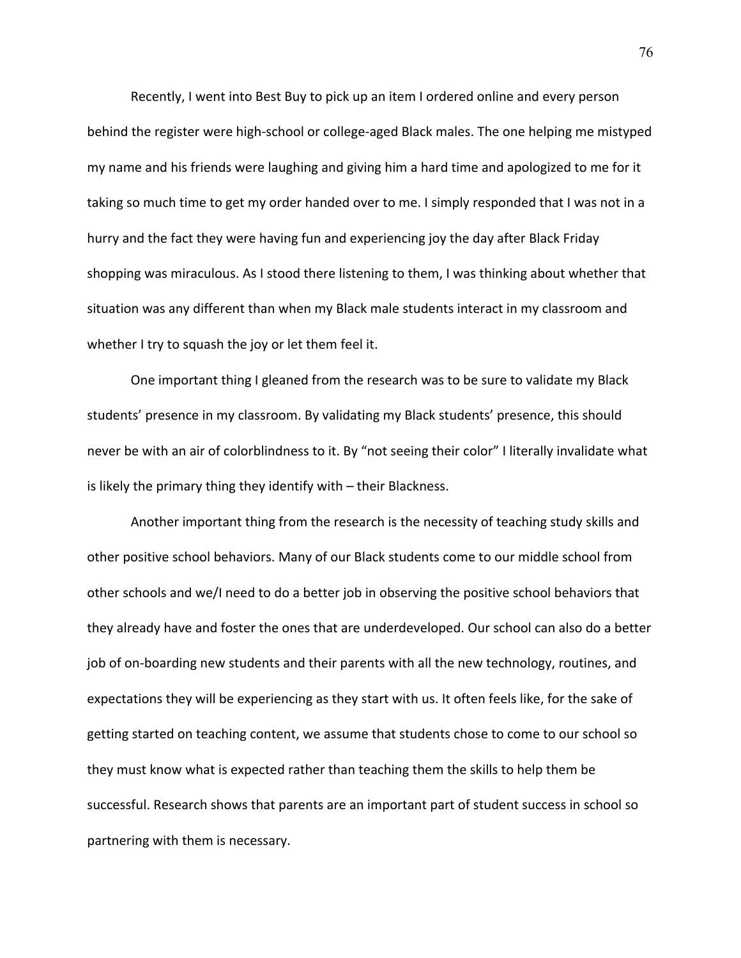Recently, I went into Best Buy to pick up an item I ordered online and every person behind the register were high-school or college-aged Black males. The one helping me mistyped my name and his friends were laughing and giving him a hard time and apologized to me for it taking so much time to get my order handed over to me. I simply responded that I was not in a hurry and the fact they were having fun and experiencing joy the day after Black Friday shopping was miraculous. As I stood there listening to them, I was thinking about whether that situation was any different than when my Black male students interact in my classroom and whether I try to squash the joy or let them feel it.

One important thing I gleaned from the research was to be sure to validate my Black students' presence in my classroom. By validating my Black students' presence, this should never be with an air of colorblindness to it. By "not seeing their color" I literally invalidate what is likely the primary thing they identify with – their Blackness.

Another important thing from the research is the necessity of teaching study skills and other positive school behaviors. Many of our Black students come to our middle school from other schools and we/I need to do a better job in observing the positive school behaviors that they already have and foster the ones that are underdeveloped. Our school can also do a better job of on-boarding new students and their parents with all the new technology, routines, and expectations they will be experiencing as they start with us. It often feels like, for the sake of getting started on teaching content, we assume that students chose to come to our school so they must know what is expected rather than teaching them the skills to help them be successful. Research shows that parents are an important part of student success in school so partnering with them is necessary.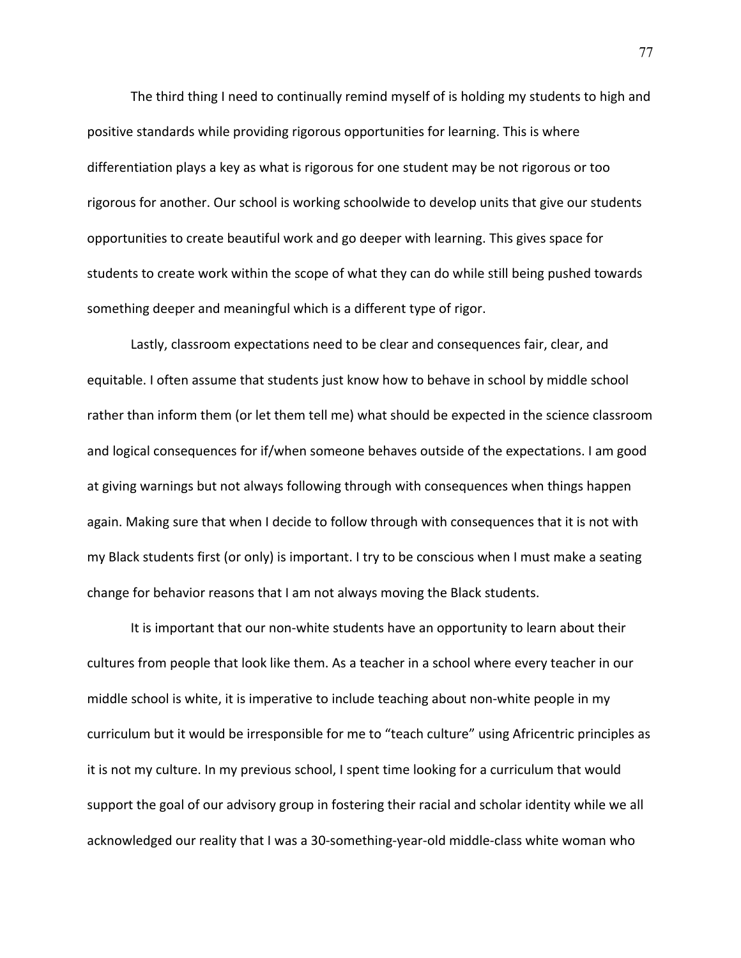The third thing I need to continually remind myself of is holding my students to high and positive standards while providing rigorous opportunities for learning. This is where differentiation plays a key as what is rigorous for one student may be not rigorous or too rigorous for another. Our school is working schoolwide to develop units that give our students opportunities to create beautiful work and go deeper with learning. This gives space for students to create work within the scope of what they can do while still being pushed towards something deeper and meaningful which is a different type of rigor.

Lastly, classroom expectations need to be clear and consequences fair, clear, and equitable. I often assume that students just know how to behave in school by middle school rather than inform them (or let them tell me) what should be expected in the science classroom and logical consequences for if/when someone behaves outside of the expectations. I am good at giving warnings but not always following through with consequences when things happen again. Making sure that when I decide to follow through with consequences that it is not with my Black students first (or only) is important. I try to be conscious when I must make a seating change for behavior reasons that I am not always moving the Black students.

It is important that our non-white students have an opportunity to learn about their cultures from people that look like them. As a teacher in a school where every teacher in our middle school is white, it is imperative to include teaching about non-white people in my curriculum but it would be irresponsible for me to "teach culture" using Africentric principles as it is not my culture. In my previous school, I spent time looking for a curriculum that would support the goal of our advisory group in fostering their racial and scholar identity while we all acknowledged our reality that I was a 30-something-year-old middle-class white woman who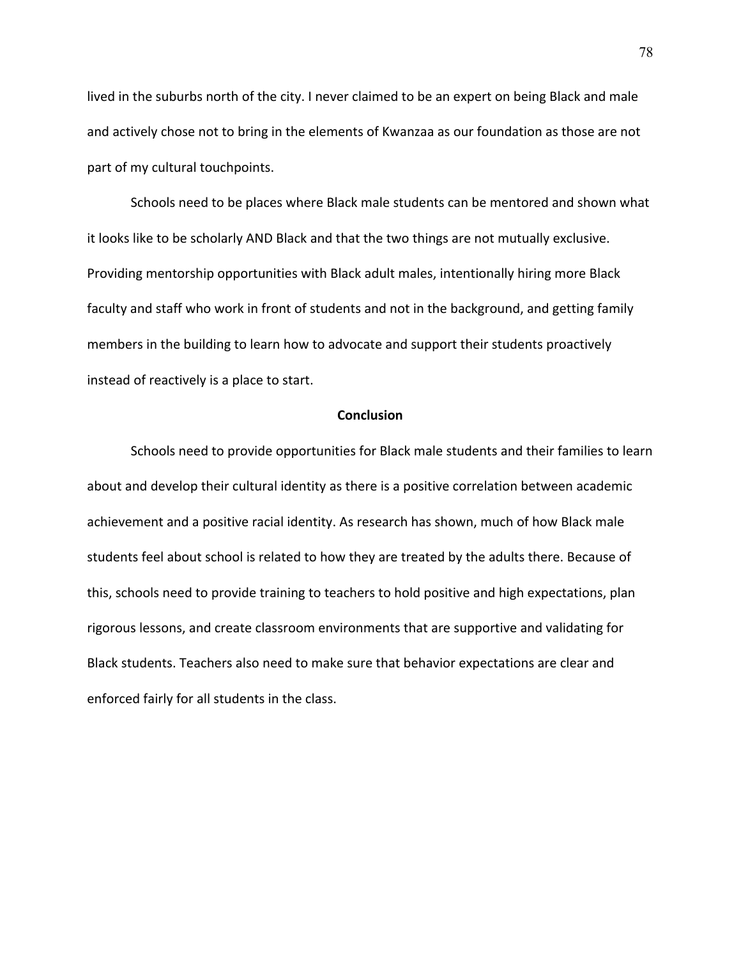lived in the suburbs north of the city. I never claimed to be an expert on being Black and male and actively chose not to bring in the elements of Kwanzaa as our foundation as those are not part of my cultural touchpoints.

Schools need to be places where Black male students can be mentored and shown what it looks like to be scholarly AND Black and that the two things are not mutually exclusive. Providing mentorship opportunities with Black adult males, intentionally hiring more Black faculty and staff who work in front of students and not in the background, and getting family members in the building to learn how to advocate and support their students proactively instead of reactively is a place to start.

### **Conclusion**

Schools need to provide opportunities for Black male students and their families to learn about and develop their cultural identity as there is a positive correlation between academic achievement and a positive racial identity. As research has shown, much of how Black male students feel about school is related to how they are treated by the adults there. Because of this, schools need to provide training to teachers to hold positive and high expectations, plan rigorous lessons, and create classroom environments that are supportive and validating for Black students. Teachers also need to make sure that behavior expectations are clear and enforced fairly for all students in the class.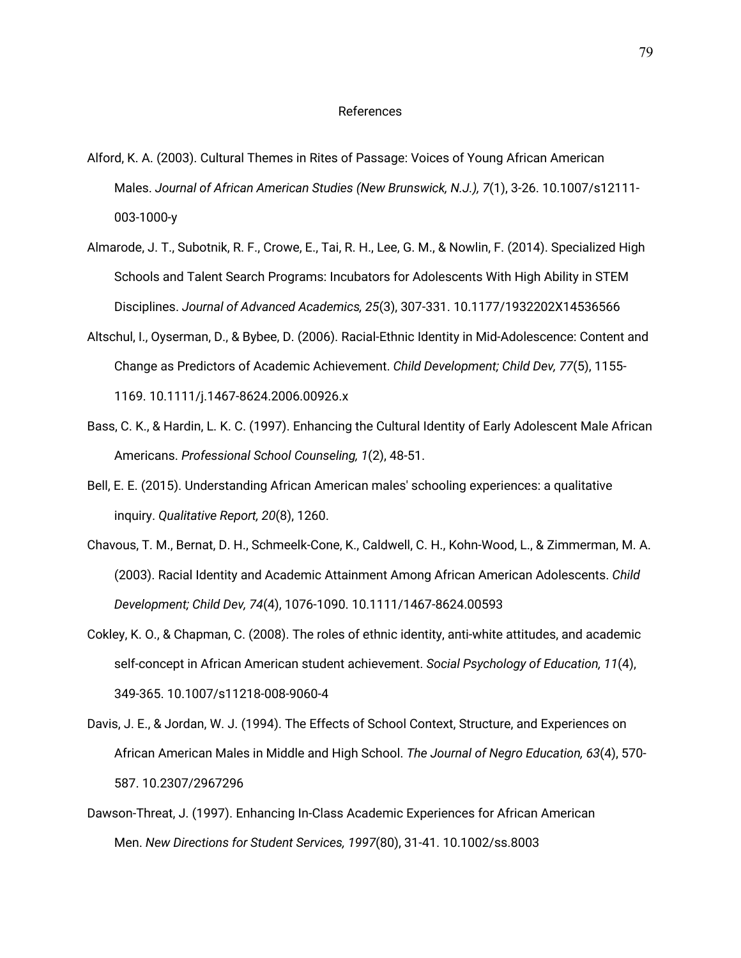#### References

- Alford, K. A. (2003). Cultural Themes in Rites of Passage: Voices of Young African American Males. *Journal of African American Studies (New Brunswick, N.J.), 7*(1), 3-26. 10.1007/s12111- 003-1000-y
- Almarode, J. T., Subotnik, R. F., Crowe, E., Tai, R. H., Lee, G. M., & Nowlin, F. (2014). Specialized High Schools and Talent Search Programs: Incubators for Adolescents With High Ability in STEM Disciplines. *Journal of Advanced Academics, 25*(3), 307-331. 10.1177/1932202X14536566
- Altschul, I., Oyserman, D., & Bybee, D. (2006). Racial-Ethnic Identity in Mid-Adolescence: Content and Change as Predictors of Academic Achievement. *Child Development; Child Dev, 77*(5), 1155- 1169. 10.1111/j.1467-8624.2006.00926.x
- Bass, C. K., & Hardin, L. K. C. (1997). Enhancing the Cultural Identity of Early Adolescent Male African Americans. *Professional School Counseling, 1*(2), 48-51.
- Bell, E. E. (2015). Understanding African American males' schooling experiences: a qualitative inquiry. *Qualitative Report, 20*(8), 1260.
- Chavous, T. M., Bernat, D. H., Schmeelk-Cone, K., Caldwell, C. H., Kohn-Wood, L., & Zimmerman, M. A. (2003). Racial Identity and Academic Attainment Among African American Adolescents. *Child Development; Child Dev, 74*(4), 1076-1090. 10.1111/1467-8624.00593
- Cokley, K. O., & Chapman, C. (2008). The roles of ethnic identity, anti-white attitudes, and academic self-concept in African American student achievement. *Social Psychology of Education, 11*(4), 349-365. 10.1007/s11218-008-9060-4
- Davis, J. E., & Jordan, W. J. (1994). The Effects of School Context, Structure, and Experiences on African American Males in Middle and High School. *The Journal of Negro Education, 63*(4), 570- 587. 10.2307/2967296
- Dawson‐Threat, J. (1997). Enhancing In‐Class Academic Experiences for African American Men. *New Directions for Student Services, 1997*(80), 31-41. 10.1002/ss.8003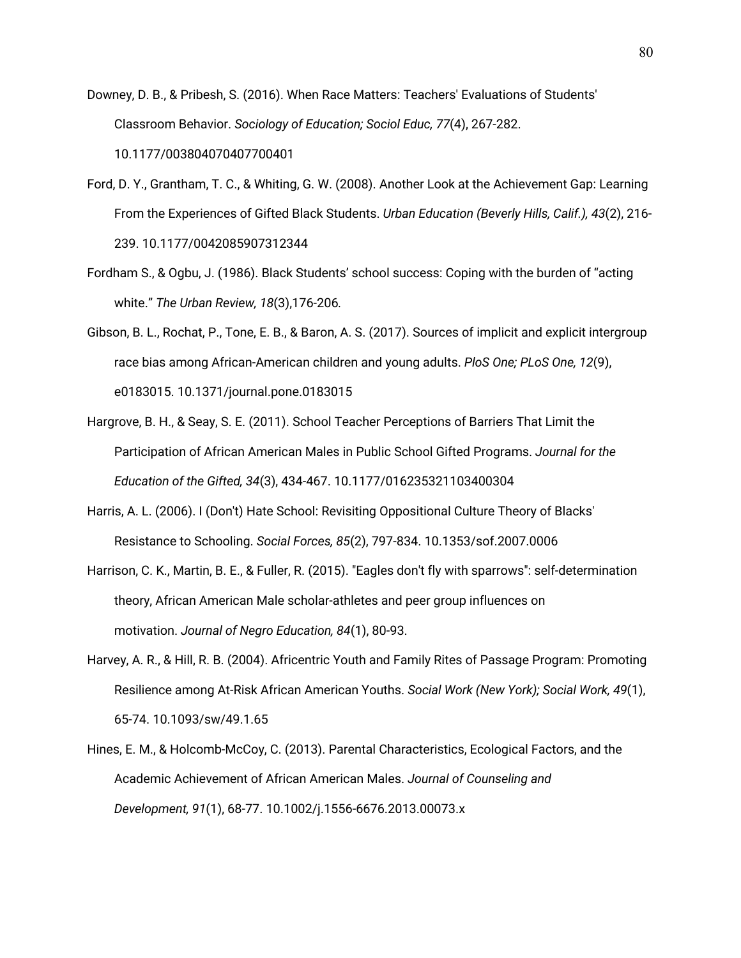- Downey, D. B., & Pribesh, S. (2016). When Race Matters: Teachers' Evaluations of Students' Classroom Behavior. *Sociology of Education; Sociol Educ, 77*(4), 267-282. 10.1177/003804070407700401
- Ford, D. Y., Grantham, T. C., & Whiting, G. W. (2008). Another Look at the Achievement Gap: Learning From the Experiences of Gifted Black Students. *Urban Education (Beverly Hills, Calif.), 43*(2), 216- 239. 10.1177/0042085907312344
- Fordham S., & Ogbu, J. (1986). Black Students' school success: Coping with the burden of "acting white." *The Urban Review, 18*(3),176-206*.*
- Gibson, B. L., Rochat, P., Tone, E. B., & Baron, A. S. (2017). Sources of implicit and explicit intergroup race bias among African-American children and young adults. *PloS One; PLoS One, 12*(9), e0183015. 10.1371/journal.pone.0183015
- Hargrove, B. H., & Seay, S. E. (2011). School Teacher Perceptions of Barriers That Limit the Participation of African American Males in Public School Gifted Programs. *Journal for the Education of the Gifted, 34*(3), 434-467. 10.1177/016235321103400304
- Harris, A. L. (2006). I (Don't) Hate School: Revisiting Oppositional Culture Theory of Blacks' Resistance to Schooling. *Social Forces, 85*(2), 797-834. 10.1353/sof.2007.0006
- Harrison, C. K., Martin, B. E., & Fuller, R. (2015). "Eagles don't fly with sparrows": self-determination theory, African American Male scholar-athletes and peer group influences on motivation. *Journal of Negro Education, 84*(1), 80-93.
- Harvey, A. R., & Hill, R. B. (2004). Africentric Youth and Family Rites of Passage Program: Promoting Resilience among At-Risk African American Youths. *Social Work (New York); Social Work, 49*(1), 65-74. 10.1093/sw/49.1.65
- Hines, E. M., & Holcomb-McCoy, C. (2013). Parental Characteristics, Ecological Factors, and the Academic Achievement of African American Males. *Journal of Counseling and Development, 91*(1), 68-77. 10.1002/j.1556-6676.2013.00073.x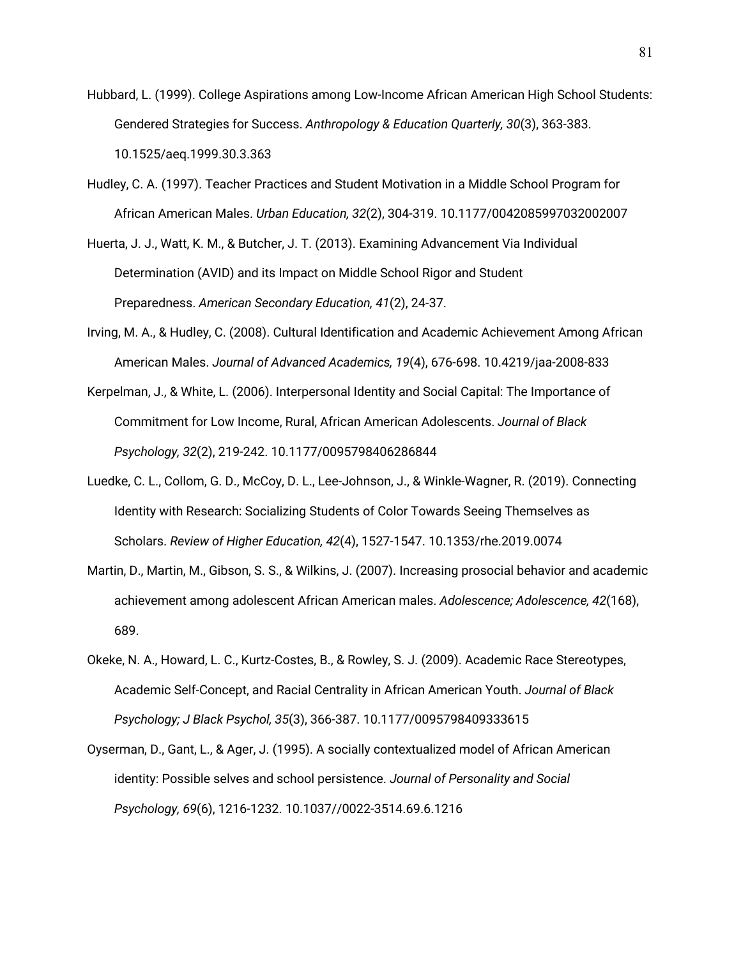- Hubbard, L. (1999). College Aspirations among Low-Income African American High School Students: Gendered Strategies for Success. *Anthropology & Education Quarterly, 30*(3), 363-383. 10.1525/aeq.1999.30.3.363
- Hudley, C. A. (1997). Teacher Practices and Student Motivation in a Middle School Program for African American Males. *Urban Education, 32*(2), 304-319. 10.1177/0042085997032002007

Huerta, J. J., Watt, K. M., & Butcher, J. T. (2013). Examining Advancement Via Individual Determination (AVID) and its Impact on Middle School Rigor and Student Preparedness. *American Secondary Education, 41*(2), 24-37.

- Irving, M. A., & Hudley, C. (2008). Cultural Identification and Academic Achievement Among African American Males. *Journal of Advanced Academics, 19*(4), 676-698. 10.4219/jaa-2008-833
- Kerpelman, J., & White, L. (2006). Interpersonal Identity and Social Capital: The Importance of Commitment for Low Income, Rural, African American Adolescents. *Journal of Black Psychology, 32*(2), 219-242. 10.1177/0095798406286844
- Luedke, C. L., Collom, G. D., McCoy, D. L., Lee-Johnson, J., & Winkle-Wagner, R. (2019). Connecting Identity with Research: Socializing Students of Color Towards Seeing Themselves as Scholars. *Review of Higher Education, 42*(4), 1527-1547. 10.1353/rhe.2019.0074
- Martin, D., Martin, M., Gibson, S. S., & Wilkins, J. (2007). Increasing prosocial behavior and academic achievement among adolescent African American males. *Adolescence; Adolescence, 42*(168), 689.
- Okeke, N. A., Howard, L. C., Kurtz-Costes, B., & Rowley, S. J. (2009). Academic Race Stereotypes, Academic Self-Concept, and Racial Centrality in African American Youth. *Journal of Black Psychology; J Black Psychol, 35*(3), 366-387. 10.1177/0095798409333615
- Oyserman, D., Gant, L., & Ager, J. (1995). A socially contextualized model of African American identity: Possible selves and school persistence. *Journal of Personality and Social Psychology, 69*(6), 1216-1232. 10.1037//0022-3514.69.6.1216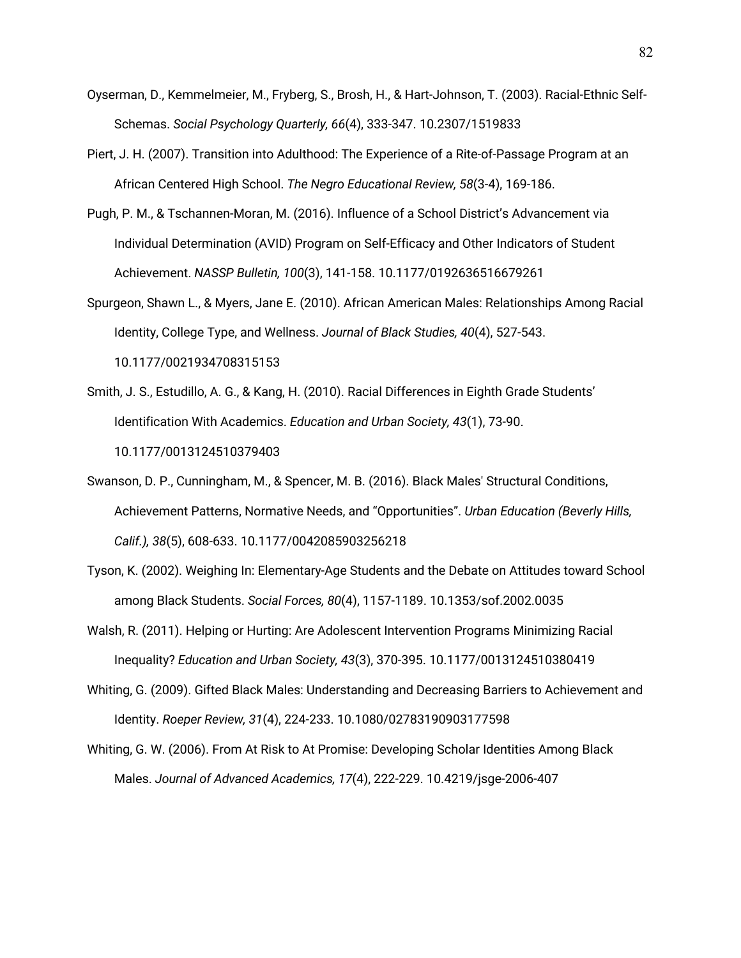- Oyserman, D., Kemmelmeier, M., Fryberg, S., Brosh, H., & Hart-Johnson, T. (2003). Racial-Ethnic Self-Schemas. *Social Psychology Quarterly, 66*(4), 333-347. 10.2307/1519833
- Piert, J. H. (2007). Transition into Adulthood: The Experience of a Rite-of-Passage Program at an African Centered High School. *The Negro Educational Review, 58*(3-4), 169-186.
- Pugh, P. M., & Tschannen-Moran, M. (2016). Influence of a School District's Advancement via Individual Determination (AVID) Program on Self-Efficacy and Other Indicators of Student Achievement. *NASSP Bulletin, 100*(3), 141-158. 10.1177/0192636516679261
- Spurgeon, Shawn L., & Myers, Jane E. (2010). African American Males: Relationships Among Racial Identity, College Type, and Wellness. *Journal of Black Studies, 40*(4), 527-543. 10.1177/0021934708315153
- Smith, J. S., Estudillo, A. G., & Kang, H. (2010). Racial Differences in Eighth Grade Students' Identification With Academics. *Education and Urban Society, 43*(1), 73-90. 10.1177/0013124510379403
- Swanson, D. P., Cunningham, M., & Spencer, M. B. (2016). Black Males' Structural Conditions, Achievement Patterns, Normative Needs, and "Opportunities". *Urban Education (Beverly Hills, Calif.), 38*(5), 608-633. 10.1177/0042085903256218
- Tyson, K. (2002). Weighing In: Elementary-Age Students and the Debate on Attitudes toward School among Black Students. *Social Forces, 80*(4), 1157-1189. 10.1353/sof.2002.0035
- Walsh, R. (2011). Helping or Hurting: Are Adolescent Intervention Programs Minimizing Racial Inequality? *Education and Urban Society, 43*(3), 370-395. 10.1177/0013124510380419
- Whiting, G. (2009). Gifted Black Males: Understanding and Decreasing Barriers to Achievement and Identity. *Roeper Review, 31*(4), 224-233. 10.1080/02783190903177598
- Whiting, G. W. (2006). From At Risk to At Promise: Developing Scholar Identities Among Black Males. *Journal of Advanced Academics, 17*(4), 222-229. 10.4219/jsge-2006-407